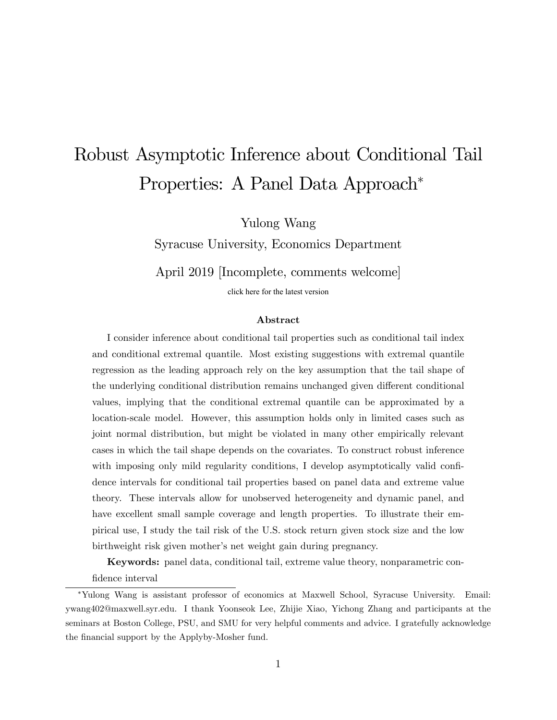# Robust Asymptotic Inference about Conditional Tail Properties: A Panel Data Approach<sup>\*</sup>

Yulong Wang

Syracuse University, Economics Department

April 2019 [Incomplete, comments welcome]

[click here for the latest version](https://docs.google.com/viewer?a=v&pid=sites&srcid=ZGVmYXVsdGRvbWFpbnx5dWxvbmd3YW5naG9tZXxneDo1MzlkNTdiM2JhMzI1MzQ1)

#### Abstract

I consider inference about conditional tail properties such as conditional tail index and conditional extremal quantile. Most existing suggestions with extremal quantile regression as the leading approach rely on the key assumption that the tail shape of the underlying conditional distribution remains unchanged given different conditional values, implying that the conditional extremal quantile can be approximated by a location-scale model. However, this assumption holds only in limited cases such as joint normal distribution, but might be violated in many other empirically relevant cases in which the tail shape depends on the covariates. To construct robust inference with imposing only mild regularity conditions, I develop asymptotically valid confidence intervals for conditional tail properties based on panel data and extreme value theory. These intervals allow for unobserved heterogeneity and dynamic panel, and have excellent small sample coverage and length properties. To illustrate their empirical use, I study the tail risk of the U.S. stock return given stock size and the low birthweight risk given mother's net weight gain during pregnancy.

Keywords: panel data, conditional tail, extreme value theory, nonparametric confidence interval

Yulong Wang is assistant professor of economics at Maxwell School, Syracuse University. Email: ywang402@maxwell.syr.edu. I thank Yoonseok Lee, Zhijie Xiao, Yichong Zhang and participants at the seminars at Boston College, PSU, and SMU for very helpful comments and advice. I gratefully acknowledge the financial support by the Applyby-Mosher fund.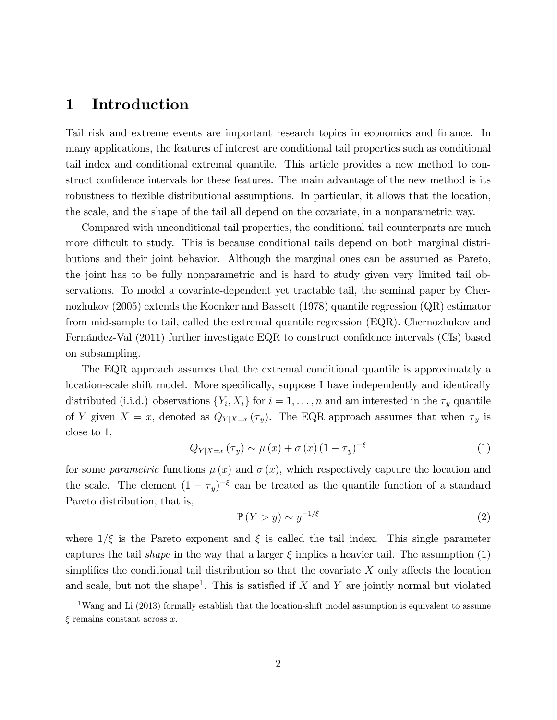## 1 Introduction

Tail risk and extreme events are important research topics in economics and finance. In many applications, the features of interest are conditional tail properties such as conditional tail index and conditional extremal quantile. This article provides a new method to construct confidence intervals for these features. The main advantage of the new method is its robustness to flexible distributional assumptions. In particular, it allows that the location, the scale, and the shape of the tail all depend on the covariate, in a nonparametric way.

Compared with unconditional tail properties, the conditional tail counterparts are much more difficult to study. This is because conditional tails depend on both marginal distributions and their joint behavior. Although the marginal ones can be assumed as Pareto, the joint has to be fully nonparametric and is hard to study given very limited tail observations. To model a covariate-dependent yet tractable tail, the seminal paper by Chernozhukov (2005) extends the Koenker and Bassett (1978) quantile regression (QR) estimator from mid-sample to tail, called the extremal quantile regression (EQR). Chernozhukov and Fernández-Val  $(2011)$  further investigate EQR to construct confidence intervals (CIs) based on subsampling.

The EQR approach assumes that the extremal conditional quantile is approximately a location-scale shift model. More specifically, suppose I have independently and identically distributed (i.i.d.) observations  $\{Y_i, X_i\}$  for  $i = 1, \ldots, n$  and am interested in the  $\tau_y$  quantile of Y given  $X = x$ , denoted as  $Q_{Y|X=x}(\tau_y)$ . The EQR approach assumes that when  $\tau_y$  is close to 1,

$$
Q_{Y|X=x}(\tau_y) \sim \mu(x) + \sigma(x) (1 - \tau_y)^{-\xi}
$$
 (1)

for some parametric functions  $\mu(x)$  and  $\sigma(x)$ , which respectively capture the location and the scale. The element  $(1 - \tau_y)^{-\xi}$  can be treated as the quantile function of a standard Pareto distribution, that is,

$$
\mathbb{P}(Y > y) \sim y^{-1/\xi} \tag{2}
$$

where  $1/\xi$  is the Pareto exponent and  $\xi$  is called the tail index. This single parameter captures the tail *shape* in the way that a larger  $\xi$  implies a heavier tail. The assumption (1) simplifies the conditional tail distribution so that the covariate  $X$  only affects the location and scale, but not the shape<sup>1</sup>. This is satisfied if  $X$  and  $Y$  are jointly normal but violated

<sup>&</sup>lt;sup>1</sup>Wang and Li (2013) formally establish that the location-shift model assumption is equivalent to assume  $\xi$  remains constant across x.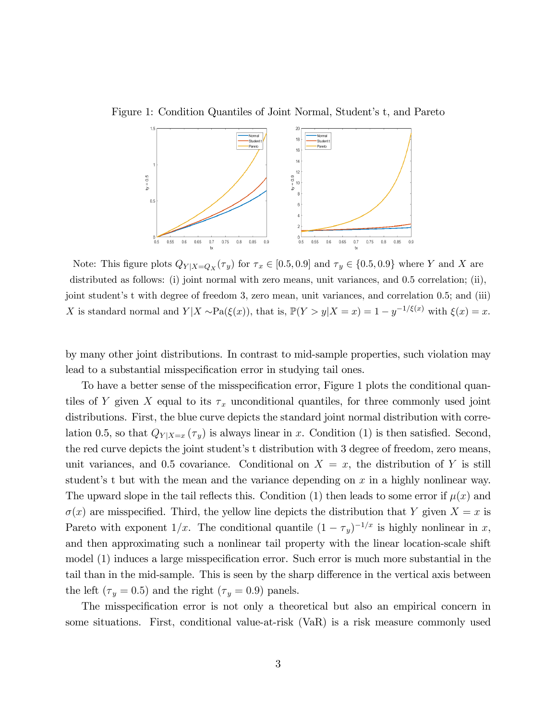Figure 1: Condition Quantiles of Joint Normal, Student's t, and Pareto



Note: This figure plots  $Q_{Y|X=Q_X}(\tau_y)$  for  $\tau_x \in [0.5, 0.9]$  and  $\tau_y \in \{0.5, 0.9\}$  where Y and X are distributed as follows: (i) joint normal with zero means, unit variances, and 0.5 correlation; (ii), joint student's t with degree of freedom 3, zero mean, unit variances, and correlation 0.5; and (iii) X is standard normal and  $Y|X \sim \text{Pa}(\xi(x))$ , that is,  $\mathbb{P}(Y > y | X = x) = 1 - y^{-1/\xi(x)}$  with  $\xi(x) = x$ .

by many other joint distributions. In contrast to mid-sample properties, such violation may lead to a substantial misspecification error in studying tail ones.

To have a better sense of the misspecification error, Figure 1 plots the conditional quantiles of Y given X equal to its  $\tau_x$  unconditional quantiles, for three commonly used joint distributions. First, the blue curve depicts the standard joint normal distribution with correlation 0.5, so that  $Q_{Y|X=x}(\tau_y)$  is always linear in x. Condition (1) is then satisfied. Second, the red curve depicts the joint student's t distribution with 3 degree of freedom, zero means, unit variances, and 0.5 covariance. Conditional on  $X = x$ , the distribution of Y is still student's t but with the mean and the variance depending on  $x$  in a highly nonlinear way. The upward slope in the tail reflects this. Condition (1) then leads to some error if  $\mu(x)$  and  $\sigma(x)$  are misspecified. Third, the yellow line depicts the distribution that Y given  $X = x$  is Pareto with exponent  $1/x$ . The conditional quantile  $(1 - \tau_y)^{-1/x}$  is highly nonlinear in x, and then approximating such a nonlinear tail property with the linear location-scale shift model  $(1)$  induces a large misspecification error. Such error is much more substantial in the tail than in the mid-sample. This is seen by the sharp difference in the vertical axis between the left ( $\tau_y = 0.5$ ) and the right ( $\tau_y = 0.9$ ) panels.

The misspecification error is not only a theoretical but also an empirical concern in some situations. First, conditional value-at-risk (VaR) is a risk measure commonly used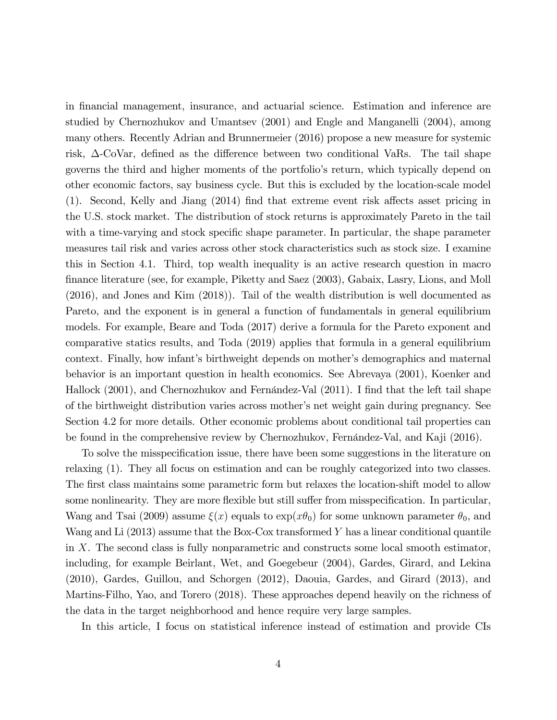in Önancial management, insurance, and actuarial science. Estimation and inference are studied by Chernozhukov and Umantsev (2001) and Engle and Manganelli (2004), among many others. Recently Adrian and Brunnermeier (2016) propose a new measure for systemic risk,  $\Delta$ -CoVar, defined as the difference between two conditional VaRs. The tail shape governs the third and higher moments of the portfolioís return, which typically depend on other economic factors, say business cycle. But this is excluded by the location-scale model  $(1)$ . Second, Kelly and Jiang  $(2014)$  find that extreme event risk affects asset pricing in the U.S. stock market. The distribution of stock returns is approximately Pareto in the tail with a time-varying and stock specific shape parameter. In particular, the shape parameter measures tail risk and varies across other stock characteristics such as stock size. I examine this in Section 4.1. Third, top wealth inequality is an active research question in macro Önance literature (see, for example, Piketty and Saez (2003), Gabaix, Lasry, Lions, and Moll (2016), and Jones and Kim (2018)). Tail of the wealth distribution is well documented as Pareto, and the exponent is in general a function of fundamentals in general equilibrium models. For example, Beare and Toda (2017) derive a formula for the Pareto exponent and comparative statics results, and Toda (2019) applies that formula in a general equilibrium context. Finally, how infant's birthweight depends on mother's demographics and maternal behavior is an important question in health economics. See Abrevaya (2001), Koenker and Hallock (2001), and Chernozhukov and Fernández-Val (2011). I find that the left tail shape of the birthweight distribution varies across motherís net weight gain during pregnancy. See Section 4.2 for more details. Other economic problems about conditional tail properties can be found in the comprehensive review by Chernozhukov, Fernández-Val, and Kaji (2016).

To solve the misspecification issue, there have been some suggestions in the literature on relaxing (1). They all focus on estimation and can be roughly categorized into two classes. The first class maintains some parametric form but relaxes the location-shift model to allow some nonlinearity. They are more flexible but still suffer from misspecification. In particular, Wang and Tsai (2009) assume  $\xi(x)$  equals to  $\exp(x\theta_0)$  for some unknown parameter  $\theta_0$ , and Wang and Li (2013) assume that the Box-Cox transformed Y has a linear conditional quantile in X. The second class is fully nonparametric and constructs some local smooth estimator, including, for example Beirlant, Wet, and Goegebeur (2004), Gardes, Girard, and Lekina (2010), Gardes, Guillou, and Schorgen (2012), Daouia, Gardes, and Girard (2013), and Martins-Filho, Yao, and Torero (2018). These approaches depend heavily on the richness of the data in the target neighborhood and hence require very large samples.

In this article, I focus on statistical inference instead of estimation and provide CIs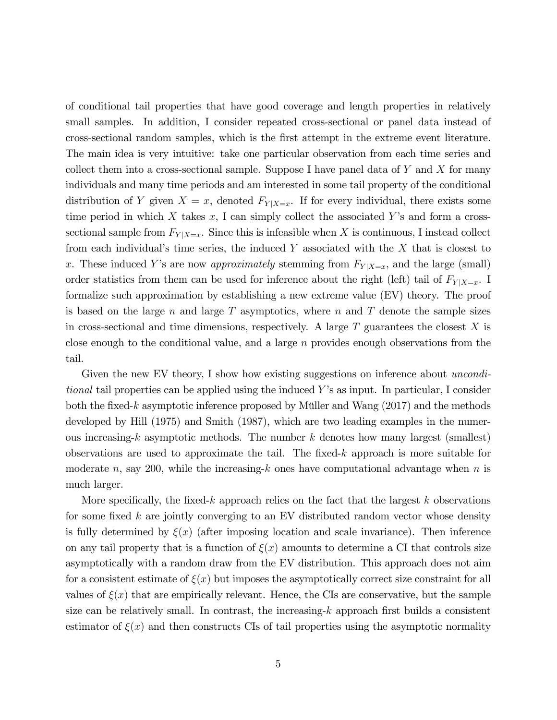of conditional tail properties that have good coverage and length properties in relatively small samples. In addition, I consider repeated cross-sectional or panel data instead of cross-sectional random samples, which is the Örst attempt in the extreme event literature. The main idea is very intuitive: take one particular observation from each time series and collect them into a cross-sectional sample. Suppose I have panel data of  $Y$  and  $X$  for many individuals and many time periods and am interested in some tail property of the conditional distribution of Y given  $X = x$ , denoted  $F_{Y|X=x}$ . If for every individual, there exists some time period in which X takes  $x$ , I can simply collect the associated Y's and form a crosssectional sample from  $F_{Y|X=x}$ . Since this is infeasible when X is continuous, I instead collect from each individual's time series, the induced Y associated with the  $X$  that is closest to x. These induced Y's are now *approximately* stemming from  $F_{Y|X=x}$ , and the large (small) order statistics from them can be used for inference about the right (left) tail of  $F_{Y|X=x}$ . I formalize such approximation by establishing a new extreme value (EV) theory. The proof is based on the large n and large T asymptotics, where n and T denote the sample sizes in cross-sectional and time dimensions, respectively. A large  $T$  guarantees the closest  $X$  is close enough to the conditional value, and a large  $n$  provides enough observations from the tail.

Given the new EV theory, I show how existing suggestions on inference about *uncondi*tional tail properties can be applied using the induced Y's as input. In particular, I consider both the fixed-k asymptotic inference proposed by Müller and Wang  $(2017)$  and the methods developed by Hill (1975) and Smith (1987), which are two leading examples in the numerous increasing- $k$  asymptotic methods. The number  $k$  denotes how many largest (smallest) observations are used to approximate the tail. The fixed-k approach is more suitable for moderate n, say 200, while the increasing-k ones have computational advantage when n is much larger.

More specifically, the fixed-k approach relies on the fact that the largest  $k$  observations for some fixed  $k$  are jointly converging to an EV distributed random vector whose density is fully determined by  $\xi(x)$  (after imposing location and scale invariance). Then inference on any tail property that is a function of  $\xi(x)$  amounts to determine a CI that controls size asymptotically with a random draw from the EV distribution. This approach does not aim for a consistent estimate of  $\xi(x)$  but imposes the asymptotically correct size constraint for all values of  $\xi(x)$  that are empirically relevant. Hence, the CIs are conservative, but the sample size can be relatively small. In contrast, the increasing- $k$  approach first builds a consistent estimator of  $\xi(x)$  and then constructs CIs of tail properties using the asymptotic normality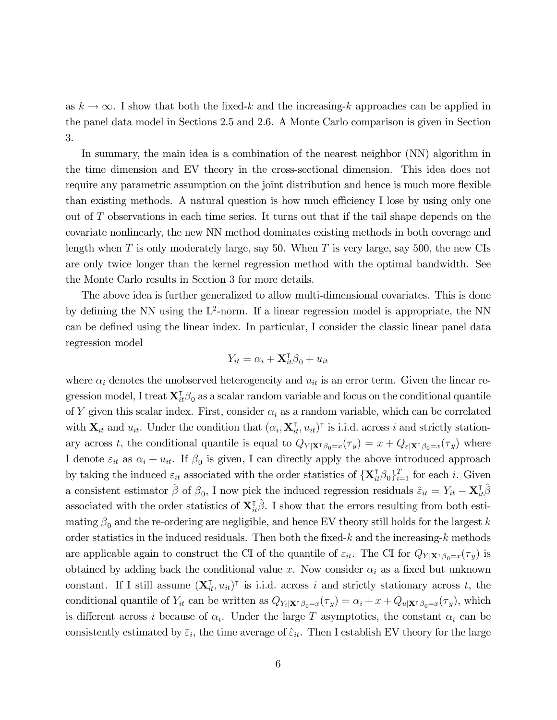as  $k \to \infty$ . I show that both the fixed-k and the increasing-k approaches can be applied in the panel data model in Sections 2.5 and 2.6. A Monte Carlo comparison is given in Section 3.

In summary, the main idea is a combination of the nearest neighbor (NN) algorithm in the time dimension and EV theory in the cross-sectional dimension. This idea does not require any parametric assumption on the joint distribution and hence is much more flexible than existing methods. A natural question is how much efficiency I lose by using only one out of T observations in each time series. It turns out that if the tail shape depends on the covariate nonlinearly, the new NN method dominates existing methods in both coverage and length when  $T$  is only moderately large, say 50. When  $T$  is very large, say 500, the new CIs are only twice longer than the kernel regression method with the optimal bandwidth. See the Monte Carlo results in Section 3 for more details.

The above idea is further generalized to allow multi-dimensional covariates. This is done by defining the NN using the  $L^2$ -norm. If a linear regression model is appropriate, the NN can be defined using the linear index. In particular, I consider the classic linear panel data regression model

$$
Y_{it} = \alpha_i + \mathbf{X}_{it}^\mathsf{T} \beta_0 + u_{it}
$$

where  $\alpha_i$  denotes the unobserved heterogeneity and  $u_{it}$  is an error term. Given the linear regression model, I treat  $\mathbf{X}_{it}^{\intercal}\boldsymbol{\beta}_0$  as a scalar random variable and focus on the conditional quantile of Y given this scalar index. First, consider  $\alpha_i$  as a random variable, which can be correlated with  $\mathbf{X}_{it}$  and  $u_{it}$ . Under the condition that  $(\alpha_i, \mathbf{X}_{it}^{\mathsf{T}}, u_{it})^{\mathsf{T}}$  is i.i.d. across i and strictly stationary across t, the conditional quantile is equal to  $Q_{Y|X^{\dagger}\beta_0=x}(\tau_y)=x+Q_{\varepsilon|X^{\dagger}\beta_0=x}(\tau_y)$  where I denote  $\varepsilon_{it}$  as  $\alpha_i + u_{it}$ . If  $\beta_0$  is given, I can directly apply the above introduced approach by taking the induced  $\varepsilon_{it}$  associated with the order statistics of  $\{\mathbf{X}_{it}^{\mathsf{T}}\boldsymbol{\beta}_0\}_{i=1}^T$  for each i. Given a consistent estimator  $\hat{\beta}$  of  $\beta_0$ , I now pick the induced regression residuals  $\hat{\varepsilon}_{it} = Y_{it} - \mathbf{X}_{it}^{\dagger} \hat{\beta}$ associated with the order statistics of  $\mathbf{X}_{it}^{\dagger}\hat{\boldsymbol{\beta}}$ . I show that the errors resulting from both estimating  $\beta_0$  and the re-ordering are negligible, and hence EV theory still holds for the largest k order statistics in the induced residuals. Then both the fixed-k and the increasing-k methods are applicable again to construct the CI of the quantile of  $\varepsilon_{it}$ . The CI for  $Q_{Y|X|\beta_0=x}(\tau_y)$  is obtained by adding back the conditional value x. Now consider  $\alpha_i$  as a fixed but unknown constant. If I still assume  $(\mathbf{X}_{it}^{\mathsf{T}}, u_{it})^{\mathsf{T}}$  is i.i.d. across i and strictly stationary across t, the conditional quantile of  $Y_{it}$  can be written as  $Q_{Y_i|X^{\dagger}\beta_0=x}(\tau_y)=\alpha_i + x + Q_{u|X^{\dagger}\beta_0=x}(\tau_y)$ , which is different across i because of  $\alpha_i$ . Under the large T asymptotics, the constant  $\alpha_i$  can be consistently estimated by  $\bar{\varepsilon}_i$ , the time average of  $\hat{\varepsilon}_{it}$ . Then I establish EV theory for the large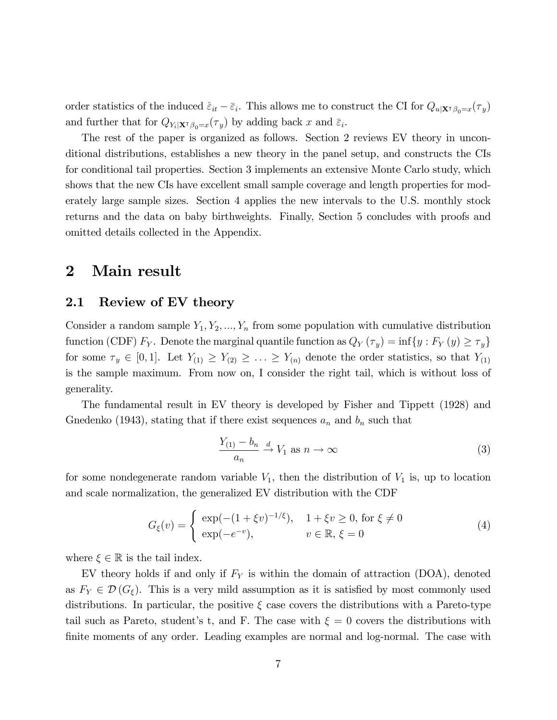order statistics of the induced  $\hat{\varepsilon}_{it} - \overline{\varepsilon}_{i}$ . This allows me to construct the CI for  $Q_{u|\mathbf{X}^{\intercal}\beta_{0}=x}(\tau_{y})$ and further that for  $Q_{Y_i|\mathbf{X}^{\mathsf{T}}\beta_0=x}(\tau_y)$  by adding back x and  $\bar{\varepsilon}_i$ .

The rest of the paper is organized as follows. Section 2 reviews EV theory in unconditional distributions, establishes a new theory in the panel setup, and constructs the CIs for conditional tail properties. Section 3 implements an extensive Monte Carlo study, which shows that the new CIs have excellent small sample coverage and length properties for moderately large sample sizes. Section 4 applies the new intervals to the U.S. monthly stock returns and the data on baby birthweights. Finally, Section 5 concludes with proofs and omitted details collected in the Appendix.

## 2 Main result

### 2.1 Review of EV theory

Consider a random sample  $Y_1, Y_2, ..., Y_n$  from some population with cumulative distribution function (CDF)  $F_Y$ . Denote the marginal quantile function as  $Q_Y(\tau_y) = \inf\{y : F_Y(y) \ge \tau_y\}$ for some  $\tau_y \in [0, 1]$ . Let  $Y_{(1)} \geq Y_{(2)} \geq \ldots \geq Y_{(n)}$  denote the order statistics, so that  $Y_{(1)}$ is the sample maximum. From now on, I consider the right tail, which is without loss of generality.

The fundamental result in EV theory is developed by Fisher and Tippett (1928) and Gnedenko (1943), stating that if there exist sequences  $a_n$  and  $b_n$  such that

$$
\frac{Y_{(1)} - b_n}{a_n} \xrightarrow{d} V_1 \text{ as } n \to \infty \tag{3}
$$

for some nondegenerate random variable  $V_1$ , then the distribution of  $V_1$  is, up to location and scale normalization, the generalized EV distribution with the CDF

$$
G_{\xi}(v) = \begin{cases} \exp(-(1+\xi v)^{-1/\xi}), & 1+\xi v \ge 0, \text{ for } \xi \ne 0\\ \exp(-e^{-v}), & v \in \mathbb{R}, \xi = 0 \end{cases}
$$
(4)

where  $\xi \in \mathbb{R}$  is the tail index.

EV theory holds if and only if  $F_Y$  is within the domain of attraction (DOA), denoted as  $F_Y \in \mathcal{D}(G_{\xi})$ . This is a very mild assumption as it is satisfied by most commonly used distributions. In particular, the positive  $\xi$  case covers the distributions with a Pareto-type tail such as Pareto, student's t, and F. The case with  $\xi = 0$  covers the distributions with finite moments of any order. Leading examples are normal and log-normal. The case with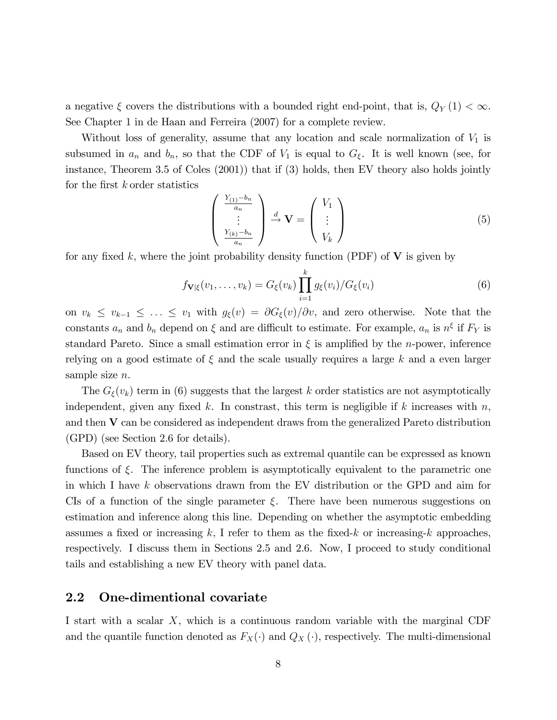a negative  $\xi$  covers the distributions with a bounded right end-point, that is,  $Q_Y(1) < \infty$ . See Chapter 1 in de Haan and Ferreira (2007) for a complete review.

Without loss of generality, assume that any location and scale normalization of  $V_1$  is subsumed in  $a_n$  and  $b_n$ , so that the CDF of  $V_1$  is equal to  $G_{\xi}$ . It is well known (see, for instance, Theorem 3.5 of Coles (2001)) that if (3) holds, then EV theory also holds jointly for the first  $k$  order statistics

$$
\begin{pmatrix}\n\frac{Y_{(1)} - b_n}{a_n} \\
\vdots \\
\frac{Y_{(k)} - b_n}{a_n}\n\end{pmatrix}\n\stackrel{d}{\rightarrow}\n\mathbf{V} =\n\begin{pmatrix}\nV_1 \\
\vdots \\
V_k\n\end{pmatrix}
$$
\n(5)

for any fixed k, where the joint probability density function (PDF) of  $V$  is given by

$$
f_{\mathbf{V}|\xi}(v_1,\ldots,v_k) = G_{\xi}(v_k) \prod_{i=1}^k g_{\xi}(v_i) / G_{\xi}(v_i)
$$
\n(6)

on  $v_k \leq v_{k-1} \leq ... \leq v_1$  with  $g_{\xi}(v) = \partial G_{\xi}(v)/\partial v$ , and zero otherwise. Note that the constants  $a_n$  and  $b_n$  depend on  $\xi$  and are difficult to estimate. For example,  $a_n$  is  $n^{\xi}$  if  $F_Y$  is standard Pareto. Since a small estimation error in  $\xi$  is amplified by the *n*-power, inference relying on a good estimate of  $\xi$  and the scale usually requires a large k and a even larger sample size *n*.

The  $G_{\xi}(v_k)$  term in (6) suggests that the largest k order statistics are not asymptotically independent, given any fixed k. In constrast, this term is negligible if k increases with  $n$ , and then V can be considered as independent draws from the generalized Pareto distribution (GPD) (see Section 2.6 for details).

Based on EV theory, tail properties such as extremal quantile can be expressed as known functions of  $\xi$ . The inference problem is asymptotically equivalent to the parametric one in which I have k observations drawn from the EV distribution or the GPD and aim for CIs of a function of the single parameter  $\xi$ . There have been numerous suggestions on estimation and inference along this line. Depending on whether the asymptotic embedding assumes a fixed or increasing k, I refer to them as the fixed-k or increasing-k approaches, respectively. I discuss them in Sections 2.5 and 2.6. Now, I proceed to study conditional tails and establishing a new EV theory with panel data.

#### 2.2 One-dimentional covariate

I start with a scalar X, which is a continuous random variable with the marginal CDF and the quantile function denoted as  $F_X(\cdot)$  and  $Q_X(\cdot)$ , respectively. The multi-dimensional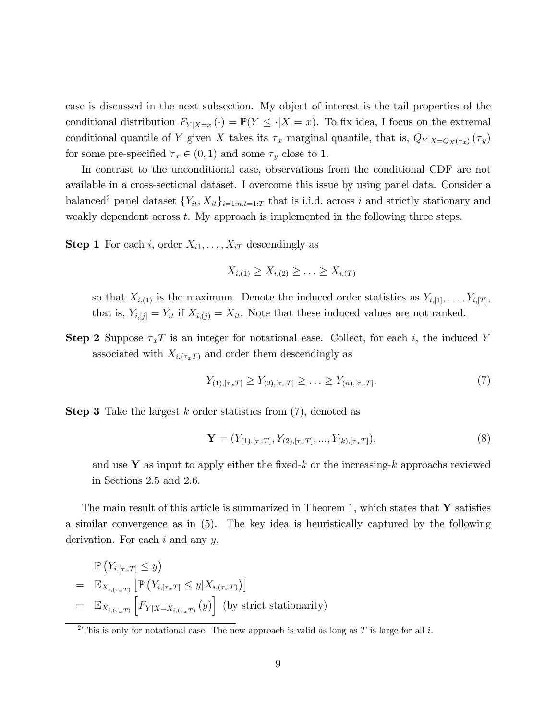case is discussed in the next subsection. My object of interest is the tail properties of the conditional distribution  $F_{Y|X=x}(\cdot) = \mathbb{P}(Y \leq \cdot |X=x)$ . To fix idea, I focus on the extremal conditional quantile of Y given X takes its  $\tau_x$  marginal quantile, that is,  $Q_{Y|X=Q_X(\tau_x)}(\tau_y)$ for some pre-specified  $\tau_x \in (0, 1)$  and some  $\tau_y$  close to 1.

In contrast to the unconditional case, observations from the conditional CDF are not available in a cross-sectional dataset. I overcome this issue by using panel data. Consider a balanced<sup>2</sup> panel dataset  ${Y_{it}, X_{it}}_{i=1:n,t=1:T}$  that is i.i.d. across i and strictly stationary and weakly dependent across  $t$ . My approach is implemented in the following three steps.

**Step 1** For each i, order  $X_{i1}, \ldots, X_{iT}$  descendingly as

$$
X_{i,(1)} \geq X_{i,(2)} \geq \ldots \geq X_{i,(T)}
$$

so that  $X_{i,(1)}$  is the maximum. Denote the induced order statistics as  $Y_{i,[1]},\ldots,Y_{i,[T]},$ that is,  $Y_{i,[j]} = Y_{it}$  if  $X_{i,(j)} = X_{it}$ . Note that these induced values are not ranked.

**Step 2** Suppose  $\tau_x T$  is an integer for notational ease. Collect, for each i, the induced Y associated with  $X_{i,(\tau_x,T)}$  and order them descendingly as

$$
Y_{(1),[\tau_x T]} \ge Y_{(2),[\tau_x T]} \ge \ldots \ge Y_{(n),[\tau_x T]}.
$$
\n(7)

**Step 3** Take the largest k order statistics from  $(7)$ , denoted as

$$
\mathbf{Y} = (Y_{(1),[\tau_x T]}, Y_{(2),[\tau_x T]}, \dots, Y_{(k),[\tau_x T]}),
$$
\n(8)

and use Y as input to apply either the fixed-k or the increasing-k approachs reviewed in Sections 2.5 and 2.6.

The main result of this article is summarized in Theorem 1, which states that  $\bf{Y}$  satisfies a similar convergence as in (5). The key idea is heuristically captured by the following derivation. For each  $i$  and any  $y$ ,

$$
\mathbb{P}\left(Y_{i,[\tau_x T]} \leq y\right)
$$
\n
$$
= \mathbb{E}_{X_{i,(\tau_x T)}}\left[\mathbb{P}\left(Y_{i,[\tau_x T]} \leq y | X_{i,(\tau_x T)}\right)\right]
$$
\n
$$
= \mathbb{E}_{X_{i,(\tau_x T)}}\left[F_{Y | X = X_{i,(\tau_x T)}}\left(y\right)\right] \text{ (by strict stationarity)}
$$

<sup>&</sup>lt;sup>2</sup>This is only for notational ease. The new approach is valid as long as T is large for all i.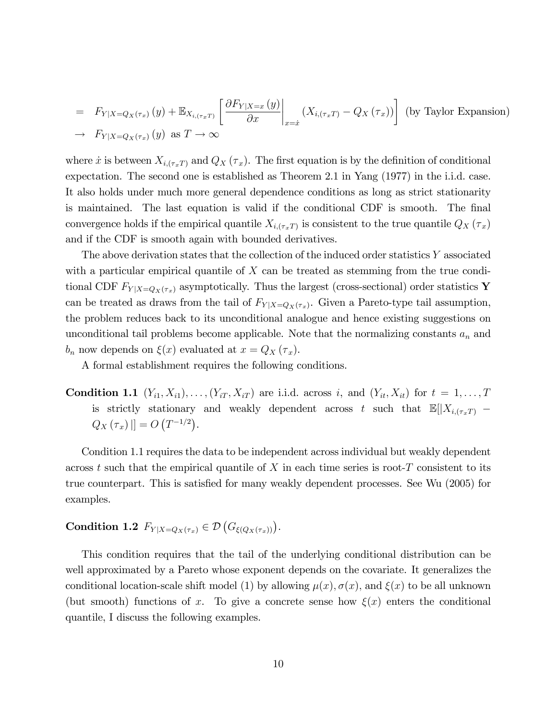$$
= F_{Y|X=Q_X(\tau_x)}(y) + \mathbb{E}_{X_{i,(\tau_x, T)}} \left[ \frac{\partial F_{Y|X=x}(y)}{\partial x} \bigg|_{x=\hat{x}} (X_{i,(\tau_x, T)} - Q_X(\tau_x)) \right] \text{ (by Taylor Expansion)}
$$
  
\n
$$
\rightarrow F_{Y|X=Q_X(\tau_x)}(y) \text{ as } T \to \infty
$$

where x is between  $X_{i,(\tau_x)}$  and  $Q_X(\tau_x)$ . The first equation is by the definition of conditional expectation. The second one is established as Theorem 2.1 in Yang (1977) in the i.i.d. case. It also holds under much more general dependence conditions as long as strict stationarity is maintained. The last equation is valid if the conditional CDF is smooth. The final convergence holds if the empirical quantile  $X_{i,(\tau_x)}$  is consistent to the true quantile  $Q_X(\tau_x)$ and if the CDF is smooth again with bounded derivatives.

The above derivation states that the collection of the induced order statistics Y associated with a particular empirical quantile of  $X$  can be treated as stemming from the true conditional CDF  $F_{Y|X=Q_X(\tau_x)}$  asymptotically. Thus the largest (cross-sectional) order statistics Y can be treated as draws from the tail of  $F_{Y|X=Q_X(\tau_x)}$ . Given a Pareto-type tail assumption, the problem reduces back to its unconditional analogue and hence existing suggestions on unconditional tail problems become applicable. Note that the normalizing constants  $a_n$  and  $b_n$  now depends on  $\xi(x)$  evaluated at  $x = Q_X(\tau_x)$ .

A formal establishment requires the following conditions.

**Condition 1.1**  $(Y_{i1}, X_{i1}), \ldots, (Y_{iT}, X_{iT})$  are i.i.d. across i, and  $(Y_{it}, X_{it})$  for  $t = 1, \ldots, T$ is strictly stationary and weakly dependent across t such that  $\mathbb{E}[|X_{i,(\tau_x)}|]$  $Q_X(\tau_x)$   $|] = O(T^{-1/2}).$ 

Condition 1.1 requires the data to be independent across individual but weakly dependent across t such that the empirical quantile of X in each time series is root-T consistent to its true counterpart. This is satisfied for many weakly dependent processes. See Wu (2005) for examples.

# Condition 1.2  $F_{Y|X=Q_X(\tau_x)} \in \mathcal{D}\left(G_{\xi(Q_X(\tau_x))}\right).$

This condition requires that the tail of the underlying conditional distribution can be well approximated by a Pareto whose exponent depends on the covariate. It generalizes the conditional location-scale shift model (1) by allowing  $\mu(x)$ ,  $\sigma(x)$ , and  $\xi(x)$  to be all unknown (but smooth) functions of x. To give a concrete sense how  $\xi(x)$  enters the conditional quantile, I discuss the following examples.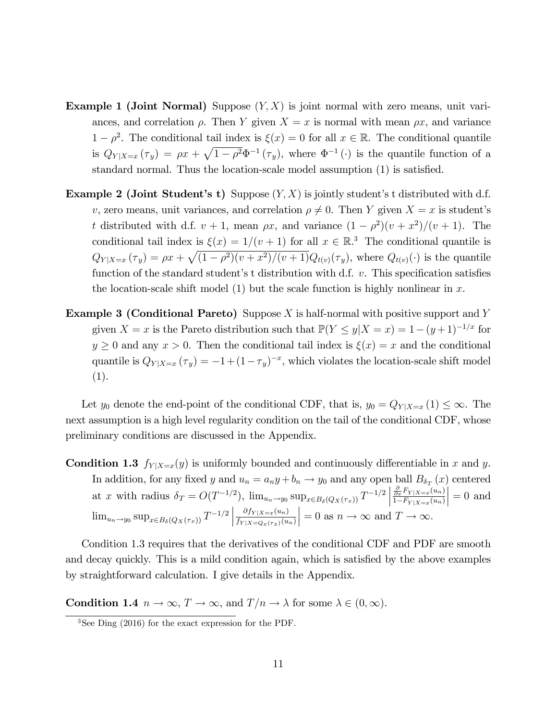- **Example 1 (Joint Normal)** Suppose  $(Y, X)$  is joint normal with zero means, unit variances, and correlation  $\rho$ . Then Y given  $X = x$  is normal with mean  $\rho x$ , and variance  $1 - \rho^2$ . The conditional tail index is  $\xi(x) = 0$  for all  $x \in \mathbb{R}$ . The conditional quantile is  $Q_{Y|X=x}(\tau_y) = \rho x + \sqrt{1-\rho^2} \Phi^{-1}(\tau_y)$ , where  $\Phi^{-1}(\cdot)$  is the quantile function of a standard normal. Thus the location-scale model assumption (1) is satisfied.
- **Example 2 (Joint Student's t)** Suppose  $(Y, X)$  is jointly student's t distributed with d.f. v, zero means, unit variances, and correlation  $\rho \neq 0$ . Then Y given  $X = x$  is student's t distributed with d.f.  $v + 1$ , mean  $\rho x$ , and variance  $(1 - \rho^2)(v + x^2)/(v + 1)$ . The conditional tail index is  $\xi(x) = 1/(v + 1)$  for all  $x \in \mathbb{R}^3$ . The conditional quantile is  $Q_{Y|X=x}(\tau_y) = \rho x + \sqrt{(1-\rho^2)(v+x^2)/(v+1)}Q_{t(v)}(\tau_y)$ , where  $Q_{t(v)}(\cdot)$  is the quantile function of the standard student's t distribution with d.f.  $v$ . This specification satisfies the location-scale shift model (1) but the scale function is highly nonlinear in  $x$ .
- **Example 3 (Conditional Pareto)** Suppose X is half-normal with positive support and Y given  $X = x$  is the Pareto distribution such that  $\mathbb{P}(Y \le y | X = x) = 1-(y+1)^{-1/x}$  for  $y \geq 0$  and any  $x > 0$ . Then the conditional tail index is  $\xi(x) = x$  and the conditional quantile is  $Q_{Y|X=x}(\tau_y) = -1 + (1 - \tau_y)^{-x}$ , which violates the location-scale shift model (1).

Let  $y_0$  denote the end-point of the conditional CDF, that is,  $y_0 = Q_{Y|X=x} (1) \leq \infty$ . The next assumption is a high level regularity condition on the tail of the conditional CDF, whose preliminary conditions are discussed in the Appendix.

**Condition 1.3**  $f_{Y|X=x}(y)$  is uniformly bounded and continuously differentiable in x and y. In addition, for any fixed y and  $u_n = a_n y + b_n \to y_0$  and any open ball  $B_{\delta_T}(x)$  centered at x with radius  $\delta_T = O(T^{-1/2})$ ,  $\lim_{u_n \to y_0} \sup_{x \in B_\delta(Q_X(\tau_x))} T^{-1/2}$  $\frac{\partial}{\partial x} F_{Y|X=x}(u_n)$  $1-F_{Y|X=x}(u_n)$  $\Big|=0$  and  $\lim_{u_n \to y_0} \sup_{x \in B_\delta(Q_X(\tau_x))} T^{-1/2}$  $\partial f_{Y|X=x}(u_n)$  $f_{Y|X = Q_x(\tau_x)}(u_n)$  $= 0$  as  $n \to \infty$  and  $T \to \infty$ .

Condition 1.3 requires that the derivatives of the conditional CDF and PDF are smooth and decay quickly. This is a mild condition again, which is satisfied by the above examples by straightforward calculation. I give details in the Appendix.

**Condition 1.4**  $n \to \infty$ ,  $T \to \infty$ , and  $T/n \to \lambda$  for some  $\lambda \in (0,\infty)$ .

<sup>3</sup>See Ding (2016) for the exact expression for the PDF.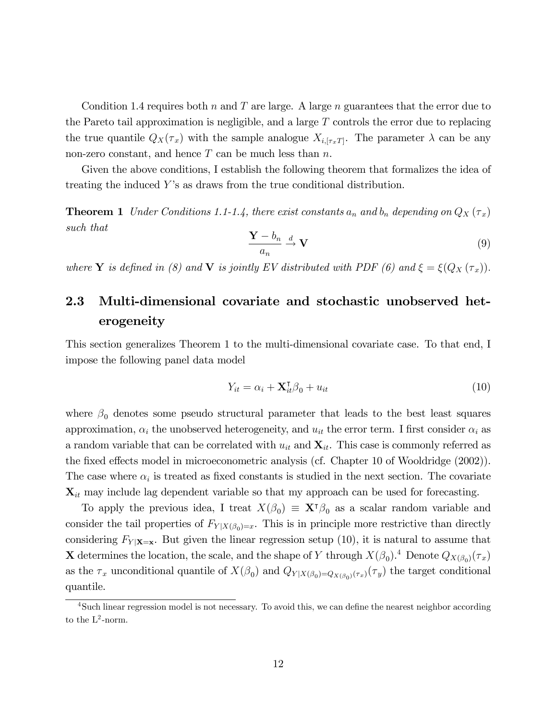Condition 1.4 requires both n and T are large. A large n guarantees that the error due to the Pareto tail approximation is negligible, and a large  $T$  controls the error due to replacing the true quantile  $Q_X(\tau_x)$  with the sample analogue  $X_{i, [\tau_x]}$ . The parameter  $\lambda$  can be any non-zero constant, and hence  $T$  can be much less than  $n$ .

Given the above conditions, I establish the following theorem that formalizes the idea of treating the induced Y's as draws from the true conditional distribution.

**Theorem 1** Under Conditions 1.1-1.4, there exist constants  $a_n$  and  $b_n$  depending on  $Q_X(\tau_x)$ such that

$$
\frac{\mathbf{Y} - b_n}{a_n} \xrightarrow{d} \mathbf{V} \tag{9}
$$

where **Y** is defined in (8) and **V** is jointly EV distributed with PDF (6) and  $\xi = \xi(Q_X(\tau_x))$ .

# 2.3 Multi-dimensional covariate and stochastic unobserved heterogeneity

This section generalizes Theorem 1 to the multi-dimensional covariate case. To that end, I impose the following panel data model

$$
Y_{it} = \alpha_i + \mathbf{X}_{it}^{\mathsf{T}} \beta_0 + u_{it}
$$
\n<sup>(10)</sup>

where  $\beta_0$  denotes some pseudo structural parameter that leads to the best least squares approximation,  $\alpha_i$  the unobserved heterogeneity, and  $u_{it}$  the error term. I first consider  $\alpha_i$  as a random variable that can be correlated with  $u_{it}$  and  $\mathbf{X}_{it}$ . This case is commonly referred as the fixed effects model in microeconometric analysis (cf. Chapter 10 of Wooldridge (2002)). The case where  $\alpha_i$  is treated as fixed constants is studied in the next section. The covariate  $\mathbf{X}_{it}$  may include lag dependent variable so that my approach can be used for forecasting.

To apply the previous idea, I treat  $X(\beta_0) \equiv \mathbf{X}^{\dagger} \beta_0$  as a scalar random variable and consider the tail properties of  $F_{Y|X(\beta_0)=x}$ . This is in principle more restrictive than directly considering  $F_{Y|X=x}$ . But given the linear regression setup (10), it is natural to assume that **X** determines the location, the scale, and the shape of Y through  $X(\beta_0)$ .<sup>4</sup> Denote  $Q_{X(\beta_0)}(\tau_x)$ as the  $\tau_x$  unconditional quantile of  $X(\beta_0)$  and  $Q_{Y|X(\beta_0)=Q_{X(\beta_0)}(\tau_x)}(\tau_y)$  the target conditional quantile.

<sup>&</sup>lt;sup>4</sup>Such linear regression model is not necessary. To avoid this, we can define the nearest neighbor according to the  $L^2$ -norm.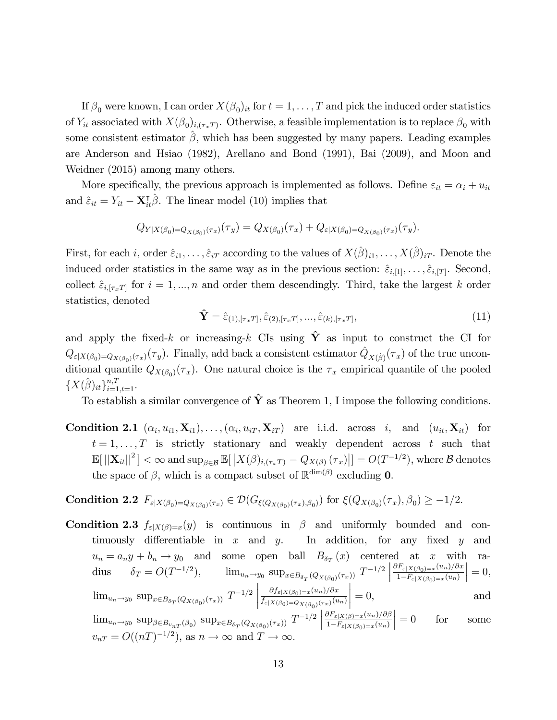If  $\beta_0$  were known, I can order  $X(\beta_0)_{it}$  for  $t = 1, \ldots, T$  and pick the induced order statistics of  $Y_{it}$  associated with  $X(\beta_0)_{i,(\tau_x)}$ . Otherwise, a feasible implementation is to replace  $\beta_0$  with some consistent estimator  $\hat{\beta}$ , which has been suggested by many papers. Leading examples are Anderson and Hsiao (1982), Arellano and Bond (1991), Bai (2009), and Moon and Weidner (2015) among many others.

More specifically, the previous approach is implemented as follows. Define  $\varepsilon_{it} = \alpha_i + u_{it}$ and  $\hat{\varepsilon}_{it} = Y_{it} - \mathbf{X}_{it}^{\mathsf{T}} \hat{\beta}$ . The linear model (10) implies that

$$
Q_{Y|X(\beta_0)=Q_{X(\beta_0)}(\tau_x)}(\tau_y) = Q_{X(\beta_0)}(\tau_x) + Q_{\varepsilon|X(\beta_0)=Q_{X(\beta_0)}(\tau_x)}(\tau_y).
$$

First, for each i, order  $\hat{\varepsilon}_{i1}, \ldots, \hat{\varepsilon}_{iT}$  according to the values of  $X(\hat{\beta})_{i1}, \ldots, X(\hat{\beta})_{iT}$ . Denote the induced order statistics in the same way as in the previous section:  $\hat{\varepsilon}_{i,[1]}, \ldots, \hat{\varepsilon}_{i,[T]}$ . Second, collect  $\hat{\varepsilon}_{i,[\tau_x]}$  for  $i = 1, ..., n$  and order them descendingly. Third, take the largest k order statistics, denoted

$$
\hat{\mathbf{Y}} = \hat{\varepsilon}_{(1),[\tau_x T]}, \hat{\varepsilon}_{(2),[\tau_x T]}, \dots, \hat{\varepsilon}_{(k),[\tau_x T]}, \tag{11}
$$

and apply the fixed-k or increasing-k CIs using  $\hat{Y}$  as input to construct the CI for  $Q_{\varepsilon|X(\beta_0)=Q_{X(\beta_0)}(\tau_x)}(\tau_y)$ . Finally, add back a consistent estimator  $\hat{Q}_{X(\hat{\beta})}(\tau_x)$  of the true unconditional quantile  $Q_{X(\beta_0)}(\tau_x)$ . One natural choice is the  $\tau_x$  empirical quantile of the pooled  $\{X(\hat{\beta})_{it}\}_{i=1,t=1}^{n,T}$ .

To establish a similar convergence of  $\hat{\mathbf{Y}}$  as Theorem 1, I impose the following conditions.

**Condition 2.1**  $(\alpha_i, u_{i1}, \mathbf{X}_{i1}), \ldots, (\alpha_i, u_{iT}, \mathbf{X}_{iT})$  are i.i.d. across i, and  $(u_{it}, \mathbf{X}_{it})$  for  $t = 1, \ldots, T$  is strictly stationary and weakly dependent across t such that  $\mathbb{E}[||\mathbf{X}_{it}||^2]<\infty$  and  $\sup_{\beta\in\mathcal{B}}\mathbb{E}[\left|X(\beta)_{i,(\tau_x T)}-Q_{X(\beta)}\left(\tau_x\right)\right|]=O(T^{-1/2}),$  where  $\mathcal B$  denotes the space of  $\beta$ , which is a compact subset of  $\mathbb{R}^{\dim(\beta)}$  excluding **0**.

Condition 2.2 
$$
F_{\varepsilon|X(\beta_0)=Q_{X(\beta_0)}(\tau_x)} \in \mathcal{D}(G_{\xi(Q_{X(\beta_0)}(\tau_x),\beta_0)})
$$
 for  $\xi(Q_{X(\beta_0)}(\tau_x),\beta_0) \geq -1/2$ .

**Condition 2.3**  $f_{\varepsilon}|X(\beta)=x(y)$  is continuous in  $\beta$  and uniformly bounded and continuously differentiable in  $x$  and  $y$ . In addition, for any fixed  $y$  and  $u_n = a_n y + b_n \to y_0$  and some open ball  $B_{\delta_T}(x)$  centered at x with radius  $\delta_T = O(T^{-1/2}),$   $\lim_{u_n \to y_0} \sup_{x \in B_{\delta_T}(Q_{X(\beta_0)}(\tau_x))} T^{-1/2}$  $\partial F_{\varepsilon|X(\beta_0)=x}(u_n)/\partial x$  $1-F_{\varepsilon|X(\beta_0)=x}(u_n)$  $\Big| = 0,$  $\lim_{u_n \to y_0} \sup_{x \in B_{\delta_T}(Q_{X(\beta_0)}(\tau_x))} T^{-1/2}$   $\partial f_{\varepsilon|X(\beta_0)=x}(u_n)/\partial x$  $f_{\varepsilon|X(\beta_0)=Q_{X(\beta_0)}(\tau_x)}(u_n)$   $= 0,$  and  $\lim_{u_n \to y_0} \sup_{\beta \in B_{v_{nT}}(\beta_0)} \sup_{x \in B_{\delta_T}(Q_{X(\beta_0)}(\tau_x))} T^{-1/2}$  $\frac{\partial F_{\varepsilon|X(\beta)=x}(u_n)/\partial\beta}{}$  $1-F_{\varepsilon|X(\beta_0)=x}(u_n)$  for some  $v_{nT} = O((nT)^{-1/2})$ , as  $n \to \infty$  and  $T \to \infty$ .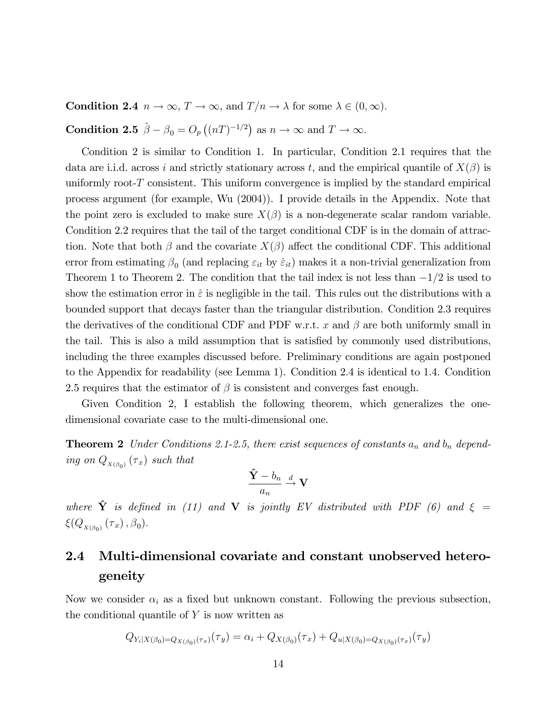**Condition 2.4**  $n \to \infty$ ,  $T \to \infty$ , and  $T/n \to \lambda$  for some  $\lambda \in (0,\infty)$ .

**Condition 2.5**  $\hat{\beta} - \beta_0 = O_p((nT)^{-1/2})$  as  $n \to \infty$  and  $T \to \infty$ .

Condition 2 is similar to Condition 1. In particular, Condition 2.1 requires that the data are i.i.d. across i and strictly stationary across t, and the empirical quantile of  $X(\beta)$  is uniformly root-T consistent. This uniform convergence is implied by the standard empirical process argument (for example, Wu (2004)). I provide details in the Appendix. Note that the point zero is excluded to make sure  $X(\beta)$  is a non-degenerate scalar random variable. Condition 2.2 requires that the tail of the target conditional CDF is in the domain of attraction. Note that both  $\beta$  and the covariate  $X(\beta)$  affect the conditional CDF. This additional error from estimating  $\beta_0$  (and replacing  $\varepsilon_{it}$  by  $\hat{\varepsilon}_{it}$ ) makes it a non-trivial generalization from Theorem 1 to Theorem 2. The condition that the tail index is not less than  $-1/2$  is used to show the estimation error in  $\hat{\varepsilon}$  is negligible in the tail. This rules out the distributions with a bounded support that decays faster than the triangular distribution. Condition 2.3 requires the derivatives of the conditional CDF and PDF w.r.t. x and  $\beta$  are both uniformly small in the tail. This is also a mild assumption that is satisfied by commonly used distributions, including the three examples discussed before. Preliminary conditions are again postponed to the Appendix for readability (see Lemma 1). Condition 2.4 is identical to 1.4. Condition 2.5 requires that the estimator of  $\beta$  is consistent and converges fast enough.

Given Condition 2, I establish the following theorem, which generalizes the onedimensional covariate case to the multi-dimensional one.

**Theorem 2** Under Conditions 2.1-2.5, there exist sequences of constants  $a_n$  and  $b_n$  depending on  $Q_{X(\beta_0)}(\tau_x)$  such that

$$
\frac{\hat{\mathbf{Y}} - b_n}{a_n} \xrightarrow{d} \mathbf{V}
$$

where  $\hat{Y}$  is defined in (11) and V is jointly EV distributed with PDF (6) and  $\xi =$  $\xi(Q_{X(\beta_0)}(\tau_x),\beta_0).$ 

# 2.4 Multi-dimensional covariate and constant unobserved heterogeneity

Now we consider  $\alpha_i$  as a fixed but unknown constant. Following the previous subsection, the conditional quantile of  $Y$  is now written as

$$
Q_{Y_i|X(\beta_0)=Q_{X(\beta_0)}(\tau_x)}(\tau_y) = \alpha_i + Q_{X(\beta_0)}(\tau_x) + Q_{u|X(\beta_0)=Q_{X(\beta_0)}(\tau_x)}(\tau_y)
$$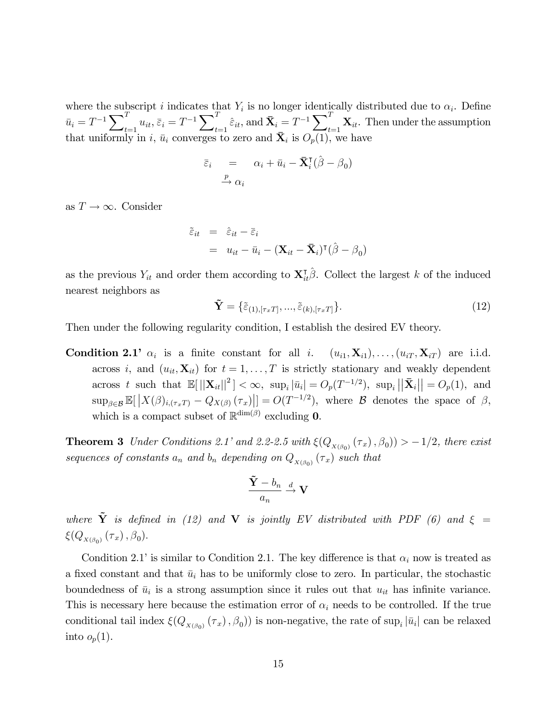where the subscript i indicates that  $Y_i$  is no longer identically distributed due to  $\alpha_i$ . Define  $\bar{u}_i = T^{-1} \sum_{i=1}^{T}$  $\frac{T}{t=1} u_{it}, \, \bar{\varepsilon}_i = T^{-1} \sum\nolimits_{t=1}^T \bar{\varepsilon}_i$  $\sum_{t=1}^T \hat{\varepsilon}_{it}, \text{and } \mathbf{\bar{X}}_i = T^{-1} \sum_{t=1}^T$  $\mathbf{x}_{1} \mathbf{x}_{1}$ . Then under the assumption that uniformly in i,  $\bar{u}_i$  converges to zero and  $\bar{X}_i$  is  $O_p(1)$ , we have

$$
\overline{\varepsilon}_i = \alpha_i + \overline{u}_i - \overline{\mathbf{X}}_i^{\mathsf{T}}(\hat{\boldsymbol{\beta}} - \boldsymbol{\beta}_0)
$$
  

$$
\xrightarrow{p} \alpha_i
$$

as  $T \to \infty$ . Consider

$$
\tilde{\varepsilon}_{it} = \hat{\varepsilon}_{it} - \bar{\varepsilon}_{i}
$$
  
=  $u_{it} - \bar{u}_{i} - (\mathbf{X}_{it} - \bar{\mathbf{X}}_{i})^{\mathsf{T}} (\hat{\boldsymbol{\beta}} - \boldsymbol{\beta}_{0})$ 

as the previous  $Y_{it}$  and order them according to  $\mathbf{X}_{it}^{\dagger}\hat{\beta}$ . Collect the largest k of the induced nearest neighbors as

$$
\tilde{\mathbf{Y}} = \{\tilde{\varepsilon}_{(1),[\tau_x T]}, ..., \tilde{\varepsilon}_{(k),[\tau_x T]}\}.
$$
\n(12)

Then under the following regularity condition, I establish the desired EV theory.

**Condition 2.1'**  $\alpha_i$  is a finite constant for all *i*.  $(u_{i1}, \mathbf{X}_{i1}), \ldots, (u_{iT}, \mathbf{X}_{iT})$  are i.i.d. across i, and  $(u_{it}, \mathbf{X}_{it})$  for  $t = 1, \ldots, T$  is strictly stationary and weakly dependent across t such that  $\mathbb{E}[||\mathbf{X}_{it}||^2] < \infty$ ,  $\sup_i |\bar{u}_i| = O_p(T^{-1/2})$ ,  $\sup_i ||\bar{\mathbf{X}}_i|| = O_p(1)$ , and  $\sup_{\beta \in \mathcal{B}} \mathbb{E}[\left| X(\beta)_{i,(\tau_x)} - Q_{X(\beta)}(\tau_x) \right|] = O(T^{-1/2}),$  where  $\mathcal B$  denotes the space of  $\beta$ , which is a compact subset of  $\mathbb{R}^{\dim(\beta)}$  excluding **0**.

**Theorem 3** Under Conditions 2.1' and 2.2-2.5 with  $\xi(Q_{X(\beta_0)}(\tau_x), \beta_0)) > -1/2$ , there exist sequences of constants  $a_n$  and  $b_n$  depending on  $Q_{X(\beta_0)}(\tau_x)$  such that

$$
\frac{\tilde{\mathbf{Y}} - b_n}{a_n} \stackrel{d}{\to} \mathbf{V}
$$

where  $\tilde{Y}$  is defined in (12) and V is jointly EV distributed with PDF (6) and  $\xi =$  $\xi(Q_{X(\beta_0)}(\tau_x),\beta_0)$ .

Condition 2.1′ is similar to Condition 2.1. The key difference is that  $\alpha_i$  now is treated as a fixed constant and that  $\bar{u}_i$  has to be uniformly close to zero. In particular, the stochastic boundedness of  $\bar{u}_i$  is a strong assumption since it rules out that  $u_{it}$  has infinite variance. This is necessary here because the estimation error of  $\alpha_i$  needs to be controlled. If the true conditional tail index  $\xi(Q_{X(\beta_0)}(\tau_x), \beta_0)$  is non-negative, the rate of sup<sub>i</sub> | $\bar{u}_i$ | can be relaxed into  $o_p(1)$ .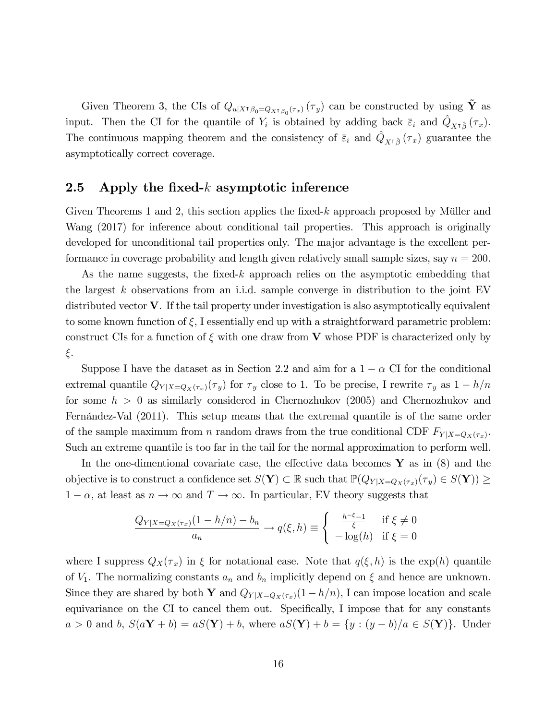Given Theorem 3, the CIs of  $Q_{u|X^{\dagger}\beta_0}=Q_{X^{\dagger}\beta_0}(\tau_x)(\tau_y)$  can be constructed by using  $\tilde{\mathbf{Y}}$  as input. Then the CI for the quantile of  $Y_i$  is obtained by adding back  $\bar{\varepsilon}_i$  and  $\hat{Q}_{X^{\dagger}\hat{\beta}}(\tau_x)$ . The continuous mapping theorem and the consistency of  $\bar{\varepsilon}_i$  and  $\hat{Q}_{X^{\dagger}\hat{\beta}}(\tau_x)$  guarantee the asymptotically correct coverage.

#### 2.5 Apply the fixed-k asymptotic inference

Given Theorems 1 and 2, this section applies the fixed-k approach proposed by Müller and Wang (2017) for inference about conditional tail properties. This approach is originally developed for unconditional tail properties only. The major advantage is the excellent performance in coverage probability and length given relatively small sample sizes, say  $n = 200$ .

As the name suggests, the fixed- $k$  approach relies on the asymptotic embedding that the largest k observations from an i.i.d. sample converge in distribution to the joint EV distributed vector  $V$ . If the tail property under investigation is also asymptotically equivalent to some known function of  $\xi$ , I essentially end up with a straightforward parametric problem: construct CIs for a function of  $\xi$  with one draw from V whose PDF is characterized only by  $\xi$ .

Suppose I have the dataset as in Section 2.2 and aim for a  $1 - \alpha$  CI for the conditional extremal quantile  $Q_{Y|X=Q_X(\tau_x)}(\tau_y)$  for  $\tau_y$  close to 1. To be precise, I rewrite  $\tau_y$  as  $1-h/n$ for some  $h > 0$  as similarly considered in Chernozhukov (2005) and Chernozhukov and Fernández-Val (2011). This setup means that the extremal quantile is of the same order of the sample maximum from *n* random draws from the true conditional CDF  $F_{Y|X=Q_X(\tau_x)}$ . Such an extreme quantile is too far in the tail for the normal approximation to perform well.

In the one-dimentional covariate case, the effective data becomes  $\bf{Y}$  as in (8) and the objective is to construct a confidence set  $S(Y) \subset \mathbb{R}$  such that  $\mathbb{P}(Q_{Y|X=Q_X(\tau_x)}(\tau_y) \in S(Y)) \ge$  $1 - \alpha$ , at least as  $n \to \infty$  and  $T \to \infty$ . In particular, EV theory suggests that

$$
\frac{Q_{Y|X=Q_X(\tau_x)}(1-h/n)-b_n}{a_n} \to q(\xi, h) \equiv \begin{cases} \frac{h^{-\xi}-1}{\xi} & \text{if } \xi \neq 0\\ -\log(h) & \text{if } \xi = 0 \end{cases}
$$

where I suppress  $Q_X(\tau_x)$  in  $\xi$  for notational ease. Note that  $q(\xi, h)$  is the  $\exp(h)$  quantile of  $V_1$ . The normalizing constants  $a_n$  and  $b_n$  implicitly depend on  $\xi$  and hence are unknown. Since they are shared by both Y and  $Q_{Y|X=Q_X(\tau_x)}(1-h/n)$ , I can impose location and scale equivariance on the CI to cancel them out. Specifically, I impose that for any constants  $a > 0$  and b,  $S(aY + b) = aS(Y) + b$ , where  $aS(Y) + b = {y : (y - b)/a \in S(Y)}$ . Under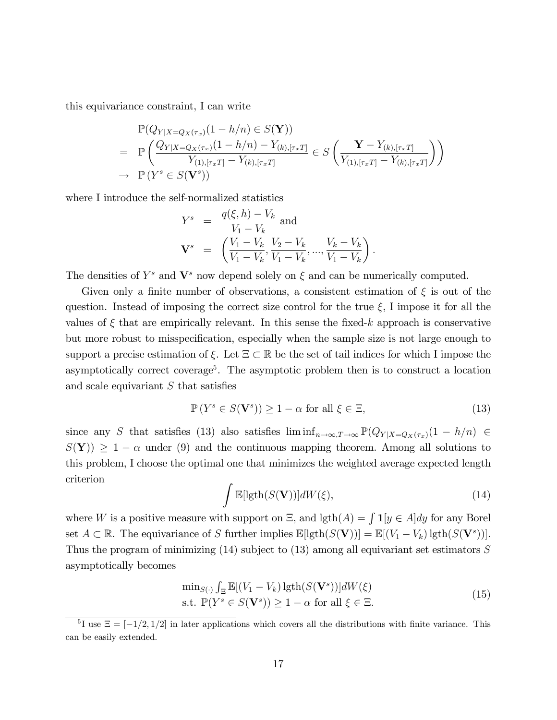this equivariance constraint, I can write

$$
\mathbb{P}(Q_{Y|X=Q_{X}(\tau_{x})}(1-h/n) \in S(\mathbf{Y}))
$$
\n
$$
= \mathbb{P}\left(\frac{Q_{Y|X=Q_{X}(\tau_{x})}(1-h/n) - Y_{(k),[\tau_{x}T]}}{Y_{(1),[\tau_{x}T]} - Y_{(k),[\tau_{x}T]}} \in S\left(\frac{\mathbf{Y} - Y_{(k),[\tau_{x}T]}}{Y_{(1),[\tau_{x}T]} - Y_{(k),[\tau_{x}T]}}\right)\right)
$$
\n
$$
\to \mathbb{P}(Y^{s} \in S(\mathbf{V}^{s}))
$$

where I introduce the self-normalized statistics

$$
Y^{s} = \frac{q(\xi, h) - V_{k}}{V_{1} - V_{k}} \text{ and}
$$
  

$$
\mathbf{V}^{s} = \left(\frac{V_{1} - V_{k}}{V_{1} - V_{k}}, \frac{V_{2} - V_{k}}{V_{1} - V_{k}}, ..., \frac{V_{k} - V_{k}}{V_{1} - V_{k}}\right).
$$

The densities of  $Y^s$  and  $\mathbf{V}^s$  now depend solely on  $\xi$  and can be numerically computed.

Given only a finite number of observations, a consistent estimation of  $\xi$  is out of the question. Instead of imposing the correct size control for the true  $\xi$ , I impose it for all the values of  $\xi$  that are empirically relevant. In this sense the fixed-k approach is conservative but more robust to misspecification, especially when the sample size is not large enough to support a precise estimation of  $\xi$ . Let  $\Xi \subset \mathbb{R}$  be the set of tail indices for which I impose the asymptotically correct coverage<sup>5</sup>. The asymptotic problem then is to construct a location and scale equivariant  $S$  that satisfies

$$
\mathbb{P}\left(Y^s \in S(\mathbf{V}^s)\right) \ge 1 - \alpha \text{ for all } \xi \in \Xi,
$$
\n(13)

since any S that satisfies (13) also satisfies  $\liminf_{n\to\infty} \mathbb{P}(Q_{Y|X=Q_X(\tau_x)}(1-h/n) \in$  $S(Y)$ )  $\geq 1 - \alpha$  under (9) and the continuous mapping theorem. Among all solutions to this problem, I choose the optimal one that minimizes the weighted average expected length criterion

$$
\int \mathbb{E}[\text{lgth}(S(\mathbf{V}))]dW(\xi),\tag{14}
$$

where W is a positive measure with support on  $\Xi$ , and  $\mathrm{lgth}(A) = \int \mathbf{1}[y \in A]dy$  for any Borel set  $A \subset \mathbb{R}$ . The equivariance of S further implies  $\mathbb{E}[\text{lgth}(S(\mathbf{V}))] = \mathbb{E}[(V_1 - V_k) \text{lgth}(S(\mathbf{V}^s))]$ . Thus the program of minimizing  $(14)$  subject to  $(13)$  among all equivariant set estimators S asymptotically becomes

$$
\min_{S(\cdot)} \int_{\Xi} \mathbb{E}[(V_1 - V_k) \operatorname{lgth}(S(\mathbf{V}^s))]dW(\xi)
$$
\n
$$
\text{s.t. } \mathbb{P}(Y^s \in S(\mathbf{V}^s)) \ge 1 - \alpha \text{ for all } \xi \in \Xi.
$$
\n
$$
(15)
$$

<sup>&</sup>lt;sup>5</sup>I use  $\Xi = [-1/2, 1/2]$  in later applications which covers all the distributions with finite variance. This can be easily extended.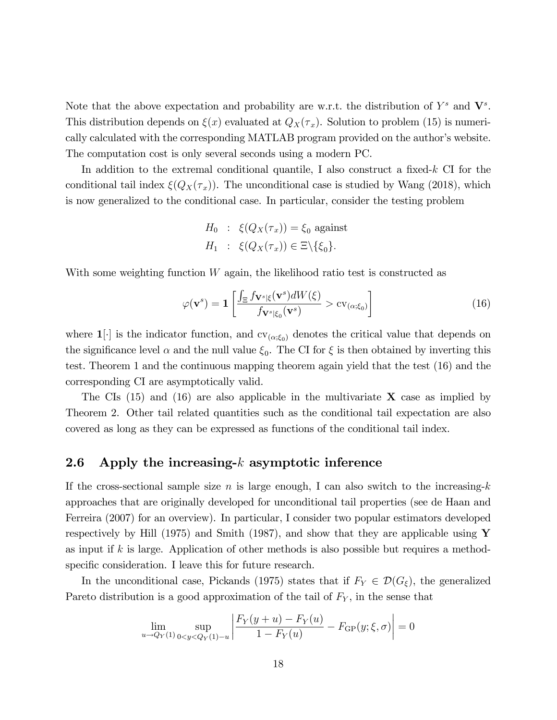Note that the above expectation and probability are w.r.t. the distribution of  $Y^s$  and  $\mathbf{V}^s$ . This distribution depends on  $\xi(x)$  evaluated at  $Q_X(\tau_x)$ . Solution to problem (15) is numerically calculated with the corresponding MATLAB program provided on the author's website. The computation cost is only several seconds using a modern PC.

In addition to the extremal conditional quantile, I also construct a fixed-k CI for the conditional tail index  $\xi(Q_X(\tau_x))$ . The unconditional case is studied by Wang (2018), which is now generalized to the conditional case. In particular, consider the testing problem

> $H_0$  :  $\xi(Q_X(\tau_x)) = \xi_0$  against  $H_1$  :  $\xi(Q_X(\tau_x)) \in \Xi \backslash \{\xi_0\}.$

With some weighting function  $W$  again, the likelihood ratio test is constructed as

$$
\varphi(\mathbf{v}^s) = \mathbf{1} \left[ \frac{\int_{\Xi} f_{\mathbf{V}^s | \xi}(\mathbf{v}^s) dW(\xi)}{f_{\mathbf{V}^s | \xi_0}(\mathbf{v}^s)} > \text{cv}_{(\alpha; \xi_0)} \right]
$$
(16)

where  $\mathbf{1}[\cdot]$  is the indicator function, and  $\text{cv}_{(\alpha;\xi_0)}$  denotes the critical value that depends on the significance level  $\alpha$  and the null value  $\xi_0$ . The CI for  $\xi$  is then obtained by inverting this test. Theorem 1 and the continuous mapping theorem again yield that the test (16) and the corresponding CI are asymptotically valid.

The CIs  $(15)$  and  $(16)$  are also applicable in the multivariate **X** case as implied by Theorem 2. Other tail related quantities such as the conditional tail expectation are also covered as long as they can be expressed as functions of the conditional tail index.

#### 2.6 Apply the increasing- $k$  asymptotic inference

If the cross-sectional sample size n is large enough, I can also switch to the increasing-k approaches that are originally developed for unconditional tail properties (see de Haan and Ferreira (2007) for an overview). In particular, I consider two popular estimators developed respectively by Hill (1975) and Smith (1987), and show that they are applicable using  $\mathbf Y$ as input if  $k$  is large. Application of other methods is also possible but requires a methodspecific consideration. I leave this for future research.

In the unconditional case, Pickands (1975) states that if  $F_Y \in \mathcal{D}(G_{\xi})$ , the generalized Pareto distribution is a good approximation of the tail of  $F_Y$ , in the sense that

$$
\lim_{u \to Q_Y(1)} \sup_{0 < y < Q_Y(1) - u} \left| \frac{F_Y(y + u) - F_Y(u)}{1 - F_Y(u)} - F_{GP}(y; \xi, \sigma) \right| = 0
$$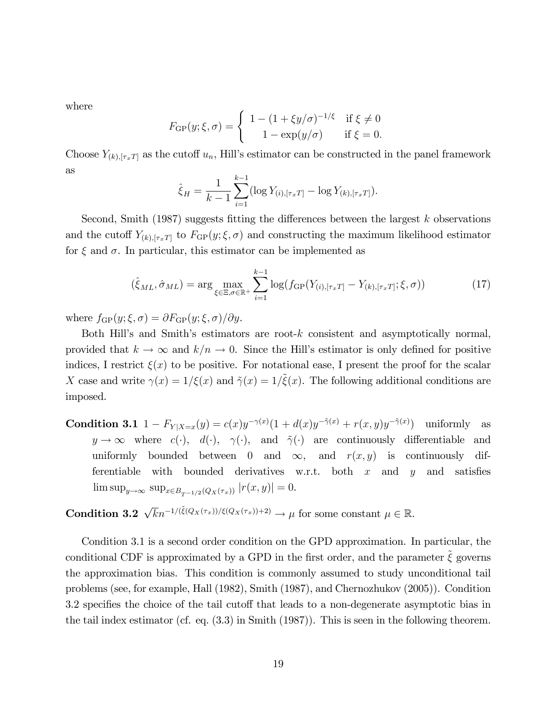where

$$
F_{\text{GP}}(y;\xi,\sigma) = \begin{cases} 1 - (1+\xi y/\sigma)^{-1/\xi} & \text{if } \xi \neq 0 \\ 1 - \exp(y/\sigma) & \text{if } \xi = 0. \end{cases}
$$

Choose  $Y_{(k),[\tau_x]}$  as the cutoff  $u_n$ , Hill's estimator can be constructed in the panel framework as

$$
\hat{\xi}_H = \frac{1}{k-1} \sum_{i=1}^{k-1} (\log Y_{(i),[\tau_x T]} - \log Y_{(k),[\tau_x T]}).
$$

Second, Smith (1987) suggests fitting the differences between the largest  $k$  observations and the cutoff  $Y_{(k),[\tau_x]}$  to  $F_{\text{GP}}(y;\xi,\sigma)$  and constructing the maximum likelihood estimator for  $\xi$  and  $\sigma$ . In particular, this estimator can be implemented as

$$
(\hat{\xi}_{ML}, \hat{\sigma}_{ML}) = \arg \max_{\xi \in \Xi, \sigma \in \mathbb{R}^+} \sum_{i=1}^{k-1} \log(f_{\text{GP}}(Y_{(i), [\tau_x T]} - Y_{(k), [\tau_x T]}; \xi, \sigma)) \tag{17}
$$

where  $f_{GP}(y; \xi, \sigma) = \partial F_{GP}(y; \xi, \sigma) / \partial y$ .

Both Hill's and Smith's estimators are root- $k$  consistent and asymptotically normal, provided that  $k \to \infty$  and  $k/n \to 0$ . Since the Hill's estimator is only defined for positive indices, I restrict  $\xi(x)$  to be positive. For notational ease, I present the proof for the scalar X case and write  $\gamma(x) = 1/\xi(x)$  and  $\tilde{\gamma}(x) = 1/\tilde{\xi}(x)$ . The following additional conditions are imposed.

**Condition 3.1**  $1 - F_{Y|X=x}(y) = c(x)y^{-\gamma(x)}(1 + d(x)y^{-\tilde{\gamma}(x)} + r(x, y)y^{-\tilde{\gamma}(x)})$  uniformly as  $y \to \infty$  where  $c(\cdot)$ ,  $d(\cdot)$ ,  $\gamma(\cdot)$ , and  $\tilde{\gamma}(\cdot)$  are continuously differentiable and uniformly bounded between 0 and  $\infty$ , and  $r(x, y)$  is continuously differentiable with bounded derivatives w.r.t. both  $x$  and  $y$  and satisfies  $\limsup_{y \to \infty} \sup_{x \in B_{T^{-1/2}}(Q_X(\tau_x))} |r(x,y)| = 0.$ 

**Condition 3.2**  $\sqrt{k}n^{-1/(\tilde{\xi}(Q_X(\tau_x))/\xi(Q_X(\tau_x))+2)} \to \mu$  for some constant  $\mu \in \mathbb{R}$ .

Condition 3.1 is a second order condition on the GPD approximation. In particular, the conditional CDF is approximated by a GPD in the first order, and the parameter  $\tilde{\xi}$  governs the approximation bias. This condition is commonly assumed to study unconditional tail problems (see, for example, Hall (1982), Smith (1987), and Chernozhukov (2005)). Condition 3.2 specifies the choice of the tail cutoff that leads to a non-degenerate asymptotic bias in the tail index estimator (cf. eq. (3.3) in Smith (1987)). This is seen in the following theorem.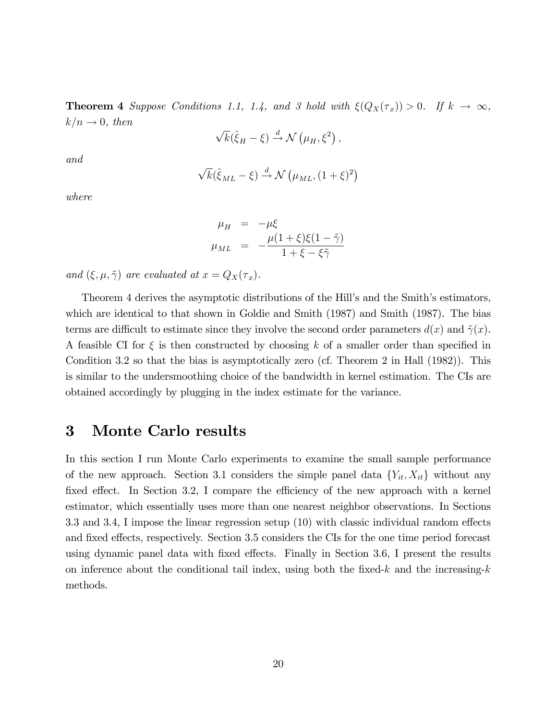**Theorem 4** Suppose Conditions 1.1, 1.4, and 3 hold with  $\xi(Q_X(\tau_x)) > 0$ . If  $k \to \infty$ ,  $k/n \rightarrow 0$ , then

$$
\sqrt{k}(\hat{\xi}_H - \xi) \stackrel{d}{\rightarrow} \mathcal{N}(\mu_H, \xi^2),
$$

and

$$
\sqrt{k}(\hat{\xi}_{ML}-\xi)\overset{d}{\rightarrow}\mathcal{N}\left(\mu_{ML},(1+\xi)^2\right)
$$

where

$$
\mu_H = -\mu \xi
$$
  

$$
\mu_{ML} = -\frac{\mu (1+\xi)\xi(1-\tilde{\gamma})}{1+\xi-\xi\tilde{\gamma}}
$$

and  $(\xi, \mu, \tilde{\gamma})$  are evaluated at  $x = Q_X(\tau_x)$ .

Theorem 4 derives the asymptotic distributions of the Hill's and the Smith's estimators, which are identical to that shown in Goldie and Smith (1987) and Smith (1987). The bias terms are difficult to estimate since they involve the second order parameters  $d(x)$  and  $\tilde{\gamma}(x)$ . A feasible CI for  $\xi$  is then constructed by choosing k of a smaller order than specified in Condition 3.2 so that the bias is asymptotically zero (cf. Theorem 2 in Hall (1982)). This is similar to the undersmoothing choice of the bandwidth in kernel estimation. The CIs are obtained accordingly by plugging in the index estimate for the variance.

### 3 Monte Carlo results

In this section I run Monte Carlo experiments to examine the small sample performance of the new approach. Section 3.1 considers the simple panel data  ${Y_{it}, X_{it}}$  without any fixed effect. In Section 3.2, I compare the efficiency of the new approach with a kernel estimator, which essentially uses more than one nearest neighbor observations. In Sections 3.3 and 3.4, I impose the linear regression setup  $(10)$  with classic individual random effects and fixed effects, respectively. Section 3.5 considers the CIs for the one time period forecast using dynamic panel data with fixed effects. Finally in Section 3.6, I present the results on inference about the conditional tail index, using both the fixed-k and the increasing-k methods.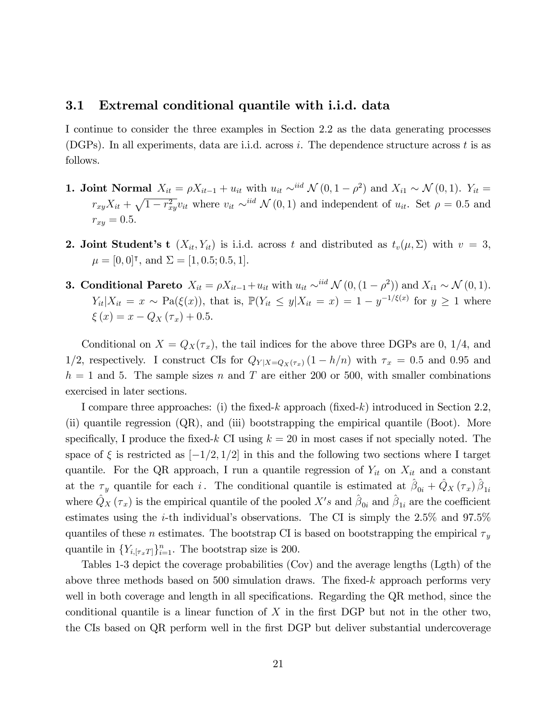#### 3.1 Extremal conditional quantile with i.i.d. data

I continue to consider the three examples in Section 2.2 as the data generating processes (DGPs). In all experiments, data are i.i.d. across i. The dependence structure across t is as follows.

- **1. Joint Normal**  $X_{it} = \rho X_{it-1} + u_{it}$  with  $u_{it} \sim^{iid} \mathcal{N}(0, 1 \rho^2)$  and  $X_{i1} \sim \mathcal{N}(0, 1)$ .  $Y_{it} =$  $r_{xy}X_{it} + \sqrt{1-r_{xy}^2}v_{it}$  where  $v_{it} \sim^{iid} \mathcal{N}(0, 1)$  and independent of  $u_{it}$ . Set  $\rho = 0.5$  and  $r_{xy} = 0.5.$
- **2. Joint Student's t**  $(X_{it}, Y_{it})$  is i.i.d. across t and distributed as  $t_v(\mu, \Sigma)$  with  $v = 3$ ,  $\mu = [0, 0]$ <sup>T</sup>, and  $\Sigma = [1, 0.5; 0.5, 1]$ .
- **3. Conditional Pareto**  $X_{it} = \rho X_{it-1} + u_{it}$  with  $u_{it} \sim^{iid} \mathcal{N} (0, (1 \rho^2))$  and  $X_{i1} \sim \mathcal{N} (0, 1)$ .  $Y_{it}|X_{it} = x \sim \text{Pa}(\xi(x))$ , that is,  $\mathbb{P}(Y_{it} \leq y | X_{it} = x) = 1 - y^{-1/\xi(x)}$  for  $y \geq 1$  where  $\xi(x) = x - Q_X(\tau_x) + 0.5.$

Conditional on  $X = Q_X(\tau_x)$ , the tail indices for the above three DGPs are 0, 1/4, and 1/2, respectively. I construct CIs for  $Q_{Y|X=Q_X(\tau_x)}(1-h/n)$  with  $\tau_x = 0.5$  and 0.95 and  $h = 1$  and 5. The sample sizes n and T are either 200 or 500, with smaller combinations exercised in later sections.

I compare three approaches: (i) the fixed-k approach (fixed-k) introduced in Section 2.2, (ii) quantile regression (QR), and (iii) bootstrapping the empirical quantile (Boot). More specifically, I produce the fixed-k CI using  $k = 20$  in most cases if not specially noted. The space of  $\xi$  is restricted as  $[-1/2, 1/2]$  in this and the following two sections where I target quantile. For the QR approach, I run a quantile regression of  $Y_{it}$  on  $X_{it}$  and a constant at the  $\tau_y$  quantile for each i. The conditional quantile is estimated at  $\hat{\beta}_{0i} + \hat{Q}_X (\tau_x) \hat{\beta}_{1i}$ where  $\hat{Q}_X(\tau_x)$  is the empirical quantile of the pooled  $X's$  and  $\hat{\beta}_{0i}$  and  $\hat{\beta}_{1i}$  are the coefficient estimates using the *i*-th individual's observations. The CI is simply the  $2.5\%$  and  $97.5\%$ quantiles of these *n* estimates. The bootstrap CI is based on bootstrapping the empirical  $\tau_y$ quantile in  $\{Y_{i,[\tau_x T]}\}_{i=1}^n$ . The bootstrap size is 200.

Tables 1-3 depict the coverage probabilities (Cov) and the average lengths (Lgth) of the above three methods based on  $500$  simulation draws. The fixed-k approach performs very well in both coverage and length in all specifications. Regarding the QR method, since the conditional quantile is a linear function of  $X$  in the first DGP but not in the other two, the CIs based on QR perform well in the first DGP but deliver substantial undercoverage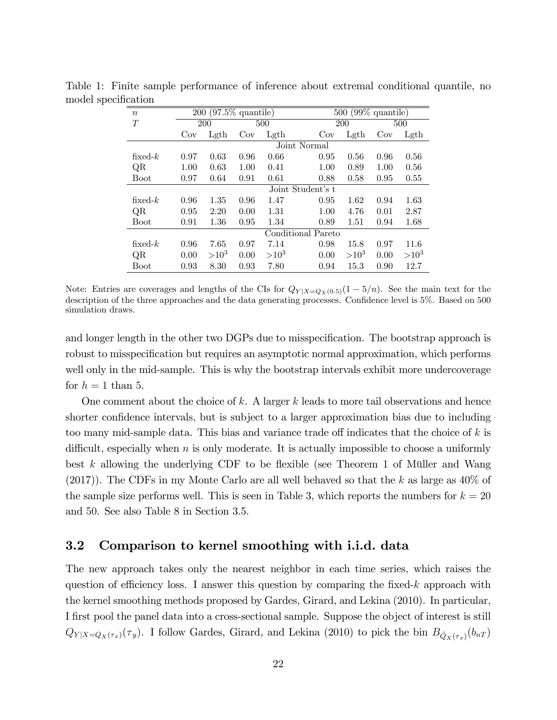| $\boldsymbol{n}$ |      | 200 (97.5% quantile) |      |         |                    | $\overline{500}$ (99% quantile) |      |           |  |  |  |  |
|------------------|------|----------------------|------|---------|--------------------|---------------------------------|------|-----------|--|--|--|--|
| $\scriptstyle T$ |      | 200                  |      | 500     |                    | 200                             |      | 500       |  |  |  |  |
|                  | Cov  | Lgth                 | Cov  | Lgth    | Cov                | Lgth                            | Cov  | Lgth      |  |  |  |  |
|                  |      |                      |      |         | Joint Normal       |                                 |      |           |  |  |  |  |
| fixed- $k$       | 0.97 | 0.63                 | 0.96 | 0.66    | 0.95               | 0.56                            | 0.96 | 0.56      |  |  |  |  |
| QR               | 1.00 | 0.63                 | 1.00 | 0.41    | 1.00               | 0.89                            | 1.00 | 0.56      |  |  |  |  |
| Boot             | 0.97 | 0.64                 | 0.91 | 0.61    | 0.88               | 0.58                            | 0.95 | 0.55      |  |  |  |  |
|                  |      | Joint Student's t    |      |         |                    |                                 |      |           |  |  |  |  |
| fixed- $k$       | 0.96 | 1.35                 | 0.96 | 1.47    | 0.95               | 1.62                            | 0.94 | 1.63      |  |  |  |  |
| QR               | 0.95 | 2.20                 | 0.00 | 1.31    | 1.00               | 4.76                            | 0.01 | 2.87      |  |  |  |  |
| <b>Boot</b>      | 0.91 | 1.36                 | 0.95 | 1.34    | 0.89               | 1.51                            | 0.94 | 1.68      |  |  |  |  |
|                  |      |                      |      |         | Conditional Pareto |                                 |      |           |  |  |  |  |
| fixed- $k$       | 0.96 | 7.65                 | 0.97 | 7.14    | 0.98               | 15.8                            | 0.97 | 11.6      |  |  |  |  |
| QR               | 0.00 | $>10^3$              | 0.00 | $>10^3$ | 0.00               | $>10^3$                         | 0.00 | $>10^{3}$ |  |  |  |  |
| <b>Boot</b>      | 0.93 | 8.30                 | 0.93 | 7.80    | 0.94               | 15.3                            | 0.90 | 12.7      |  |  |  |  |

Table 1: Finite sample performance of inference about extremal conditional quantile, no model specification

Note: Entries are coverages and lengths of the CIs for  $Q_{Y|X=Q_X(0.5)}(1-5/n)$ . See the main text for the description of the three approaches and the data generating processes. Confidence level is 5%. Based on 500 simulation draws.

and longer length in the other two DGPs due to misspecification. The bootstrap approach is robust to misspecification but requires an asymptotic normal approximation, which performs well only in the mid-sample. This is why the bootstrap intervals exhibit more undercoverage for  $h = 1$  than 5.

One comment about the choice of k. A larger  $k$  leads to more tail observations and hence shorter confidence intervals, but is subject to a larger approximation bias due to including too many mid-sample data. This bias and variance trade off indicates that the choice of  $k$  is difficult, especially when  $n$  is only moderate. It is actually impossible to choose a uniformly best k allowing the underlying CDF to be flexible (see Theorem 1 of Müller and Wang  $(2017)$ ). The CDFs in my Monte Carlo are all well behaved so that the k as large as  $40\%$  of the sample size performs well. This is seen in Table 3, which reports the numbers for  $k = 20$ and 50. See also Table 8 in Section 3.5.

#### 3.2 Comparison to kernel smoothing with i.i.d. data

The new approach takes only the nearest neighbor in each time series, which raises the question of efficiency loss. I answer this question by comparing the fixed-k approach with the kernel smoothing methods proposed by Gardes, Girard, and Lekina (2010). In particular, I first pool the panel data into a cross-sectional sample. Suppose the object of interest is still  $Q_{Y|X=Q_X(\tau_x)}(\tau_y)$ . I follow Gardes, Girard, and Lekina (2010) to pick the bin  $B_{\hat{Q}_X(\tau_x)}(b_{nT})$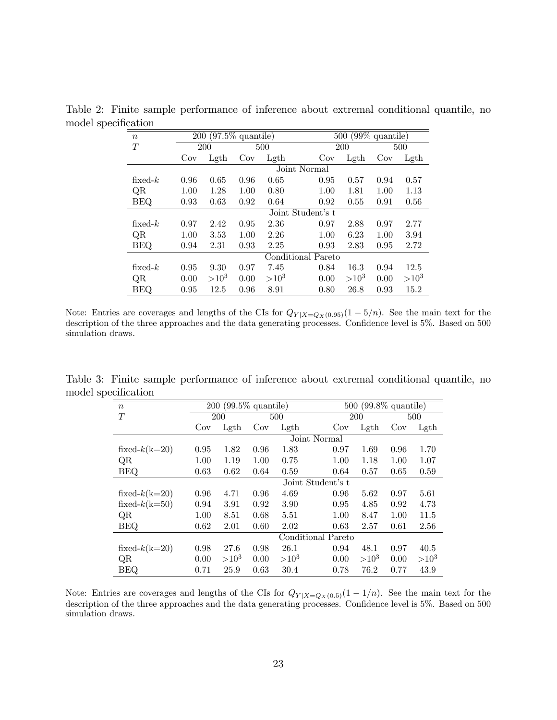| $\, n$     | 200  |                   | $\sqrt{(97.5\% \text{ quantile})}$ |             |                    | $\sqrt{99\%}$ quantile)<br>500 |      |         |  |  |  |
|------------|------|-------------------|------------------------------------|-------------|--------------------|--------------------------------|------|---------|--|--|--|
| T          |      | 200               |                                    | 500         |                    | <b>200</b>                     | 500  |         |  |  |  |
|            | Cov  | Lgth              | Cov                                | $\rm{Lgth}$ | Cov                | Lgth                           | Cov  | Lgth    |  |  |  |
|            |      | Joint Normal      |                                    |             |                    |                                |      |         |  |  |  |
| fixed- $k$ | 0.96 | 0.65              | 0.96                               | 0.65        | 0.95               | 0.57                           | 0.94 | 0.57    |  |  |  |
| QR         | 1.00 | 1.28              | 1.00                               | 0.80        | 1.00               | 1.81                           | 1.00 | 1.13    |  |  |  |
| <b>BEQ</b> | 0.93 | 0.63              | 0.92                               | 0.64        | 0.92               | 0.55                           | 0.91 | 0.56    |  |  |  |
|            |      | Joint Student's t |                                    |             |                    |                                |      |         |  |  |  |
| fixed- $k$ | 0.97 | 2.42              | 0.95                               | 2.36        | 0.97               | 2.88                           | 0.97 | 2.77    |  |  |  |
| QR         | 1.00 | 3.53              | 1.00                               | 2.26        | 1.00               | 6.23                           | 1.00 | 3.94    |  |  |  |
| <b>BEQ</b> | 0.94 | 2.31              | 0.93                               | 2.25        | 0.93               | 2.83                           | 0.95 | 2.72    |  |  |  |
|            |      |                   |                                    |             | Conditional Pareto |                                |      |         |  |  |  |
| fixed- $k$ | 0.95 | 9.30              | 0.97                               | 7.45        | 0.84               | 16.3                           | 0.94 | 12.5    |  |  |  |
| QR         | 0.00 | $>10^{3}$         | 0.00                               | $>10^3$     | 0.00               | $>10^3$                        | 0.00 | $>10^3$ |  |  |  |
| <b>BEQ</b> | 0.95 | 12.5              | 0.96                               | 8.91        | 0.80               | 26.8                           | 0.93 | 15.2    |  |  |  |

Table 2: Finite sample performance of inference about extremal conditional quantile, no model specification

Note: Entries are coverages and lengths of the CIs for  $Q_{Y|X=Q_X(0.95)}(1-5/n)$ . See the main text for the description of the three approaches and the data generating processes. Confidence level is 5%. Based on 500 simulation draws.

Table 3: Finite sample performance of inference about extremal conditional quantile, no model specification

| $\boldsymbol{n}$ |      | $\sqrt{200 (99.5)}$ quantile) |      |                 |                    | $\overline{500}$ (99.8% quantile) |      |         |  |  |
|------------------|------|-------------------------------|------|-----------------|--------------------|-----------------------------------|------|---------|--|--|
| T                |      | 200                           |      | 500             |                    | 200                               |      | 500     |  |  |
|                  | Cov  | Lgth                          | Cov  | $\mathrm{Lgth}$ | Cov                | Left                              | Cov  | Lgth    |  |  |
|                  |      |                               |      |                 | Joint Normal       |                                   |      |         |  |  |
| fixed- $k(k=20)$ | 0.95 | 1.82                          | 0.96 | 1.83            | 0.97               | 1.69                              | 0.96 | 1.70    |  |  |
| QR               | 1.00 | 1.19                          | 1.00 | 0.75            | 1.00               | 1.18                              | 1.00 | 1.07    |  |  |
| <b>BEQ</b>       | 0.63 | 0.62                          | 0.64 | 0.59            | 0.64               | 0.57                              | 0.65 | 0.59    |  |  |
|                  |      |                               |      |                 | Joint Student's t  |                                   |      |         |  |  |
| fixed- $k(k=20)$ | 0.96 | 4.71                          | 0.96 | 4.69            | 0.96               | 5.62                              | 0.97 | 5.61    |  |  |
| fixed- $k(k=50)$ | 0.94 | 3.91                          | 0.92 | 3.90            | 0.95               | 4.85                              | 0.92 | 4.73    |  |  |
| QR               | 1.00 | 8.51                          | 0.68 | 5.51            | 1.00               | 8.47                              | 1.00 | 11.5    |  |  |
| <b>BEQ</b>       | 0.62 | 2.01                          | 0.60 | 2.02            | 0.63               | 2.57                              | 0.61 | 2.56    |  |  |
|                  |      |                               |      |                 | Conditional Pareto |                                   |      |         |  |  |
| fixed- $k(k=20)$ | 0.98 | 27.6                          | 0.98 | 26.1            | 0.94               | 48.1                              | 0.97 | 40.5    |  |  |
| QR               | 0.00 | $>10^3$                       | 0.00 | $>10^3$         | 0.00               | $>10^3$                           | 0.00 | $>10^3$ |  |  |
| BEQ              | 0.71 | 25.9                          | 0.63 | 30.4            | 0.78               | 76.2                              | 0.77 | 43.9    |  |  |

Note: Entries are coverages and lengths of the CIs for  $Q_{Y|X=Q_X(0.5)}(1-1/n)$ . See the main text for the description of the three approaches and the data generating processes. Confidence level is 5%. Based on 500 simulation draws.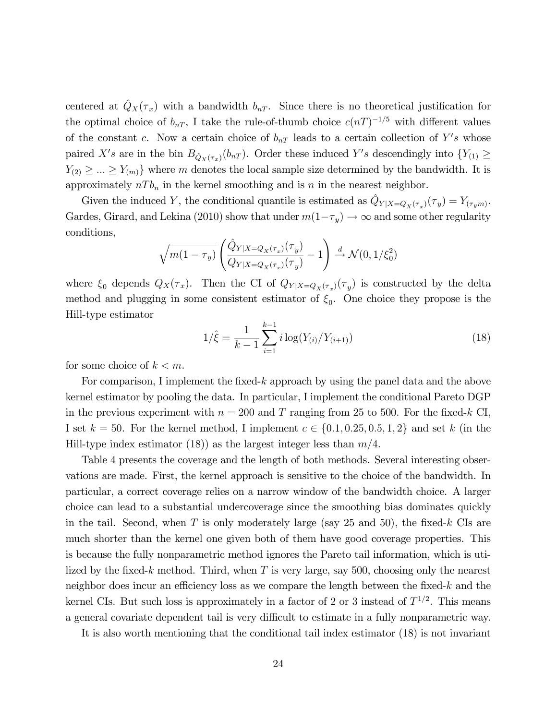centered at  $\hat{Q}_X(\tau_x)$  with a bandwidth  $b_{nT}$ . Since there is no theoretical justification for the optimal choice of  $b_{nT}$ , I take the rule-of-thumb choice  $c(nT)^{-1/5}$  with different values of the constant c. Now a certain choice of  $b_{nT}$  leads to a certain collection of Y's whose paired X's are in the bin  $B_{\hat{Q}_X(\tau_x)}(b_{nT})$ . Order these induced Y's descendingly into  $\{Y_{(1)} \geq$  $Y_{(2)} \geq \ldots \geq Y_{(m)}$  where m denotes the local sample size determined by the bandwidth. It is approximately  $nT b_n$  in the kernel smoothing and is n in the nearest neighbor.

Given the induced Y, the conditional quantile is estimated as  $\hat{Q}_{Y|X=Q_X(\tau_x)}(\tau_y) = Y_{(\tau_y,m)}$ . Gardes, Girard, and Lekina (2010) show that under  $m(1 - \tau_y) \to \infty$  and some other regularity conditions,

$$
\sqrt{m(1-\tau_y)}\left(\frac{\hat{Q}_{Y|X=Q_X(\tau_x)}(\tau_y)}{Q_{Y|X=Q_X(\tau_x)}(\tau_y)}-1\right) \stackrel{d}{\to} \mathcal{N}(0,1/\xi_0^2)
$$

where  $\xi_0$  depends  $Q_X(\tau_x)$ . Then the CI of  $Q_{Y|X=Q_X(\tau_x)}(\tau_y)$  is constructed by the delta method and plugging in some consistent estimator of  $\xi_0$ . One choice they propose is the Hill-type estimator

$$
1/\hat{\xi} = \frac{1}{k-1} \sum_{i=1}^{k-1} i \log(Y_{(i)}/Y_{(i+1)})
$$
\n(18)

for some choice of  $k < m$ .

For comparison, I implement the fixed-k approach by using the panel data and the above kernel estimator by pooling the data. In particular, I implement the conditional Pareto DGP in the previous experiment with  $n = 200$  and T ranging from 25 to 500. For the fixed-k CI, I set  $k = 50$ . For the kernel method, I implement  $c \in \{0.1, 0.25, 0.5, 1, 2\}$  and set k (in the Hill-type index estimator (18)) as the largest integer less than  $m/4$ .

Table 4 presents the coverage and the length of both methods. Several interesting observations are made. First, the kernel approach is sensitive to the choice of the bandwidth. In particular, a correct coverage relies on a narrow window of the bandwidth choice. A larger choice can lead to a substantial undercoverage since the smoothing bias dominates quickly in the tail. Second, when T is only moderately large (say 25 and 50), the fixed-k CIs are much shorter than the kernel one given both of them have good coverage properties. This is because the fully nonparametric method ignores the Pareto tail information, which is utilized by the fixed-k method. Third, when  $T$  is very large, say 500, choosing only the nearest neighbor does incur an efficiency loss as we compare the length between the fixed- $k$  and the kernel CIs. But such loss is approximately in a factor of 2 or 3 instead of  $T^{1/2}$ . This means a general covariate dependent tail is very difficult to estimate in a fully nonparametric way.

It is also worth mentioning that the conditional tail index estimator (18) is not invariant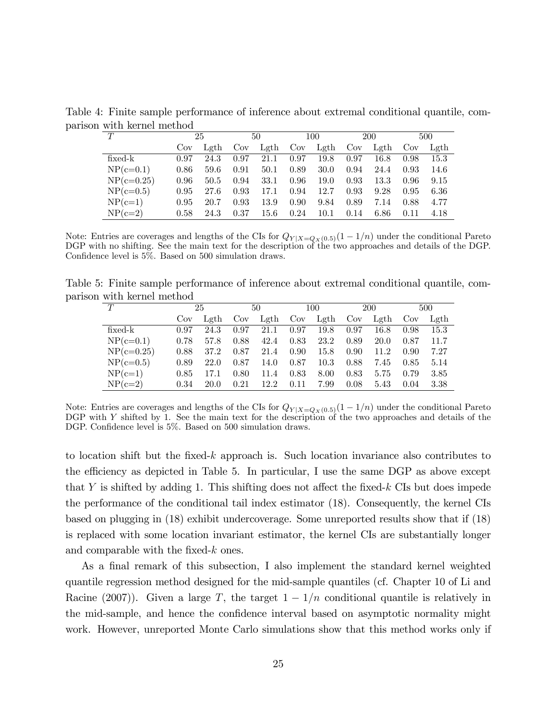| T            |      | 25   |      | 50   |      | 100  |      | 200  |      | 500  |
|--------------|------|------|------|------|------|------|------|------|------|------|
|              | Cov  | Leth | Cov  | Lgth | Cov  | Lgth | Cov  | Lgth | Cov  | Leth |
| $fixed-k$    | 0.97 | 24.3 | 0.97 | 21.1 | 0.97 | 19.8 | 0.97 | 16.8 | 0.98 | 15.3 |
| $NP(c=0.1)$  | 0.86 | 59.6 | 0.91 | 50.1 | 0.89 | 30.0 | 0.94 | 24.4 | 0.93 | 14.6 |
| $NP(c=0.25)$ | 0.96 | 50.5 | 0.94 | 33.1 | 0.96 | 19.0 | 0.93 | 13.3 | 0.96 | 9.15 |
| $NP(c=0.5)$  | 0.95 | 27.6 | 0.93 | 17.1 | 0.94 | 12.7 | 0.93 | 9.28 | 0.95 | 6.36 |
| $NP(c=1)$    | 0.95 | 20.7 | 0.93 | 13.9 | 0.90 | 9.84 | 0.89 | 7.14 | 0.88 | 4.77 |
| $NP(c=2)$    | 0.58 | 24.3 | 0.37 | 15.6 | 0.24 | 10.1 | 0.14 | 6.86 | 0.11 | 4.18 |

Table 4: Finite sample performance of inference about extremal conditional quantile, comparison with kernel method

Note: Entries are coverages and lengths of the CIs for  $Q_{Y|X=Q_X(0.5)}(1-1/n)$  under the conditional Pareto DGP with no shifting. See the main text for the description of the two approaches and details of the DGP. Confidence level is  $5\%$ . Based on  $500$  simulation draws.

Table 5: Finite sample performance of inference about extremal conditional quantile, comparison with kernel method

| T            | 25   |      | 50   |            | 100  |          | 200  |      | 500  |      |
|--------------|------|------|------|------------|------|----------|------|------|------|------|
|              | Cov  | Leth | Cov  | $\rm Leth$ | Cov  | Lgth     | Cov  | Leth | Cov  | Leth |
| $fixed-k$    | 0.97 | 24.3 | 0.97 | 21.1       | 0.97 | 19.8     | 0.97 | 16.8 | 0.98 | 15.3 |
| $NP(c=0.1)$  | 0.78 | 57.8 | 0.88 | 42.4       | 0.83 | 23.2     | 0.89 | 20.0 | 0.87 | 11.7 |
| $NP(c=0.25)$ | 0.88 | 37.2 | 0.87 | 21.4       | 0.90 | 15.8     | 0.90 | 11.2 | 0.90 | 7.27 |
| $NP(c=0.5)$  | 0.89 | 22.0 | 0.87 | 14.0       | 0.87 | $10.3\,$ | 0.88 | 7.45 | 0.85 | 5.14 |
| $NP(c=1)$    | 0.85 | 17.1 | 0.80 | 11.4       | 0.83 | 8.00     | 0.83 | 5.75 | 0.79 | 3.85 |
| $NP(c=2)$    | 0.34 | 20.0 | 0.21 | 12.2       | 0.11 | 7.99     | 0.08 | 5.43 | 0.04 | 3.38 |

Note: Entries are coverages and lengths of the CIs for  $Q_{Y|X=Q_X(0.5)}(1-1/n)$  under the conditional Pareto DGP with Y shifted by 1. See the main text for the description of the two approaches and details of the DGP. Confidence level is  $5\%$ . Based on 500 simulation draws.

to location shift but the fixed- $k$  approach is. Such location invariance also contributes to the efficiency as depicted in Table 5. In particular, I use the same DGP as above except that Y is shifted by adding 1. This shifting does not affect the fixed-k CIs but does impede the performance of the conditional tail index estimator (18). Consequently, the kernel CIs based on plugging in (18) exhibit undercoverage. Some unreported results show that if (18) is replaced with some location invariant estimator, the kernel CIs are substantially longer and comparable with the fixed- $k$  ones.

As a final remark of this subsection, I also implement the standard kernel weighted quantile regression method designed for the mid-sample quantiles (cf. Chapter 10 of Li and Racine (2007)). Given a large T, the target  $1-1/n$  conditional quantile is relatively in the mid-sample, and hence the confidence interval based on asymptotic normality might work. However, unreported Monte Carlo simulations show that this method works only if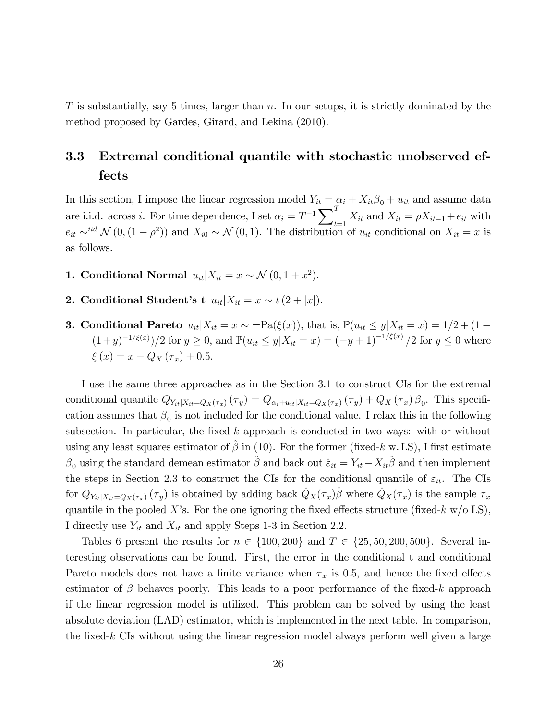$T$  is substantially, say 5 times, larger than  $n$ . In our setups, it is strictly dominated by the method proposed by Gardes, Girard, and Lekina (2010).

# 3.3 Extremal conditional quantile with stochastic unobserved effects

In this section, I impose the linear regression model  $Y_{it} = \alpha_i + X_{it}\beta_0 + u_{it}$  and assume data are i.i.d. across i. For time dependence, I set  $\alpha_i = T^{-1} \sum_i^T$  $t_{t=1} X_{it}$  and  $X_{it} = \rho X_{it-1} + e_{it}$  with  $e_{it} \sim^{iid} \mathcal{N} (0, (1 - \rho^2))$  and  $X_{i0} \sim \mathcal{N} (0, 1)$ . The distribution of  $u_{it}$  conditional on  $X_{it} = x$  is as follows.

- 1. Conditional Normal  $u_{it}|X_{it} = x \sim \mathcal{N}(0, 1 + x^2)$ .
- 2. Conditional Student's t  $u_{it}|X_{it} = x \sim t(2 + |x|).$
- 3. Conditional Pareto  $u_{it}|X_{it} = x \sim \pm \text{Pa}(\xi(x))$ , that is,  $\mathbb{P}(u_{it} \leq y | X_{it} = x) = 1/2 + (1 (1+y)^{-1/\xi(x)})/2$  for  $y \ge 0$ , and  $\mathbb{P}(u_{it} \le y | X_{it} = x) = (-y+1)^{-1/\xi(x)}/2$  for  $y \le 0$  where  $\xi(x) = x - Q_X(\tau_x) + 0.5.$

I use the same three approaches as in the Section 3.1 to construct CIs for the extremal conditional quantile  $Q_{Y_{it}|X_{it}=Q_X(\tau_x)}(\tau_y) = Q_{\alpha_i+u_{it}|X_{it}=Q_X(\tau_x)}(\tau_y) + Q_X(\tau_x)\beta_0$ . This specification assumes that  $\beta_0$  is not included for the conditional value. I relax this in the following subsection. In particular, the fixed-k approach is conducted in two ways: with or without using any least squares estimator of  $\hat{\beta}$  in (10). For the former (fixed-k w. LS), I first estimate  $\beta_0$  using the standard demean estimator  $\hat{\beta}$  and back out  $\hat{\varepsilon}_{it} = Y_{it} - X_{it}\hat{\beta}$  and then implement the steps in Section 2.3 to construct the CIs for the conditional quantile of  $\varepsilon_{it}$ . The CIs for  $Q_{Y_{it}|X_{it}=Q_X(\tau_x)}(\tau_y)$  is obtained by adding back  $\hat{Q}_X(\tau_x)\hat{\beta}$  where  $\hat{Q}_X(\tau_x)$  is the sample  $\tau_x$ quantile in the pooled X's. For the one ignoring the fixed effects structure (fixed-k  $w/o$  LS), I directly use  $Y_{it}$  and  $X_{it}$  and apply Steps 1-3 in Section 2.2.

Tables 6 present the results for  $n \in \{100, 200\}$  and  $T \in \{25, 50, 200, 500\}$ . Several interesting observations can be found. First, the error in the conditional t and conditional Pareto models does not have a finite variance when  $\tau_x$  is 0.5, and hence the fixed effects estimator of  $\beta$  behaves poorly. This leads to a poor performance of the fixed-k approach if the linear regression model is utilized. This problem can be solved by using the least absolute deviation (LAD) estimator, which is implemented in the next table. In comparison, the fixed- $k$  CIs without using the linear regression model always perform well given a large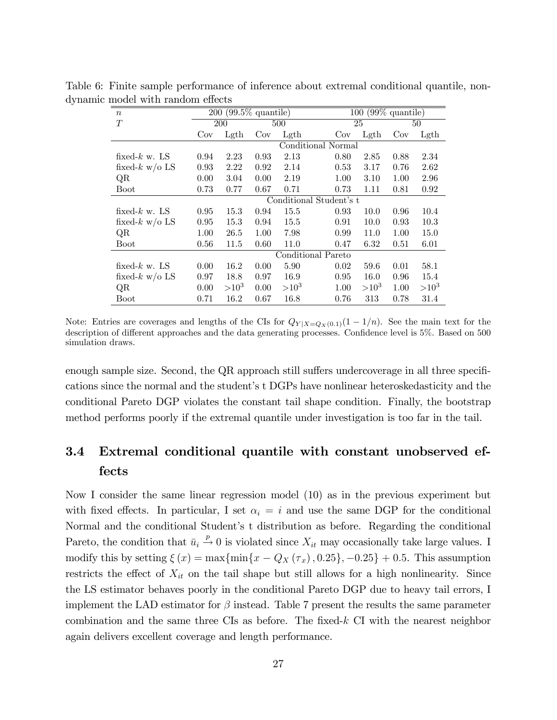| $\boldsymbol{n}$           |                         | $\overline{200}$ (99.5% quantile) |      |         |                    | $\sqrt{99\%}$ quantile)<br>100 |      |         |  |  |
|----------------------------|-------------------------|-----------------------------------|------|---------|--------------------|--------------------------------|------|---------|--|--|
| T                          |                         | 200                               |      | 500     |                    | 25                             | 50   |         |  |  |
|                            | Cov                     | $\rm{Lgth}$                       | Cov  | Lgth    | Cov                | $\mathrm{Lgth}$                | Cov  | Lgth    |  |  |
|                            |                         |                                   |      |         | Conditional Normal |                                |      |         |  |  |
| fixed- $k \le N$ . LS      | 0.94                    | 2.23                              | 0.93 | 2.13    | 0.80               | 2.85                           | 0.88 | 2.34    |  |  |
| fixed- $k \le n/\infty$ LS | 0.93                    | 2.22                              | 0.92 | 2.14    | 0.53               | 3.17                           | 0.76 | 2.62    |  |  |
| QR                         | 0.00                    | 3.04                              | 0.00 | 2.19    | 1.00               | 3.10                           | 1.00 | 2.96    |  |  |
| <b>Boot</b>                | 0.73                    | 0.77                              | 0.67 | 0.71    | 0.73               | 1.11                           | 0.81 | 0.92    |  |  |
|                            | Conditional Student's t |                                   |      |         |                    |                                |      |         |  |  |
| fixed- $k \le N$ . LS      | 0.95                    | 15.3                              | 0.94 | 15.5    | 0.93               | 10.0                           | 0.96 | 10.4    |  |  |
| fixed- $k \le n/\infty$ LS | 0.95                    | 15.3                              | 0.94 | 15.5    | 0.91               | 10.0                           | 0.93 | 10.3    |  |  |
| QR                         | 1.00                    | 26.5                              | 1.00 | 7.98    | 0.99               | 11.0                           | 1.00 | 15.0    |  |  |
| <b>Boot</b>                | 0.56                    | 11.5                              | 0.60 | 11.0    | 0.47               | 6.32                           | 0.51 | 6.01    |  |  |
|                            |                         |                                   |      |         | Conditional Pareto |                                |      |         |  |  |
| fixed- $k \le N$ . LS      | 0.00                    | 16.2                              | 0.00 | 5.90    | 0.02               | 59.6                           | 0.01 | 58.1    |  |  |
| fixed- $k \le n/\infty$ LS | 0.97                    | 18.8                              | 0.97 | 16.9    | 0.95               | 16.0                           | 0.96 | 15.4    |  |  |
| QR                         | 0.00                    | $>10^3$                           | 0.00 | $>10^3$ | 1.00               | $>10^3$                        | 1.00 | $>10^3$ |  |  |
| Boot                       | 0.71                    | 16.2                              | 0.67 | 16.8    | 0.76               | 313                            | 0.78 | 31.4    |  |  |

Table 6: Finite sample performance of inference about extremal conditional quantile, nondynamic model with random effects

Note: Entries are coverages and lengths of the CIs for  $Q_{Y|X=Q_X(0,1)}(1-1/n)$ . See the main text for the description of different approaches and the data generating processes. Confidence level is 5%. Based on 500 simulation draws.

enough sample size. Second, the QR approach still suffers undercoverage in all three specifications since the normal and the student's t DGPs have nonlinear heteroskedasticity and the conditional Pareto DGP violates the constant tail shape condition. Finally, the bootstrap method performs poorly if the extremal quantile under investigation is too far in the tail.

# 3.4 Extremal conditional quantile with constant unobserved effects

Now I consider the same linear regression model (10) as in the previous experiment but with fixed effects. In particular, I set  $\alpha_i = i$  and use the same DGP for the conditional Normal and the conditional Student's t distribution as before. Regarding the conditional Pareto, the condition that  $\bar{u}_i \stackrel{p}{\rightarrow} 0$  is violated since  $X_{it}$  may occasionally take large values. I modify this by setting  $\xi(x) = \max{\min\{x - Q_X(\tau_x), 0.25\}} - 0.25 + 0.5$ . This assumption restricts the effect of  $X_{it}$  on the tail shape but still allows for a high nonlinearity. Since the LS estimator behaves poorly in the conditional Pareto DGP due to heavy tail errors, I implement the LAD estimator for  $\beta$  instead. Table 7 present the results the same parameter combination and the same three CIs as before. The fixed- $k$  CI with the nearest neighbor again delivers excellent coverage and length performance.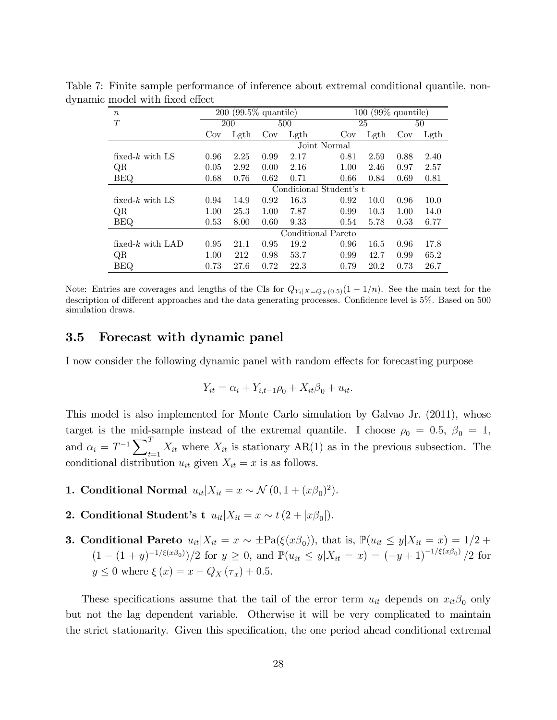| $\boldsymbol{n}$    |                         | $\overline{200}$ (99.5% quantile) |      |      |              | $\sqrt{99\%}$ quantile)<br>100 |      |                 |  |
|---------------------|-------------------------|-----------------------------------|------|------|--------------|--------------------------------|------|-----------------|--|
| T                   |                         | 200                               |      | 500  |              | 25                             |      | 50              |  |
|                     | Cov                     | Lgth                              | Cov  | Lgth | Cov          | Lgth                           | Cov  | $\mathrm{Lgth}$ |  |
|                     |                         |                                   |      |      | Joint Normal |                                |      |                 |  |
| fixed- $k$ with LS  | 0.96                    | 2.25                              | 0.99 | 2.17 | 0.81         | 2.59                           | 0.88 | 2.40            |  |
| QR                  | 0.05                    | 2.92                              | 0.00 | 2.16 | 1.00         | 2.46                           | 0.97 | 2.57            |  |
| <b>BEQ</b>          | 0.68                    | 0.76                              | 0.62 | 0.71 | 0.66         | 0.84                           | 0.69 | 0.81            |  |
|                     | Conditional Student's t |                                   |      |      |              |                                |      |                 |  |
| fixed- $k$ with LS  | 0.94                    | 14.9                              | 0.92 | 16.3 | 0.92         | 10.0                           | 0.96 | 10.0            |  |
| QR                  | 1.00                    | 25.3                              | 1.00 | 7.87 | 0.99         | 10.3                           | 1.00 | 14.0            |  |
| <b>BEQ</b>          | 0.53                    | 8.00                              | 0.60 | 9.33 | 0.54         | 5.78                           | 0.53 | 6.77            |  |
|                     | Conditional Pareto      |                                   |      |      |              |                                |      |                 |  |
| fixed- $k$ with LAD | 0.95                    | 21.1                              | 0.95 | 19.2 | 0.96         | 16.5                           | 0.96 | 17.8            |  |
| QR                  | 1.00                    | 212                               | 0.98 | 53.7 | 0.99         | 42.7                           | 0.99 | 65.2            |  |
| BEQ                 | 0.73                    | 27.6                              | 0.72 | 22.3 | 0.79         | 20.2                           | 0.73 | 26.7            |  |

Table 7: Finite sample performance of inference about extremal conditional quantile, nondynamic model with fixed effect

Note: Entries are coverages and lengths of the CIs for  $Q_{Y_i|X=Q_X(0.5)}(1-1/n)$ . See the main text for the description of different approaches and the data generating processes. Confidence level is 5%. Based on 500 simulation draws.

#### 3.5 Forecast with dynamic panel

I now consider the following dynamic panel with random effects for forecasting purpose

$$
Y_{it} = \alpha_i + Y_{i,t-1}\rho_0 + X_{it}\beta_0 + u_{it}.
$$

This model is also implemented for Monte Carlo simulation by Galvao Jr. (2011), whose target is the mid-sample instead of the extremal quantile. I choose  $\rho_0 = 0.5, \beta_0 = 1,$ and  $\alpha_i = T^{-1} \sum_i^T$  $X_{it}$  where  $X_{it}$  is stationary  $AR(1)$  as in the previous subsection. The conditional distribution  $u_{it}$  given  $X_{it} = x$  is as follows.

- 1. Conditional Normal  $u_{it}|X_{it} = x \sim \mathcal{N}(0, 1 + (x\beta_0)^2)$ .
- **2.** Conditional Student's  $\mathbf{t} \ u_{it} | X_{it} = x \sim t \ (2 + |x \beta_0|).$
- **3. Conditional Pareto**  $u_{it}|X_{it} = x \sim \pm \text{Pa}(\xi(x\beta_0))$ , that is,  $\mathbb{P}(u_{it} \leq y | X_{it} = x) = 1/2 +$  $(1 - (1 + y)^{-1/\xi(x\beta_0)})/2$  for  $y \ge 0$ , and  $\mathbb{P}(u_{it} \le y|X_{it} = x) = (-y+1)^{-1/\xi(x\beta_0)}/2$  for  $y \le 0$  where  $\xi(x) = x - Q_X(\tau_x) + 0.5$ .

These specifications assume that the tail of the error term  $u_{it}$  depends on  $x_{it}\beta_0$  only but not the lag dependent variable. Otherwise it will be very complicated to maintain the strict stationarity. Given this specification, the one period ahead conditional extremal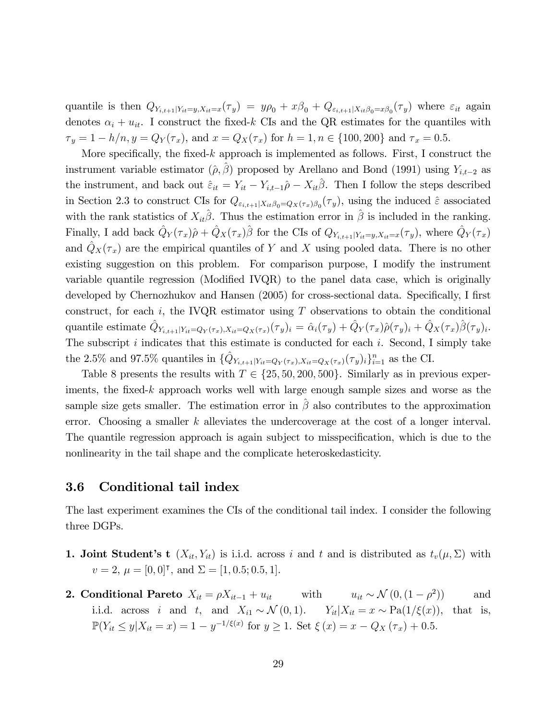quantile is then  $Q_{Y_{i,t+1}|Y_{it}=y,X_{it}=x}(\tau_y) = y\rho_0 + x\beta_0 + Q_{\varepsilon_{i,t+1}|X_{it}\beta_0=x\beta_0}(\tau_y)$  where  $\varepsilon_{it}$  again denotes  $\alpha_i + u_{it}$ . I construct the fixed-k CIs and the QR estimates for the quantiles with  $\tau_y = 1 - h/n, y = Q_Y(\tau_x)$ , and  $x = Q_X(\tau_x)$  for  $h = 1, n \in \{100, 200\}$  and  $\tau_x = 0.5$ .

More specifically, the fixed- $k$  approach is implemented as follows. First, I construct the instrument variable estimator  $(\hat{\rho}, \beta)$  proposed by Arellano and Bond (1991) using  $Y_{i,t-2}$  as the instrument, and back out  $\hat{\varepsilon}_{it} = Y_{it} - Y_{i,t-1}\hat{\rho} - X_{it}\hat{\beta}$ . Then I follow the steps described in Section 2.3 to construct CIs for  $Q_{\varepsilon_{i,t+1}|X_{it}\beta_0=Q_X(\tau_x)\beta_0}(\tau_y)$ , using the induced  $\hat{\varepsilon}$  associated with the rank statistics of  $X_{it}\hat{\beta}$ . Thus the estimation error in  $\hat{\beta}$  is included in the ranking. Finally, I add back  $\hat{Q}_Y(\tau_x)\hat{\rho} + \hat{Q}_X(\tau_x)\hat{\beta}$  for the CIs of  $Q_{Y_{i,t+1}|Y_{it}=y,X_{it}=x}(\tau_y)$ , where  $\hat{Q}_Y(\tau_x)$ and  $\hat{Q}_X(\tau_x)$  are the empirical quantiles of Y and X using pooled data. There is no other existing suggestion on this problem. For comparison purpose, I modify the instrument variable quantile regression (Modified IVQR) to the panel data case, which is originally developed by Chernozhukov and Hansen (2005) for cross-sectional data. Specifically, I first construct, for each i, the IVQR estimator using  $T$  observations to obtain the conditional quantile estimate  $\hat{Q}_{Y_{i,t+1}|Y_{it}=Q_Y(\tau_x),X_{it}=Q_X(\tau_x)}(\tau_y)_i = \hat{\alpha}_i(\tau_y) + \hat{Q}_Y(\tau_x)\hat{\rho}(\tau_y)_i + \hat{Q}_X(\tau_x)\hat{\beta}(\tau_y)_i$ . The subscript  $i$  indicates that this estimate is conducted for each  $i$ . Second, I simply take the 2.5% and 97.5% quantiles in  $\{\hat{Q}_{Y_{i,t+1}|Y_{it}=Q_Y(\tau_x),X_{it}=Q_X(\tau_x)}(\tau_y)_i\}_{i=1}^n$  as the CI.

Table 8 presents the results with  $T \in \{25, 50, 200, 500\}$ . Similarly as in previous experiments, the fixed-k approach works well with large enough sample sizes and worse as the sample size gets smaller. The estimation error in  $\hat{\beta}$  also contributes to the approximation error. Choosing a smaller  $k$  alleviates the undercoverage at the cost of a longer interval. The quantile regression approach is again subject to misspecification, which is due to the nonlinearity in the tail shape and the complicate heteroskedasticity.

#### 3.6 Conditional tail index

The last experiment examines the CIs of the conditional tail index. I consider the following three DGPs.

- 1. Joint Student's t  $(X_{it}, Y_{it})$  is i.i.d. across i and t and is distributed as  $t_v(\mu, \Sigma)$  with  $v = 2, \mu = [0, 0]^\intercal$ , and  $\Sigma = [1, 0.5; 0.5, 1]$ .
- **2.** Conditional Pareto  $X_{it} = \rho X_{it-1} + u_{it}$  with  $u_{it} \sim \mathcal{N}(0, (1 \rho^2))$ )) and i.i.d. across i and t, and  $X_{i1} \sim \mathcal{N}(0, 1)$ .  $Y_{it}|X_{it} = x \sim \text{Pa}(1/\xi(x))$ , that is,  $\mathbb{P}(Y_{it} \leq y | X_{it} = x) = 1 - y^{-1/\xi(x)}$  for  $y \geq 1$ . Set  $\xi(x) = x - Q_X(\tau_x) + 0.5$ .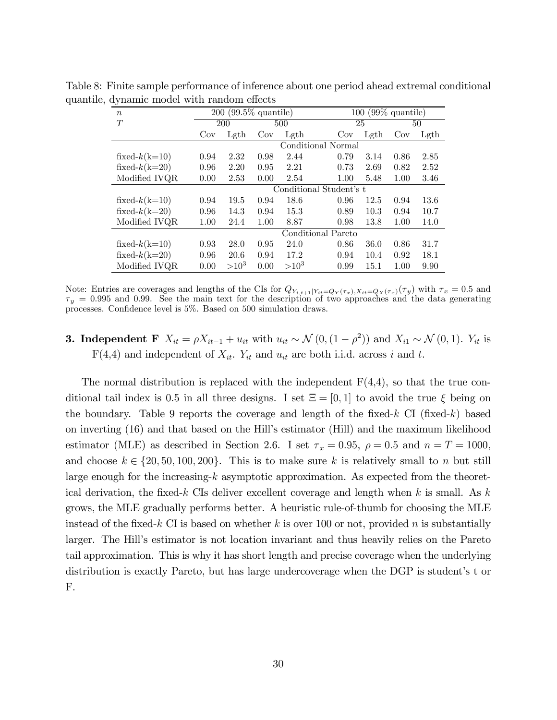| $\boldsymbol{n}$ |                         | $200 (99.5\%$ quantile) |      |         |                    | $\overline{100}$ (99% quantile) |      |      |  |
|------------------|-------------------------|-------------------------|------|---------|--------------------|---------------------------------|------|------|--|
| T                |                         | 200                     |      | 500     |                    | 25                              |      | 50   |  |
|                  | Cov                     | Lgth                    | Cov  | Lgth    | Cov                | Lgth                            | Cov  | Lgth |  |
|                  |                         |                         |      |         | Conditional Normal |                                 |      |      |  |
| fixed- $k(k=10)$ | 0.94                    | 2.32                    | 0.98 | 2.44    | 0.79               | 3.14                            | 0.86 | 2.85 |  |
| fixed- $k(k=20)$ | 0.96                    | 2.20                    | 0.95 | 2.21    | 0.73               | 2.69                            | 0.82 | 2.52 |  |
| Modified IVQR    | 0.00                    | 2.53                    | 0.00 | 2.54    | 1.00               | 5.48                            | 1.00 | 3.46 |  |
|                  | Conditional Student's t |                         |      |         |                    |                                 |      |      |  |
| fixed- $k(k=10)$ | 0.94                    | 19.5                    | 0.94 | 18.6    | 0.96               | 12.5                            | 0.94 | 13.6 |  |
| fixed- $k(k=20)$ | 0.96                    | 14.3                    | 0.94 | 15.3    | 0.89               | 10.3                            | 0.94 | 10.7 |  |
| Modified IVQR    | 1.00                    | 24.4                    | 1.00 | 8.87    | 0.98               | 13.8                            | 1.00 | 14.0 |  |
|                  |                         | Conditional Pareto      |      |         |                    |                                 |      |      |  |
| fixed- $k(k=10)$ | 0.93                    | 28.0                    | 0.95 | 24.0    | 0.86               | 36.0                            | 0.86 | 31.7 |  |
| fixed- $k(k=20)$ | 0.96                    | 20.6                    | 0.94 | 17.2    | 0.94               | 10.4                            | 0.92 | 18.1 |  |
| Modified IVQR    | 0.00                    | $>10^3$                 | 0.00 | $>10^3$ | 0.99               | 15.1                            | 1.00 | 9.90 |  |

Table 8: Finite sample performance of inference about one period ahead extremal conditional quantile, dynamic model with random effects

Note: Entries are coverages and lengths of the CIs for  $Q_{Y_{i,t+1}|Y_{it}=Q_Y(\tau_x),X_{it}=Q_X(\tau_x)}(\tau_y)$  with  $\tau_x = 0.5$  and  $\tau_y = 0.995$  and 0.99. See the main text for the description of two approaches and the data generating processes. Confidence level is  $5\%$ . Based on  $500$  simulation draws.

### **3. Independent F**  $X_{it} = \rho X_{it-1} + u_{it}$  with  $u_{it} \sim \mathcal{N}(0, (1 - \rho^2))$  and  $X_{i1} \sim \mathcal{N}(0, 1)$ .  $Y_{it}$  is  $F(4,4)$  and independent of  $X_{it}$ .  $Y_{it}$  and  $u_{it}$  are both i.i.d. across i and t.

The normal distribution is replaced with the independent  $F(4,4)$ , so that the true conditional tail index is 0.5 in all three designs. I set  $\Xi = [0, 1]$  to avoid the true  $\xi$  being on the boundary. Table 9 reports the coverage and length of the fixed-k  $CI$  (fixed-k) based on inverting (16) and that based on the Hillís estimator (Hill) and the maximum likelihood estimator (MLE) as described in Section 2.6. I set  $\tau_x = 0.95$ ,  $\rho = 0.5$  and  $n = T = 1000$ , and choose  $k \in \{20, 50, 100, 200\}$ . This is to make sure k is relatively small to n but still large enough for the increasing-k asymptotic approximation. As expected from the theoretical derivation, the fixed-k CIs deliver excellent coverage and length when k is small. As k grows, the MLE gradually performs better. A heuristic rule-of-thumb for choosing the MLE instead of the fixed-k CI is based on whether k is over 100 or not, provided n is substantially larger. The Hill's estimator is not location invariant and thus heavily relies on the Pareto tail approximation. This is why it has short length and precise coverage when the underlying distribution is exactly Pareto, but has large undercoverage when the DGP is student's t or F.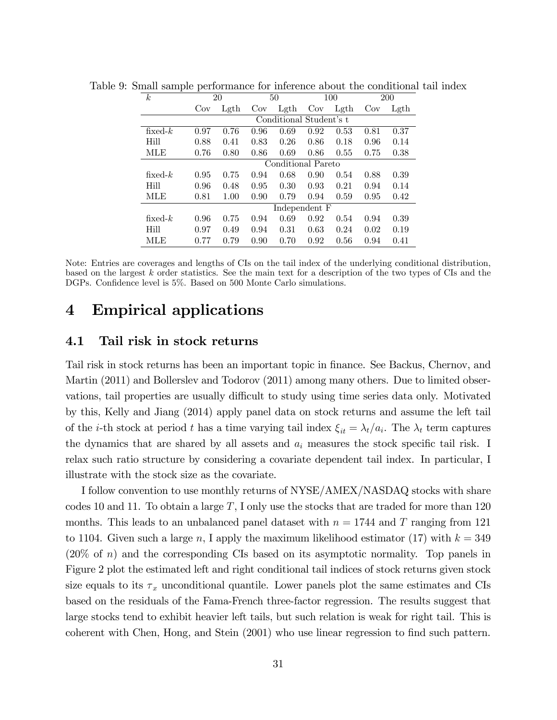| k.         |                    | 20                      |      | 50            |      | 100  |      | <b>200</b> |  |  |  |
|------------|--------------------|-------------------------|------|---------------|------|------|------|------------|--|--|--|
|            | Cov                | Left                    | Cov  | $\rm Left$    | Cov  | Lgth | Cov  | Lgth       |  |  |  |
|            |                    | Conditional Student's t |      |               |      |      |      |            |  |  |  |
| fixed- $k$ | 0.97               | 0.76                    | 0.96 | 0.69          | 0.92 | 0.53 | 0.81 | 0.37       |  |  |  |
| Hill       | 0.88               | 0.41                    | 0.83 | 0.26          | 0.86 | 0.18 | 0.96 | 0.14       |  |  |  |
| MLE        | 0.76               | 0.80                    | 0.86 | 0.69          | 0.86 | 0.55 | 0.75 | 0.38       |  |  |  |
|            | Conditional Pareto |                         |      |               |      |      |      |            |  |  |  |
| fixed- $k$ | 0.95               | 0.75                    | 0.94 | 0.68          | 0.90 | 0.54 | 0.88 | 0.39       |  |  |  |
| Hill       | 0.96               | 0.48                    | 0.95 | 0.30          | 0.93 | 0.21 | 0.94 | 0.14       |  |  |  |
| MLE        | 0.81               | 1.00                    | 0.90 | 0.79          | 0.94 | 0.59 | 0.95 | 0.42       |  |  |  |
|            |                    |                         |      | Independent F |      |      |      |            |  |  |  |
| fixed- $k$ | 0.96               | 0.75                    | 0.94 | 0.69          | 0.92 | 0.54 | 0.94 | 0.39       |  |  |  |
| Hill       | 0.97               | 0.49                    | 0.94 | 0.31          | 0.63 | 0.24 | 0.02 | 0.19       |  |  |  |
| MLE        | 0.77               | 0.79                    | 0.90 | 0.70          | 0.92 | 0.56 | 0.94 | 0.41       |  |  |  |

Table 9: Small sample performance for inference about the conditional tail index

Note: Entries are coverages and lengths of CIs on the tail index of the underlying conditional distribution, based on the largest k order statistics. See the main text for a description of the two types of CIs and the DGPs. Confidence level is 5%. Based on 500 Monte Carlo simulations.

## 4 Empirical applications

#### 4.1 Tail risk in stock returns

Tail risk in stock returns has been an important topic in Önance. See Backus, Chernov, and Martin (2011) and Bollerslev and Todorov (2011) among many others. Due to limited observations, tail properties are usually difficult to study using time series data only. Motivated by this, Kelly and Jiang (2014) apply panel data on stock returns and assume the left tail of the *i*-th stock at period t has a time varying tail index  $\xi_{it} = \lambda_t/a_i$ . The  $\lambda_t$  term captures the dynamics that are shared by all assets and  $a_i$  measures the stock specific tail risk. I relax such ratio structure by considering a covariate dependent tail index. In particular, I illustrate with the stock size as the covariate.

I follow convention to use monthly returns of NYSE/AMEX/NASDAQ stocks with share codes 10 and 11. To obtain a large  $T$ , I only use the stocks that are traded for more than 120 months. This leads to an unbalanced panel dataset with  $n = 1744$  and T ranging from 121 to 1104. Given such a large n, I apply the maximum likelihood estimator (17) with  $k = 349$ (20% of n) and the corresponding CIs based on its asymptotic normality. Top panels in Figure 2 plot the estimated left and right conditional tail indices of stock returns given stock size equals to its  $\tau_x$  unconditional quantile. Lower panels plot the same estimates and CIs based on the residuals of the Fama-French three-factor regression. The results suggest that large stocks tend to exhibit heavier left tails, but such relation is weak for right tail. This is coherent with Chen, Hong, and Stein (2001) who use linear regression to find such pattern.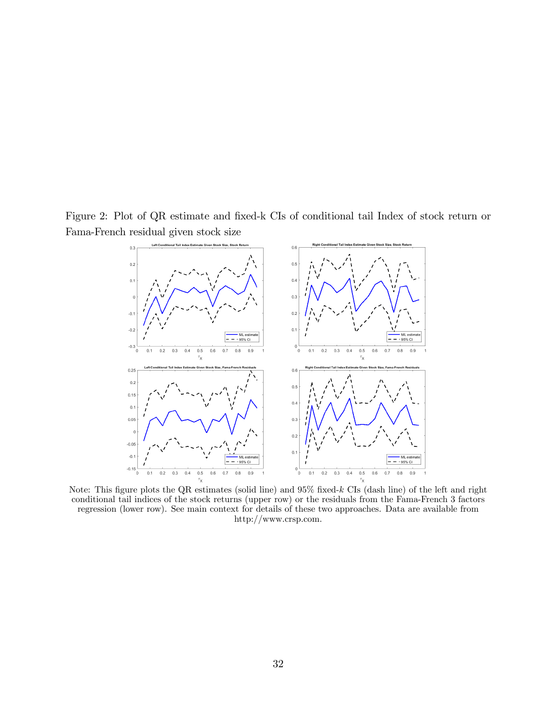Figure 2: Plot of QR estimate and fixed-k CIs of conditional tail Index of stock return or Fama-French residual given stock size



Note: This figure plots the QR estimates (solid line) and  $95\%$  fixed-k CIs (dash line) of the left and right conditional tail indices of the stock returns (upper row) or the residuals from the Fama-French 3 factors regression (lower row). See main context for details of these two approaches. Data are available from http://www.crsp.com.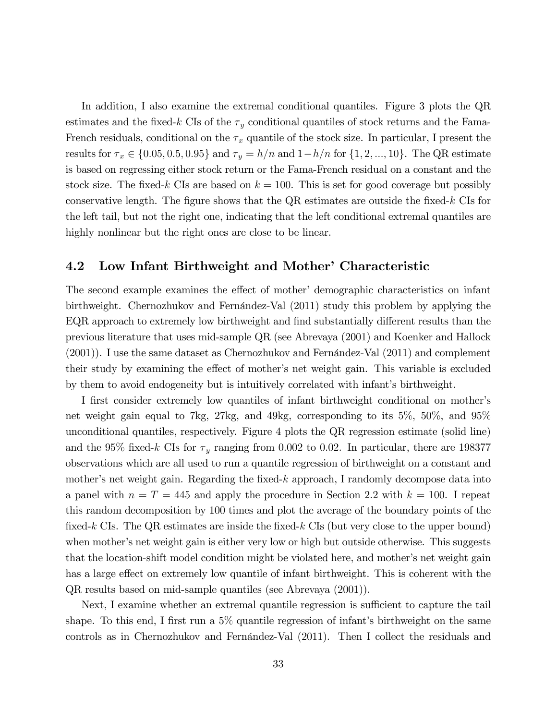In addition, I also examine the extremal conditional quantiles. Figure 3 plots the QR estimates and the fixed-k CIs of the  $\tau_y$  conditional quantiles of stock returns and the Fama-French residuals, conditional on the  $\tau_x$  quantile of the stock size. In particular, I present the results for  $\tau_x \in \{0.05, 0.5, 0.95\}$  and  $\tau_y = h/n$  and  $1-h/n$  for  $\{1, 2, ..., 10\}$ . The QR estimate is based on regressing either stock return or the Fama-French residual on a constant and the stock size. The fixed-k CIs are based on  $k = 100$ . This is set for good coverage but possibly conservative length. The figure shows that the  $QR$  estimates are outside the fixed-k CIs for the left tail, but not the right one, indicating that the left conditional extremal quantiles are highly nonlinear but the right ones are close to be linear.

#### 4.2 Low Infant Birthweight and Mother' Characteristic

The second example examines the effect of mother' demographic characteristics on infant birthweight. Chernozhukov and Fernández-Val (2011) study this problem by applying the EQR approach to extremely low birthweight and find substantially different results than the previous literature that uses mid-sample QR (see Abrevaya (2001) and Koenker and Hallock  $(2001)$ ). I use the same dataset as Chernozhukov and Fernandez-Val  $(2011)$  and complement their study by examining the effect of mother's net weight gain. This variable is excluded by them to avoid endogeneity but is intuitively correlated with infantís birthweight.

I first consider extremely low quantiles of infant birthweight conditional on mother's net weight gain equal to 7kg, 27kg, and 49kg, corresponding to its 5%, 50%, and 95% unconditional quantiles, respectively. Figure 4 plots the QR regression estimate (solid line) and the 95% fixed-k CIs for  $\tau_y$  ranging from 0.002 to 0.02. In particular, there are 198377 observations which are all used to run a quantile regression of birthweight on a constant and mother's net weight gain. Regarding the fixed-k approach, I randomly decompose data into a panel with  $n = T = 445$  and apply the procedure in Section 2.2 with  $k = 100$ . I repeat this random decomposition by 100 times and plot the average of the boundary points of the fixed-k CIs. The QR estimates are inside the fixed-k CIs (but very close to the upper bound) when mother's net weight gain is either very low or high but outside otherwise. This suggests that the location-shift model condition might be violated here, and mother's net weight gain has a large effect on extremely low quantile of infant birthweight. This is coherent with the QR results based on mid-sample quantiles (see Abrevaya (2001)).

Next, I examine whether an extremal quantile regression is sufficient to capture the tail shape. To this end, I first run a  $5\%$  quantile regression of infant's birthweight on the same controls as in Chernozhukov and Fernández-Val  $(2011)$ . Then I collect the residuals and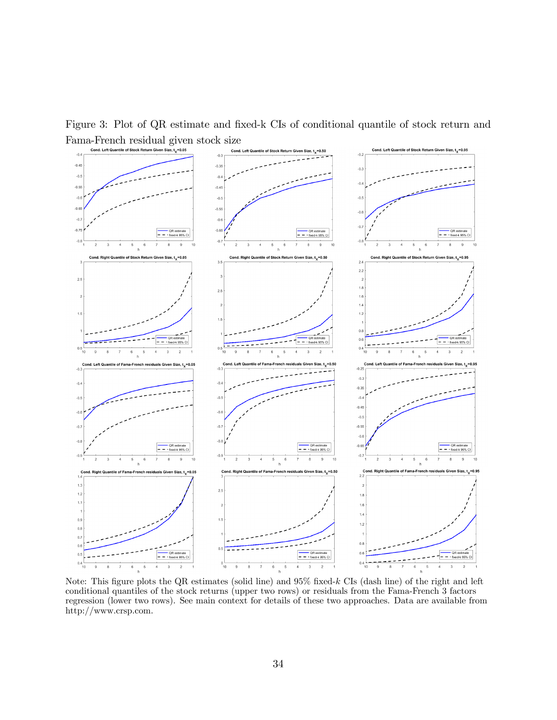Figure 3: Plot of QR estimate and fixed-k CIs of conditional quantile of stock return and Fama-French residual given stock size



Note: This figure plots the QR estimates (solid line) and  $95\%$  fixed-k CIs (dash line) of the right and left conditional quantiles of the stock returns (upper two rows) or residuals from the Fama-French 3 factors regression (lower two rows). See main context for details of these two approaches. Data are available from http://www.crsp.com.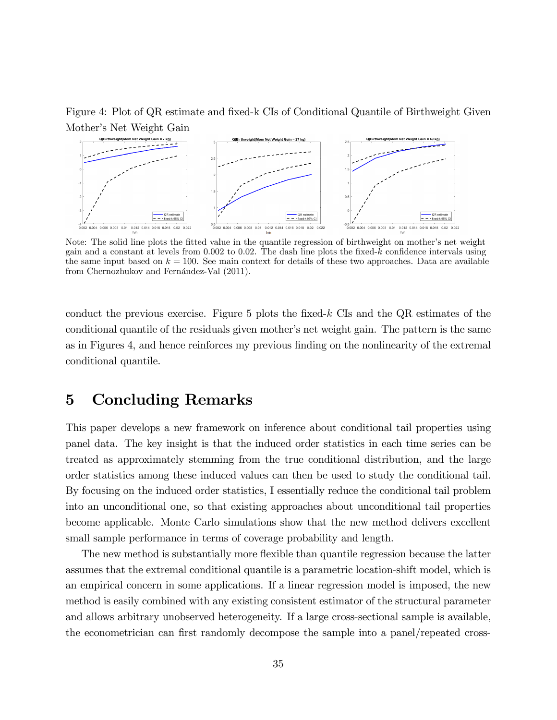

Figure 4: Plot of QR estimate and fixed-k CIs of Conditional Quantile of Birthweight Given

Note: The solid line plots the fitted value in the quantile regression of birthweight on mother's net weight gain and a constant at levels from  $0.002$  to  $0.02$ . The dash line plots the fixed-k confidence intervals using the same input based on  $k = 100$ . See main context for details of these two approaches. Data are available from Chernozhukov and Fernández-Val (2011).

conduct the previous exercise. Figure 5 plots the fixed- $k$  CIs and the QR estimates of the conditional quantile of the residuals given mother's net weight gain. The pattern is the same as in Figures 4, and hence reinforces my previous finding on the nonlinearity of the extremal conditional quantile.

### 5 Concluding Remarks

This paper develops a new framework on inference about conditional tail properties using panel data. The key insight is that the induced order statistics in each time series can be treated as approximately stemming from the true conditional distribution, and the large order statistics among these induced values can then be used to study the conditional tail. By focusing on the induced order statistics, I essentially reduce the conditional tail problem into an unconditional one, so that existing approaches about unconditional tail properties become applicable. Monte Carlo simulations show that the new method delivers excellent small sample performance in terms of coverage probability and length.

The new method is substantially more flexible than quantile regression because the latter assumes that the extremal conditional quantile is a parametric location-shift model, which is an empirical concern in some applications. If a linear regression model is imposed, the new method is easily combined with any existing consistent estimator of the structural parameter and allows arbitrary unobserved heterogeneity. If a large cross-sectional sample is available, the econometrician can first randomly decompose the sample into a panel/repeated cross-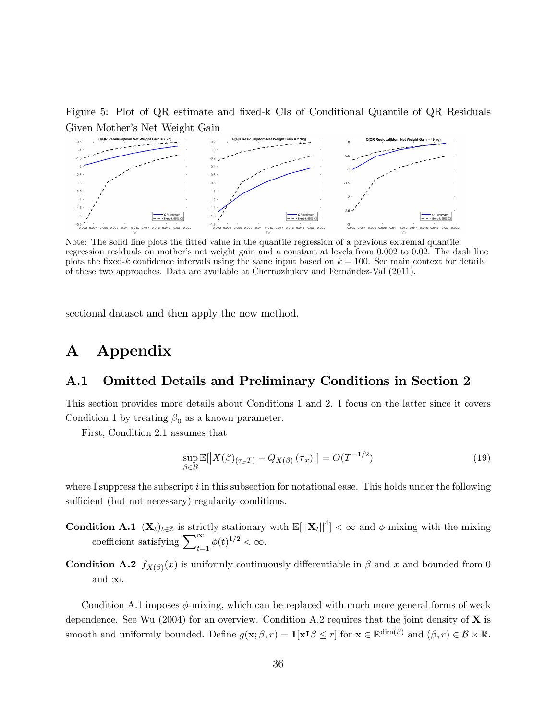Figure 5: Plot of QR estimate and fixed-k CIs of Conditional Quantile of QR Residuals Given Mother's Net Weight Gain



Note: The solid line plots the Ötted value in the quantile regression of a previous extremal quantile regression residuals on mother's net weight gain and a constant at levels from 0.002 to 0.02. The dash line plots the fixed-k confidence intervals using the same input based on  $k = 100$ . See main context for details of these two approaches. Data are available at Chernozhukov and Fernández-Val (2011).

sectional dataset and then apply the new method.

# A Appendix

#### A.1 Omitted Details and Preliminary Conditions in Section 2

This section provides more details about Conditions 1 and 2. I focus on the latter since it covers Condition 1 by treating  $\beta_0$  as a known parameter.

First, Condition 2.1 assumes that

$$
\sup_{\beta \in \mathcal{B}} \mathbb{E}[|X(\beta)_{(\tau_x T)} - Q_{X(\beta)}(\tau_x)|] = O(T^{-1/2})
$$
\n(19)

where I suppress the subscript  $i$  in this subsection for notational ease. This holds under the following sufficient (but not necessary) regularity conditions.

- **Condition A.1**  $(X_t)_{t\in\mathbb{Z}}$  is strictly stationary with  $\mathbb{E}[||X_t||^4] < \infty$  and  $\phi$ -mixing with the mixing coefficient satisfying  $\sum_{t=1}^{\infty} \phi(t)^{1/2} < \infty$ .
- **Condition A.2**  $f_{X(\beta)}(x)$  is uniformly continuously differentiable in  $\beta$  and x and bounded from 0 and  $\infty$ .

Condition A.1 imposes  $\phi$ -mixing, which can be replaced with much more general forms of weak dependence. See Wu (2004) for an overview. Condition A.2 requires that the joint density of  $X$  is smooth and uniformly bounded. Define  $g(\mathbf{x}; \beta, r) = \mathbf{1}[\mathbf{x}^{\mathsf{T}}\beta \leq r]$  for  $\mathbf{x} \in \mathbb{R}^{\dim(\beta)}$  and  $(\beta, r) \in \mathcal{B} \times \mathbb{R}$ .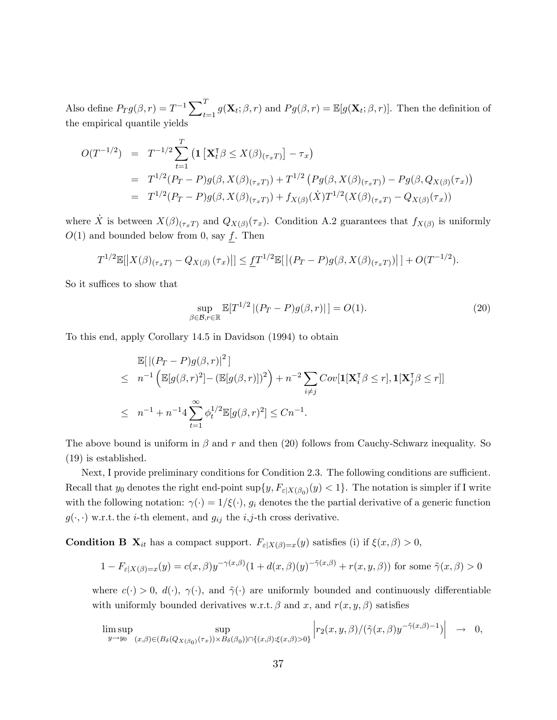Also define  $P_T g(\beta, r) = T^{-1} \sum_{t=1}^T g(\mathbf{X}_t; \beta, r)$  and  $P_g(\beta, r) = \mathbb{E}[g(\mathbf{X}_t; \beta, r)]$ . Then the definition of the empirical quantile yields

$$
O(T^{-1/2}) = T^{-1/2} \sum_{t=1}^{T} \left( \mathbf{1} \left[ \mathbf{X}_t^{\mathsf{T}} \beta \le X(\beta)_{(\tau_x T)} \right] - \tau_x \right)
$$
  
=  $T^{1/2} (P_T - P) g(\beta, X(\beta)_{(\tau_x T)}) + T^{1/2} (P_g(\beta, X(\beta)_{(\tau_x T)}) - P_g(\beta, Q_{X(\beta)}(\tau_x))$   
=  $T^{1/2} (P_T - P) g(\beta, X(\beta)_{(\tau_x T)}) + f_{X(\beta)}(\dot{X}) T^{1/2} (X(\beta)_{(\tau_x T)} - Q_{X(\beta)}(\tau_x))$ 

where  $\dot{X}$  is between  $X(\beta)_{(\tau_x, T)}$  and  $Q_{X(\beta)}(\tau_x)$ . Condition A.2 guarantees that  $f_{X(\beta)}$  is uniformly  $O(1)$  and bounded below from 0, say f. Then

$$
T^{1/2}\mathbb{E}[|X(\beta)(\tau_xT) - Q_{X(\beta)}(\tau_x)|] \leq \underline{f}T^{1/2}\mathbb{E}[|(P_T - P)g(\beta, X(\beta)(\tau_xT))|] + O(T^{-1/2}).
$$

So it suffices to show that

$$
\sup_{\beta \in \mathcal{B}, r \in \mathbb{R}} \mathbb{E}[T^{1/2} \left| (P_T - P)g(\beta, r) \right|] = O(1). \tag{20}
$$

To this end, apply Corollary 14.5 in Davidson (1994) to obtain

$$
\mathbb{E}[\|(P_T - P)g(\beta, r)|^2]
$$
\n
$$
\leq n^{-1} \left( \mathbb{E}[g(\beta, r)^2] - (\mathbb{E}[g(\beta, r)])^2 \right) + n^{-2} \sum_{i \neq j} Cov[\mathbf{1}[\mathbf{X}_i^{\mathsf{T}} \beta \leq r], \mathbf{1}[\mathbf{X}_j^{\mathsf{T}} \beta \leq r]]
$$
\n
$$
\leq n^{-1} + n^{-1} 4 \sum_{t=1}^{\infty} \phi_t^{1/2} \mathbb{E}[g(\beta, r)^2] \leq Cn^{-1}.
$$

The above bound is uniform in  $\beta$  and r and then (20) follows from Cauchy-Schwarz inequality. So (19) is established.

Next, I provide preliminary conditions for Condition 2.3. The following conditions are sufficient. Recall that  $y_0$  denotes the right end-point  $\sup\{y, F_{\varepsilon|X(\beta_0)}(y) < 1\}$ . The notation is simpler if I write with the following notation:  $\gamma(\cdot) = 1/\xi(\cdot)$ ,  $g_i$  denotes the the partial derivative of a generic function  $g(\cdot, \cdot)$  w.r.t. the *i*-th element, and  $g_{ij}$  the *i*,*j*-th cross derivative.

**Condition B**  $\mathbf{X}_{it}$  has a compact support.  $F_{\varepsilon|X(\beta)=x}(y)$  satisfies (i) if  $\xi(x,\beta) > 0$ ,

$$
1 - F_{\varepsilon|X(\beta) = x}(y) = c(x,\beta)y^{-\gamma(x,\beta)}(1 + d(x,\beta)(y)^{-\tilde{\gamma}(x,\beta)} + r(x,y,\beta))
$$
 for some  $\tilde{\gamma}(x,\beta) > 0$ 

where  $c(\cdot) > 0$ ,  $d(\cdot)$ ,  $\gamma(\cdot)$ , and  $\tilde{\gamma}(\cdot)$  are uniformly bounded and continuously differentiable with uniformly bounded derivatives w.r.t.  $\beta$  and x, and  $r(x, y, \beta)$  satisfies

$$
\limsup_{y \to y_0} \sup_{(x,\beta) \in (B_\delta(Q_{X(\beta_0)}(\tau_x)) \times B_\delta(\beta_0)) \cap \{(x,\beta) : \xi(x,\beta) > 0\}} \left| r_2(x,y,\beta) / (\tilde{\gamma}(x,\beta)y^{-\tilde{\gamma}(x,\beta)-1}) \right| \rightarrow 0,
$$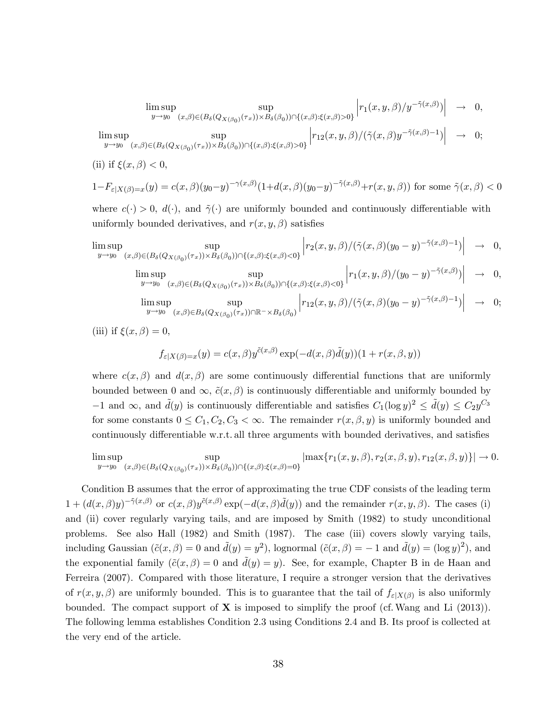$$
\limsup_{y \to y_0} \sup_{(x,\beta) \in (B_\delta(Q_{X(\beta_0)}(\tau_x)) \times B_\delta(\beta_0)) \cap \{(x,\beta): \xi(x,\beta) > 0\}} \left| r_1(x,y,\beta)/y^{-\tilde{\gamma}(x,\beta)} \right| \to 0,
$$

$$
\limsup_{y \to y_0} \sup_{(x,\beta) \in (B_\delta(Q_{X(\beta_0)}(\tau_x)) \times B_\delta(\beta_0)) \cap \{(x,\beta) : \xi(x,\beta) > 0\}} \left| r_{12}(x,y,\beta) / (\tilde{\gamma}(x,\beta)y^{-\tilde{\gamma}(x,\beta)-1}) \right| \rightarrow 0;
$$

(ii) if 
$$
\xi(x,\beta) < 0
$$
,

$$
1 - F_{\varepsilon|X(\beta)=x}(y) = c(x,\beta)(y_0 - y)^{-\gamma(x,\beta)} \left(1 + d(x,\beta)(y_0 - y)^{-\tilde{\gamma}(x,\beta)} + r(x,y,\beta)\right) \text{ for some } \tilde{\gamma}(x,\beta) < 0
$$

where  $c(\cdot) > 0$ ,  $d(\cdot)$ , and  $\tilde{\gamma}(\cdot)$  are uniformly bounded and continuously differentiable with uniformly bounded derivatives, and  $r(x, y, \beta)$  satisfies

$$
\limsup_{y \to y_0} \sup_{(x,\beta) \in (B_\delta(Q_{X(\beta_0)}(\tau_x)) \times B_\delta(\beta_0)) \cap \{(x,\beta) : \xi(x,\beta) < 0\}} \left| r_2(x,y,\beta) / (\tilde{\gamma}(x,\beta)(y_0 - y)^{-\tilde{\gamma}(x,\beta)-1}) \right| \to 0,
$$

$$
\limsup_{y \to y_0} \sup_{(x,\beta) \in (B_\delta(Q_{X(\beta_0)}(\tau_x)) \times B_\delta(\beta_0)) \cap \{(x,\beta) : \xi(x,\beta) < 0\}} \left| r_1(x,y,\beta) / (y_0 - y)^{-\tilde{\gamma}(x,\beta)} \right| \rightarrow 0,
$$

$$
\limsup_{y \to y_0} \sup_{(x,\beta) \in B_\delta(Q_{X(\beta_0)}(\tau_x)) \cap \mathbb{R}^-\times B_\delta(\beta_0)} \left| r_{12}(x,y,\beta) / (\tilde{\gamma}(x,\beta)(y_0-y)^{-\tilde{\gamma}(x,\beta)-1}) \right| \to 0;
$$

(iii) if  $\xi(x,\beta) = 0$ ,

$$
f_{\varepsilon|X(\beta)=x}(y) = c(x,\beta)y^{\tilde{c}(x,\beta)}\exp(-d(x,\beta)\tilde{d}(y))(1+r(x,\beta,y))
$$

where  $c(x, \beta)$  and  $d(x, \beta)$  are some continuously differential functions that are uniformly bounded between 0 and  $\infty$ ,  $\tilde{c}(x, \beta)$  is continuously differentiable and uniformly bounded by  $-1$  and  $\infty$ , and  $\tilde{d}(y)$  is continuously differentiable and satisfies  $C_1(\log y)^2 \leq \tilde{d}(y) \leq C_2y^{C_3}$ for some constants  $0 \leq C_1, C_2, C_3 < \infty$ . The remainder  $r(x, \beta, y)$  is uniformly bounded and continuously differentiable w.r.t. all three arguments with bounded derivatives, and satisfies

$$
\limsup_{y\to y_0} \sup_{(x,\beta)\in (B_\delta(Q_{X(\beta_0)}(\tau_x))\times B_\delta(\beta_0))\cap \{(x,\beta): \xi(x,\beta)=0\}} |\max\{r_1(x,y,\beta), r_2(x,\beta,y), r_{12}(x,\beta,y)\}| \to 0.
$$

Condition B assumes that the error of approximating the true CDF consists of the leading term  $1 + (d(x, \beta)y)^{-\tilde{\gamma}(x,\beta)}$  or  $c(x, \beta)y^{\tilde{c}(x,\beta)}$  exp $(-d(x, \beta)\tilde{d}(y))$  and the remainder  $r(x, y, \beta)$ . The cases (i) and (ii) cover regularly varying tails, and are imposed by Smith (1982) to study unconditional problems. See also Hall (1982) and Smith (1987). The case (iii) covers slowly varying tails, including Gaussian  $(\tilde{c}(x,\beta) = 0$  and  $\tilde{d}(y) = y^2$ ), lognormal  $(\tilde{c}(x,\beta) = -1$  and  $\tilde{d}(y) = (\log y)^2$ ), and the exponential family  $(\tilde{c}(x,\beta) = 0$  and  $\tilde{d}(y) = y)$ . See, for example, Chapter B in de Haan and Ferreira (2007). Compared with those literature, I require a stronger version that the derivatives of  $r(x, y, \beta)$  are uniformly bounded. This is to guarantee that the tail of  $f_{\varepsilon|X(\beta)}$  is also uniformly bounded. The compact support of  $X$  is imposed to simplify the proof (cf. Wang and Li  $(2013)$ ). The following lemma establishes Condition 2.3 using Conditions 2.4 and B. Its proof is collected at the very end of the article.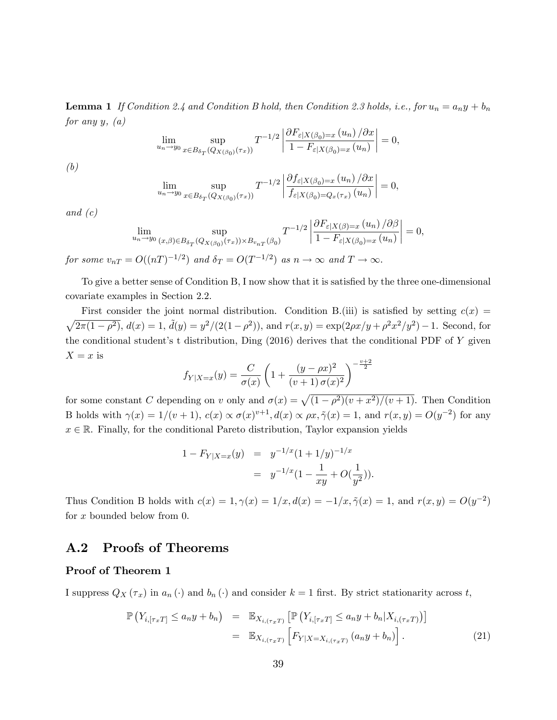**Lemma 1** If Condition 2.4 and Condition B hold, then Condition 2.3 holds, i.e., for  $u_n = a_n y + b_n$ for any  $y, (a)$ 

$$
\lim_{u_n \to y_0} \sup_{x \in B_{\delta_T}(Q_{X(\beta_0)}(\tau_x))} T^{-1/2} \left| \frac{\partial F_{\varepsilon|X(\beta_0) = x} (u_n) / \partial x}{1 - F_{\varepsilon|X(\beta_0) = x} (u_n)} \right| = 0,
$$

(b)

$$
\lim_{u_n \to y_0} \sup_{x \in B_{\delta_T}(Q_{X(\beta_0)}(\tau_x))} T^{-1/2} \left| \frac{\partial f_{\varepsilon|X(\beta_0) = x} (u_n) / \partial x}{f_{\varepsilon|X(\beta_0) = Q_x(\tau_x)} (u_n)} \right| = 0,
$$

and  $(c)$ 

$$
\lim_{u_n \to y_0} \sup_{(x,\beta) \in B_{\delta_T}(Q_{X(\beta_0)}(\tau_x)) \times B_{v_{nT}}(\beta_0)} T^{-1/2} \left| \frac{\partial F_{\varepsilon|X(\beta)=x}(u_n)/\partial \beta}{1 - F_{\varepsilon|X(\beta_0)=x}(u_n)} \right| = 0,
$$

for some  $v_{nT} = O((nT)^{-1/2})$  and  $\delta_T = O(T^{-1/2})$  as  $n \to \infty$  and  $T \to \infty$ .

To give a better sense of Condition B, I now show that it is satisfied by the three one-dimensional covariate examples in Section 2.2.

First consider the joint normal distribution. Condition B.(iii) is satisfied by setting  $c(x)$  $\sqrt{2\pi(1-\rho^2)}$ ,  $d(x) = 1$ ,  $\tilde{d}(y) = y^2/(2(1-\rho^2))$ , and  $r(x, y) = \exp(2\rho x/y + \rho^2 x^2/y^2) - 1$ . Second, for the conditional student's t distribution, Ding  $(2016)$  derives that the conditional PDF of Y given  $X = x$  is  $\overline{2}$ 

$$
f_{Y|X=x}(y) = \frac{C}{\sigma(x)} \left( 1 + \frac{(y - \rho x)^2}{(v + 1) \sigma(x)^2} \right)^{-\frac{v+1}{2}}
$$

for some constant C depending on v only and  $\sigma(x) = \sqrt{(1 - \rho^2)(v + x^2)/(v + 1)}$ . Then Condition B holds with  $\gamma(x) = 1/(v + 1)$ ,  $c(x) \propto \sigma(x)^{v+1}$ ,  $d(x) \propto \rho x$ ,  $\tilde{\gamma}(x) = 1$ , and  $r(x, y) = O(y^{-2})$  for any  $x \in \mathbb{R}$ . Finally, for the conditional Pareto distribution, Taylor expansion yields

$$
1 - F_{Y|X=x}(y) = y^{-1/x} (1 + 1/y)^{-1/x}
$$
  
=  $y^{-1/x} (1 - \frac{1}{xy} + O(\frac{1}{y^2})).$ 

Thus Condition B holds with  $c(x) = 1, \gamma(x) = 1/x, d(x) = -1/x, \tilde{\gamma}(x) = 1$ , and  $r(x, y) = O(y^{-2})$ for x bounded below from 0.

#### A.2 Proofs of Theorems

#### Proof of Theorem 1

I suppress  $Q_X(\tau_x)$  in  $a_n(\cdot)$  and  $b_n(\cdot)$  and consider  $k = 1$  first. By strict stationarity across t,

$$
\mathbb{P}\left(Y_{i,\lceil\tau_x T\rceil} \le a_n y + b_n\right) = \mathbb{E}_{X_{i,\lceil\tau_x T\rceil}}\left[\mathbb{P}\left(Y_{i,\lceil\tau_x T\rceil} \le a_n y + b_n | X_{i,\lceil\tau_x T\rceil}\right)\right]
$$

$$
= \mathbb{E}_{X_{i,\lceil\tau_x T\rceil}}\left[F_{Y|X=X_{i,\lceil\tau_x T\rceil}}\left(a_n y + b_n\right)\right].\tag{21}
$$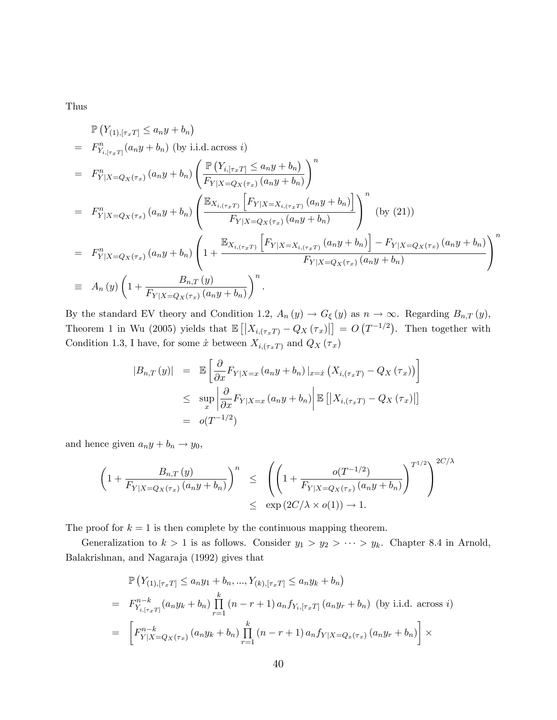Thus

$$
\mathbb{P}\left(Y_{(1),[\tau_x T]} \le a_n y + b_n\right)
$$
\n
$$
= F_{Y_{i,[\tau_x T]}}^n(a_n y + b_n) \text{ (by i.i.d. across } i)
$$
\n
$$
= F_{Y|X=Q_X(\tau_x)}^n(a_n y + b_n) \left(\frac{\mathbb{P}\left(Y_{i,[\tau_x T]} \le a_n y + b_n\right)}{F_{Y|X=Q_X(\tau_x)}(a_n y + b_n)}\right)^n
$$
\n
$$
= F_{Y|X=Q_X(\tau_x)}^n(a_n y + b_n) \left(\frac{\mathbb{E}_{X_{i,(\tau_x T)}}\left[F_{Y|X=X_{i,(\tau_x T)}}(a_n y + b_n)\right]}{F_{Y|X=Q_X(\tau_x)}(a_n y + b_n)}\right)^n \text{ (by (21))}
$$
\n
$$
= F_{Y|X=Q_X(\tau_x)}^n(a_n y + b_n) \left(1 + \frac{\mathbb{E}_{X_{i,(\tau_x T)}}\left[F_{Y|X=X_{i,(\tau_x T)}}(a_n y + b_n)\right]}{F_{Y|X=Q_X(\tau_x)}(a_n y + b_n)}\right)^n
$$
\n
$$
\equiv A_n(y) \left(1 + \frac{B_{n,T}(y)}{F_{Y|X=Q_X(\tau_x)}(a_n y + b_n)}\right)^n.
$$

By the standard EV theory and Condition 1.2,  $A_n(y) \to G_\xi(y)$  as  $n \to \infty$ . Regarding  $B_{n,T}(y)$ , Theorem 1 in Wu (2005) yields that  $\mathbb{E} [X_{i,(\tau_x T)} - Q_X(\tau_x)] = O(T^{-1/2})$ . Then together with Condition 1.3, I have, for some  $\dot x$  between  $X_{i,(\tau_x T)}$  and  $Q_X \left( \tau_x \right)$ 

$$
|B_{n,T}(y)| = \mathbb{E}\left[\frac{\partial}{\partial x}F_{Y|X=x}(a_ny + b_n)|_{x=x}(X_{i,(\tau_x, T)} - Q_X(\tau_x))\right]
$$
  

$$
\leq \sup_x \left|\frac{\partial}{\partial x}F_{Y|X=x}(a_ny + b_n)\right| \mathbb{E}\left[\left|X_{i,(\tau_x, T)} - Q_X(\tau_x)\right|\right]
$$
  

$$
= o(T^{-1/2})
$$

and hence given  $a_n y + b_n \rightarrow y_0$ ,

$$
\left(1 + \frac{B_{n,T}(y)}{F_{Y|X=Q_X(\tau_x)}(a_ny+b_n)}\right)^n \leq \left(\left(1 + \frac{o(T^{-1/2})}{F_{Y|X=Q_X(\tau_x)}(a_ny+b_n)}\right)^{T^{1/2}}\right)^{2C/\lambda}
$$

$$
\leq \exp\left(2C/\lambda \times o(1)\right) \to 1.
$$

The proof for  $k = 1$  is then complete by the continuous mapping theorem.

Generalization to  $k > 1$  is as follows. Consider  $y_1 > y_2 > \cdots > y_k$ . Chapter 8.4 in Arnold, Balakrishnan, and Nagaraja (1992) gives that

$$
\mathbb{P}\left(Y_{(1),[\tau_x T]} \le a_n y_1 + b_n, ..., Y_{(k),[\tau_x T]} \le a_n y_k + b_n\right)
$$
\n
$$
= F_{Y_{i,[\tau_x T]}}^{n-k} (a_n y_k + b_n) \prod_{r=1}^k (n-r+1) a_n f_{Y_{i,[\tau_x T]}} (a_n y_r + b_n) \text{ (by i.i.d. across } i)
$$
\n
$$
= \left[F_{Y|X=Q_X(\tau_x)}^{n-k} (a_n y_k + b_n) \prod_{r=1}^k (n-r+1) a_n f_{Y|X=Q_x(\tau_x)} (a_n y_r + b_n)\right] \times
$$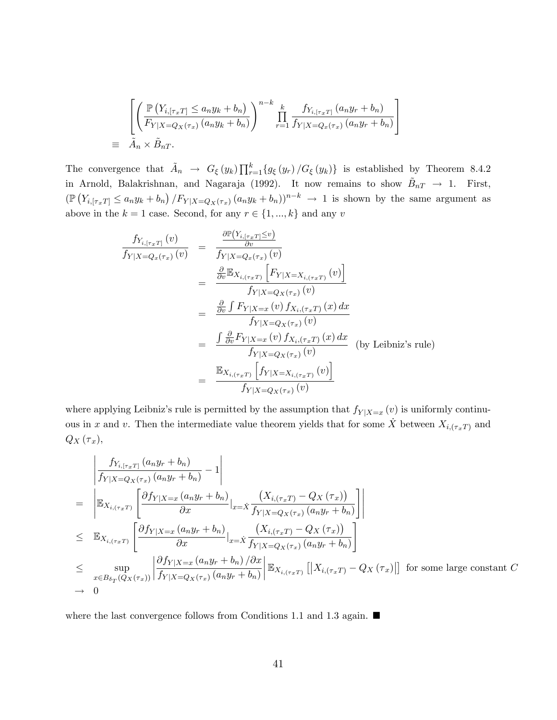$$
\begin{aligned}\n&\left[\left(\frac{\mathbb{P}\left(Y_{i,\lceil\tau_x T\rceil} \le a_n y_k + b_n\right)}{F_{Y|X = Q_X(\tau_x)}\left(a_n y_k + b_n\right)}\right)^{n-k} \prod_{r=1}^k \frac{f_{Y_{i,\lceil\tau_x T\rceil}}\left(a_n y_r + b_n\right)}{f_{Y|X = Q_x(\tau_x)}\left(a_n y_r + b_n\right)}\right]\n\end{aligned}
$$
\n
$$
\equiv \tilde{A}_n \times \tilde{B}_{nT}.
$$

The convergence that  $\tilde{A}_n \to G_{\xi}(y_k) \prod_{r=1}^k \{g_{\xi}(y_r) / G_{\xi}(y_k)\}\$ is established by Theorem 8.4.2 in Arnold, Balakrishnan, and Nagaraja (1992). It now remains to show  $\tilde{B}_{nT} \to 1$ . First,  $(\mathbb{P}(Y_{i, [\tau_x]} \le a_n y_k + b_n) / F_{Y|X=Q_X(\tau_x)} (a_n y_k + b_n))^{n-k} \to 1$  is shown by the same argument as above in the  $k = 1$  case. Second, for any  $r \in \{1, ..., k\}$  and any v

$$
\frac{f_{Y_{i,\lceil \tau_x T \rceil}}(v)}{f_{Y|X=Q_x(\tau_x)}(v)} = \frac{\frac{\partial \mathbb{P}(Y_{i,\lceil \tau_x T \rceil} \leq v)}{\partial v}}{f_{Y|X=Q_x(\tau_x)}(v)}
$$
\n
$$
= \frac{\frac{\partial}{\partial v} \mathbb{E}_{X_{i,\lceil \tau_x T \rceil}} \left[ F_{Y|X=X_{i,\lceil \tau_x T \rceil}}(v) \right]}{f_{Y|X=Q_X(\tau_x)}(v)}
$$
\n
$$
= \frac{\frac{\partial}{\partial v} \int F_{Y|X=x}(v) f_{X_{i,\lceil \tau_x T \rceil}}(x) dx}{f_{Y|X=Q_x(\tau_x)}(v)}
$$
\n
$$
= \frac{\int \frac{\partial}{\partial v} F_{Y|X=x}(v) f_{X_{i,\lceil \tau_x T \rceil}}(x) dx}{f_{Y|X=Q_X(\tau_x)}(v)}
$$
\n(by Leibniz's rule)\n
$$
= \frac{\mathbb{E}_{X_{i,\lceil \tau_x T \rceil}} \left[ f_{Y|X=X_{i,\lceil \tau_x T \rceil}}(v) \right]}{f_{Y|X=Q_X(\tau_x)}(v)}
$$

where applying Leibniz's rule is permitted by the assumption that  $f_{Y|X=x}(v)$  is uniformly continuous in x and v. Then the intermediate value theorem yields that for some  $\dot{X}$  between  $X_{i,(\tau_x)}$  and  $Q_X(\tau_x),$ 

$$
\begin{aligned}\n&\left|\frac{f_{Y_{i,\lceil\tau_x T\rceil}}(a_n y_r + b_n)}{f_{Y|X = Q_X(\tau_x)}(a_n y_r + b_n)} - 1\right| \\
&= \left|\mathbb{E}_{X_{i,\lceil\tau_x T\rceil}}\left[\frac{\partial f_{Y|X=x}(a_n y_r + b_n)}{\partial x}|_{x = \dot{X}} \frac{(X_{i,\lceil\tau_x T\rceil} - Q_X(\tau_x))}{f_{Y|X = Q_X(\tau_x)}(a_n y_r + b_n)}\right]\right| \\
&\leq \mathbb{E}_{X_{i,\lceil\tau_x T\rceil}}\left[\frac{\partial f_{Y|X=x}(a_n y_r + b_n)}{\partial x}|_{x = \dot{X}} \frac{(X_{i,\lceil\tau_x T\rceil} - Q_X(\tau_x))}{f_{Y|X = Q_X(\tau_x)}(a_n y_r + b_n)}\right] \\
&\leq \sup_{x \in B_{\delta_T}(Q_X(\tau_x))} \left|\frac{\partial f_{Y|X=x}(a_n y_r + b_n)}{f_{Y|X = Q_X(\tau_x)}(a_n y_r + b_n)}\right| \mathbb{E}_{X_{i,\lceil\tau_x T\rceil}}\left[\left|X_{i,\lceil\tau_x T\rceil} - Q_X(\tau_x)\right|\right] \text{ for some large constant } C \\
\to 0\n\end{aligned}
$$

where the last convergence follows from Conditions 1.1 and 1.3 again.  $\blacksquare$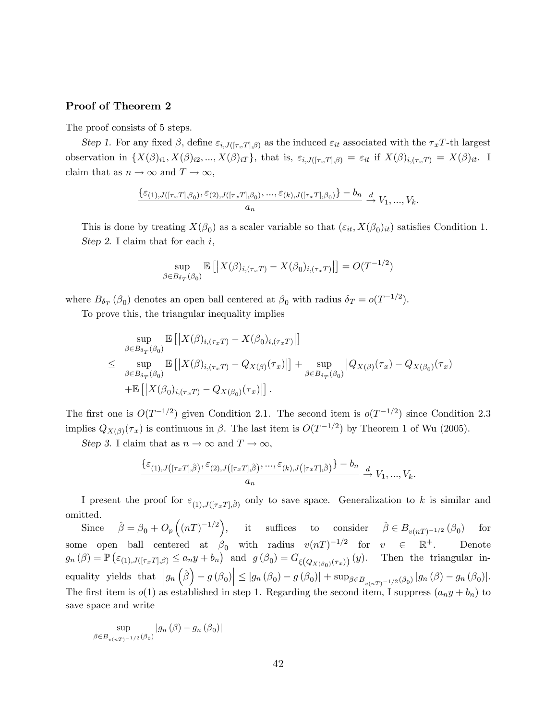#### Proof of Theorem 2

The proof consists of 5 steps.

Step 1. For any fixed  $\beta$ , define  $\varepsilon_{i,J([\tau_x T],\beta)}$  as the induced  $\varepsilon_{it}$  associated with the  $\tau_x T$ -th largest observation in  $\{X(\beta)_{i1}, X(\beta)_{i2}, ..., X(\beta)_{iT}\},\$  that is,  $\varepsilon_{i,J([\tau_xT],\beta)} = \varepsilon_{it}$  if  $X(\beta)_{i,(\tau_xT)} = X(\beta)_{it}$ . I claim that as  $n \to \infty$  and  $T \to \infty$ ,

$$
\frac{\{\varepsilon_{(1),J([\tau_x T],\beta_0)},\varepsilon_{(2),J([\tau_x T],\beta_0)},\ldots,\varepsilon_{(k),J([\tau_x T],\beta_0)}\}-b_n}{a_n} \xrightarrow{d} V_1,\ldots,V_k.
$$

This is done by treating  $X(\beta_0)$  as a scaler variable so that  $(\varepsilon_{it}, X(\beta_0)_{it})$  satisfies Condition 1. Step 2. I claim that for each  $i$ ,

$$
\sup_{\beta \in B_{\delta_T}(\beta_0)} \mathbb{E}\left[ \left| X(\beta)_{i,(\tau_x T)} - X(\beta_0)_{i,(\tau_x T)} \right| \right] = O(T^{-1/2})
$$

where  $B_{\delta_T}(\beta_0)$  denotes an open ball centered at  $\beta_0$  with radius  $\delta_T = o(T^{-1/2})$ .

To prove this, the triangular inequality implies

$$
\sup_{\beta \in B_{\delta_T}(\beta_0)} \mathbb{E}\left[ \left| X(\beta)_{i,(\tau_x T)} - X(\beta_0)_{i,(\tau_x T)} \right| \right]
$$
\n
$$
\leq \sup_{\beta \in B_{\delta_T}(\beta_0)} \mathbb{E}\left[ \left| X(\beta)_{i,(\tau_x T)} - Q_{X(\beta)}(\tau_x) \right| \right] + \sup_{\beta \in B_{\delta_T}(\beta_0)} \left| Q_{X(\beta)}(\tau_x) - Q_{X(\beta_0)}(\tau_x) \right|
$$
\n
$$
+ \mathbb{E}\left[ \left| X(\beta_0)_{i,(\tau_x T)} - Q_{X(\beta_0)}(\tau_x) \right| \right].
$$

The first one is  $O(T^{-1/2})$  given Condition 2.1. The second item is  $o(T^{-1/2})$  since Condition 2.3 implies  $Q_{X(\beta)}(\tau_x)$  is continuous in  $\beta$ . The last item is  $O(T^{-1/2})$  by Theorem 1 of Wu (2005).

Step 3. I claim that as  $n \to \infty$  and  $T \to \infty$ ,

$$
\frac{\{\varepsilon_{(1),J\left([\tau_x T],\hat{\beta}\right)},\varepsilon_{(2),J\left([\tau_x T],\hat{\beta}\right)},...,\varepsilon_{(k),J\left([\tau_x T],\hat{\beta}\right)}\}-b_n}{a_n} \xrightarrow{d} V_1,...,V_k.
$$

I present the proof for  $\varepsilon_{(1),J([{\tau}_xT],\hat{\beta})}$  only to save space. Generalization to k is similar and omitted.

Since  $\hat{\beta} = \beta_0 + O_p\left((nT)^{-1/2}\right)$ , it suffices to consider  $\hat{\beta} \in B_{v(nT)^{-1/2}}(\beta_0)$ for some open ball centered at  $\beta_0$  with radius  $v(nT)^{-1/2}$  for  $v \in \mathbb{R}^+$ . Denote  $g_n(\beta) = \mathbb{P}\left(\varepsilon_{(1),J([{\tau}_xT],\beta)} \leq a_n y + b_n\right)$  and  $g(\beta_0) = G_{\xi\left(Q_{X(\beta_0)}(\tau_x)\right)}(y)$ . Then the triangular inequality yields that  $\left|g_n\left(\hat{\beta}\right) - g\left(\beta_0\right)\right| \leq \left|g_n\left(\beta_0\right) - g\left(\beta_0\right)\right| + \sup_{\beta \in B_{v(n)}-1/2}(\beta_0) \left|g_n\left(\beta\right) - g_n\left(\beta_0\right)\right|$ . The first item is  $o(1)$  as established in step 1. Regarding the second item, I suppress  $(a_n y + b_n)$  to save space and write

$$
\sup_{\beta \in B_{v(nT)} - 1/2} \left| g_n(\beta) - g_n(\beta_0) \right|
$$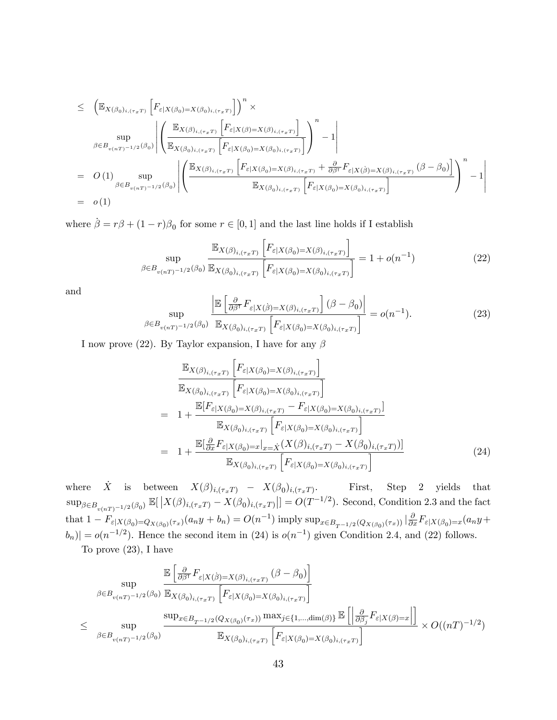$$
\leq \left( \mathbb{E}_{X(\beta_0)_{i,(\tau_x, T)}} \left[ F_{\varepsilon|X(\beta_0) = X(\beta_0)_{i,(\tau_x, T)}} \right] \right)^n \times \n\sup_{\beta \in B_{v(nT)} - 1/2} \sum_{(\beta_0)} \left| \left( \frac{\mathbb{E}_{X(\beta)_{i,(\tau_x, T)}} \left[ F_{\varepsilon|X(\beta) = X(\beta)_{i,(\tau_x, T)}} \right]}{\mathbb{E}_{X(\beta_0)_{i,(\tau_x, T)}} \left[ F_{\varepsilon|X(\beta_0) = X(\beta_0)_{i,(\tau_x, T)}} \right]} \right)^n - 1 \right| \n= O(1) \sup_{\beta \in B_{v(nT)} - 1/2} \sum_{(\beta_0)} \left| \left( \frac{\mathbb{E}_{X(\beta)_{i,(\tau_x, T)}} \left[ F_{\varepsilon|X(\beta_0) = X(\beta)_{i,(\tau_x, T)}} + \frac{\partial}{\partial \beta^{\top}} F_{\varepsilon|X(\beta) = X(\beta)_{i,(\tau_x, T)}} (\beta - \beta_0) \right]}{\mathbb{E}_{X(\beta_0)_{i,(\tau_x, T)}} \left[ F_{\varepsilon|X(\beta_0) = X(\beta_0)_{i,(\tau_x, T)}} \right]} \right)^n - 1 \right| \n= o(1)
$$

where  $\dot{\beta} = r\beta + (1 - r)\beta_0$  for some  $r \in [0, 1]$  and the last line holds if I establish

$$
\sup_{\beta \in B_{\nu(nT)^{-1/2}}(\beta_0)} \frac{\mathbb{E}_{X(\beta)_{i,(\tau_x T)}} \left[ F_{\varepsilon|X(\beta_0) = X(\beta)_{i,(\tau_x T)}} \right]}{\mathbb{E}_{X(\beta_0)_{i,(\tau_x T)}} \left[ F_{\varepsilon|X(\beta_0) = X(\beta_0)_{i,(\tau_x T)}} \right]} = 1 + o(n^{-1})
$$
\n(22)

and

$$
\sup_{\beta \in B_{\nu(nT)^{-1/2}}(\beta_0)} \frac{\left| \mathbb{E}\left[\frac{\partial}{\partial \beta^T} F_{\varepsilon|X(\beta) = X(\beta)_{i,(\tau_x, T)}} \right] (\beta - \beta_0) \right|}{\mathbb{E}_{X(\beta_0)_{i,(\tau_x, T)}} \left[F_{\varepsilon|X(\beta_0) = X(\beta_0)_{i,(\tau_x, T)}} \right]} = o(n^{-1}).
$$
\n(23)

I now prove (22). By Taylor expansion, I have for any  $\beta$ 

$$
\frac{\mathbb{E}_{X(\beta)_{i,(\tau_x T)}} \left[ F_{\varepsilon|X(\beta_0)=X(\beta)_{i,(\tau_x T)}} \right]}{\mathbb{E}_{X(\beta_0)_{i,(\tau_x T)}} \left[ F_{\varepsilon|X(\beta_0)=X(\beta_0)_{i,(\tau_x T)}} \right]}
$$
\n
$$
= 1 + \frac{\mathbb{E} [F_{\varepsilon|X(\beta_0)=X(\beta)_{i,(\tau_x T)}} - F_{\varepsilon|X(\beta_0)=X(\beta_0)_{i,(\tau_x T)}}]}{\mathbb{E}_{X(\beta_0)_{i,(\tau_x T)}} \left[ F_{\varepsilon|X(\beta_0)=X(\beta_0)_{i,(\tau_x T)}} \right]}
$$
\n
$$
= 1 + \frac{\mathbb{E} [\frac{\partial}{\partial x} F_{\varepsilon|X(\beta_0)=x} \big|_{x=\dot{X}} (X(\beta)_{i,(\tau_x T)} - X(\beta_0)_{i,(\tau_x T)})]}{\mathbb{E}_{X(\beta_0)_{i,(\tau_x T)}} \left[ F_{\varepsilon|X(\beta_0)=X(\beta_0)_{i,(\tau_x T)}} \right]} \tag{24}
$$

where  $\dot{X}$  is between  $X(\beta)_{i,(\tau_x T)} - X(\beta_0)_{i,(\tau_x T)}$ . First, Step 2 yields that  $\sup_{\beta \in B_{v(nT)}-1/2}(\beta_0) \mathbb{E}[\left|X(\beta)_{i,(\tau_x)}-X(\beta_0)_{i,(\tau_x)}\right|] = O(T^{-1/2})$ . Second, Condition 2.3 and the fact that  $1 - F_{\varepsilon|X(\beta_0) = Q_{X(\beta_0)}(\tau_x)}(a_n y + b_n) = O(n^{-1})$  imply  $\sup_{x \in B_{T^{-1/2}}(Q_{X(\beta_0)}(\tau_x))} |\frac{\partial}{\partial x} F_{\varepsilon|X(\beta_0) = x}(a_n y + b_n)|$  $|b_n\rangle| = o(n^{-1/2})$ . Hence the second item in (24) is  $o(n^{-1})$  given Condition 2.4, and (22) follows.

To prove (23), I have

$$
\sup_{\beta \in B_{v(nT)^{-1/2}}(\beta_0)} \frac{\mathbb{E}\left[\frac{\partial}{\partial \beta^T} F_{\varepsilon|X(\beta)=X(\beta)_{i,(\tau_x T)}}(\beta-\beta_0)\right]}{\mathbb{E}_{X(\beta_0)_{i,(\tau_x T)}}\left[F_{\varepsilon|X(\beta_0)=X(\beta_0)_{i,(\tau_x T)}}\right]}
$$
\n
$$
\leq \sup_{\beta \in B_{v(nT)^{-1/2}}(\beta_0)} \frac{\sup_{x \in B_{T^{-1/2}}(Q_{X(\beta_0)}(\tau_x))} \max_{j \in \{1,\dots, \dim(\beta)\}} \mathbb{E}\left[\left|\frac{\partial}{\partial \beta_j} F_{\varepsilon|X(\beta)=x}\right|\right]}{\mathbb{E}_{X(\beta_0)_{i,(\tau_x T)}}\left[F_{\varepsilon|X(\beta_0)=X(\beta_0)_{i,(\tau_x T)}}\right]} \times O((nT)^{-1/2})
$$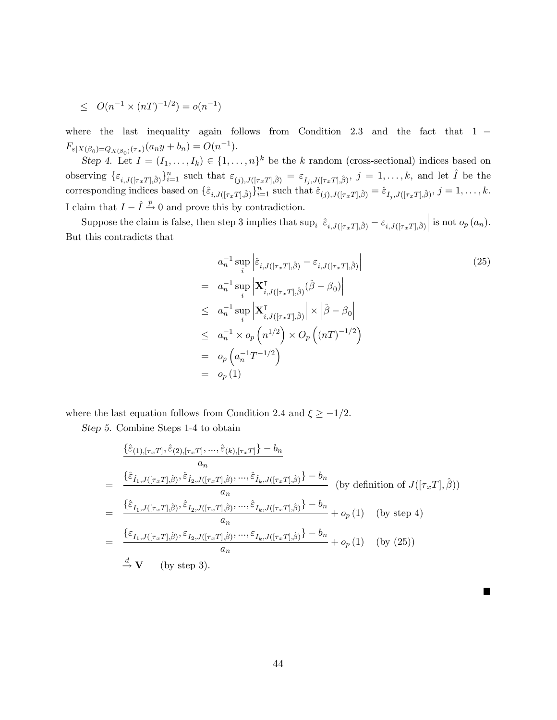$$
\le O(n^{-1} \times (nT)^{-1/2}) = o(n^{-1})
$$

where the last inequality again follows from Condition 2.3 and the fact that  $1 F_{\varepsilon|X(\beta_0)=Q_{X(\beta_0)}(\tau_x)}(a_n y + b_n) = O(n^{-1}).$ 

Step 4. Let  $I = (I_1, \ldots, I_k) \in \{1, \ldots, n\}^k$  be the k random (cross-sectional) indices based on observing  $\{\varepsilon_{i,J([\tau_x T],\hat{\beta})}\}_{i=1}^n$  such that  $\varepsilon_{(j),J([\tau_x T],\hat{\beta})} = \varepsilon_{I_j,J([\tau_x T],\hat{\beta})}, j = 1,\ldots,k$ , and let  $\hat{I}$  be the corresponding indices based on  $\{\hat{\varepsilon}_{i,J([{\tau}_xT],\hat{\beta})}\}_{i=1}^n$  such that  $\hat{\varepsilon}_{(j),J([{\tau}_xT],\hat{\beta})} = \hat{\varepsilon}_{I_j,J([{\tau}_xT],\hat{\beta})}, j = 1,\ldots,k$ . I claim that  $I - \hat{I} \stackrel{p}{\rightarrow} 0$  and prove this by contradiction.

Suppose the claim is false, then step 3 implies that  $\sup_i \left| \hat{\varepsilon}_{i,J([\tau_x T],\hat{\beta})} - \varepsilon_{i,J([\tau_x T],\hat{\beta})} \right|$  $\Big|$  is not  $o_p(a_n)$ . But this contradicts that

$$
a_n^{-1} \sup_i \left| \hat{\varepsilon}_{i,J([\tau_x T], \hat{\beta})} - \varepsilon_{i,J([\tau_x T], \hat{\beta})} \right|
$$
\n
$$
= a_n^{-1} \sup_i \left| \mathbf{X}_{i,J([\tau_x T], \hat{\beta})}^{\mathsf{T}}(\hat{\beta} - \beta_0) \right|
$$
\n
$$
\leq a_n^{-1} \sup_i \left| \mathbf{X}_{i,J([\tau_x T], \hat{\beta})}^{\mathsf{T}} \right| \times \left| \hat{\beta} - \beta_0 \right|
$$
\n
$$
\leq a_n^{-1} \times o_p \left( n^{1/2} \right) \times O_p \left( (nT)^{-1/2} \right)
$$
\n
$$
= o_p \left( a_n^{-1} T^{-1/2} \right)
$$
\n
$$
= o_p (1)
$$
\n(1)

 $\blacksquare$ 

where the last equation follows from Condition 2.4 and  $\xi \geq -1/2$ .

Step 5. Combine Steps 1-4 to obtain

$$
\frac{\{\hat{\varepsilon}_{(1),[\tau_x T]},\hat{\varepsilon}_{(2),[\tau_x T]},...,\hat{\varepsilon}_{(k),[\tau_x T]}\} - b_n}{a_n}
$$
\n
$$
= \frac{\{\hat{\varepsilon}_{\hat{I}_1,J([\tau_x T],\hat{\beta})},\hat{\varepsilon}_{\hat{I}_2,J([\tau_x T],\hat{\beta})},...,\hat{\varepsilon}_{\hat{I}_k,J([\tau_x T],\hat{\beta})}\} - b_n}{a_n} \text{ (by definition of } J([\tau_x T],\hat{\beta}))
$$
\n
$$
= \frac{\{\hat{\varepsilon}_{I_1,J([\tau_x T],\hat{\beta})},\hat{\varepsilon}_{I_2,J([\tau_x T],\hat{\beta})},...,\hat{\varepsilon}_{I_k,J([\tau_x T],\hat{\beta})}\} - b_n}{a_n} + o_p(1) \text{ (by step 4)}
$$
\n
$$
= \frac{\{\varepsilon_{I_1,J([\tau_x T],\hat{\beta})},\varepsilon_{I_2,J([\tau_x T],\hat{\beta})},...,\varepsilon_{I_k,J([\tau_x T],\hat{\beta})}\} - b_n}{a_n} + o_p(1) \text{ (by (25)}
$$
\n
$$
\xrightarrow{d} \mathbf{V} \text{ (by step 3)}.
$$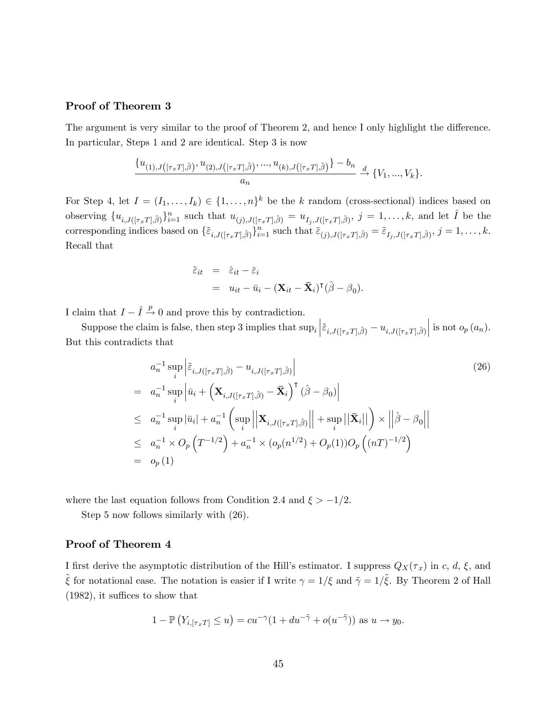#### Proof of Theorem 3

The argument is very similar to the proof of Theorem 2, and hence I only highlight the difference. In particular, Steps 1 and 2 are identical. Step 3 is now

$$
\frac{\{u_{(1),J\left([\tau_x T],\hat{\beta}\right)}, u_{(2),J\left([\tau_x T],\hat{\beta}\right)},...,u_{(k),J\left([\tau_x T],\hat{\beta}\right)}\} - b_n}{a_n} \xrightarrow{d} \{V_1,...,V_k\}.
$$

For Step 4, let  $I = (I_1, \ldots, I_k) \in \{1, \ldots, n\}^k$  be the k random (cross-sectional) indices based on observing  $\{u_{i,J([x,T],\hat{\beta})}\}_{i=1}^n$  such that  $u_{(j),J([x,T],\hat{\beta})} = u_{I_j,J([x,T],\hat{\beta})}, j = 1,\ldots,k$ , and let  $\hat{I}$  be the corresponding indices based on  $\{\tilde{\varepsilon}_{i,J([{\tau}_xT],\hat{\beta})}\}_{i=1}^n$  such that  $\tilde{\varepsilon}_{(j),J([{\tau}_xT],\hat{\beta})} = \tilde{\varepsilon}_{I_j,J([{\tau}_xT],\hat{\beta})}, j = 1,\ldots,k.$ Recall that

$$
\tilde{\varepsilon}_{it} = \hat{\varepsilon}_{it} - \bar{\varepsilon}_{i}
$$
  
=  $u_{it} - \bar{u}_{i} - (\mathbf{X}_{it} - \bar{\mathbf{X}}_{i})^{\mathsf{T}} (\hat{\boldsymbol{\beta}} - \boldsymbol{\beta}_{0}).$ 

I claim that  $I - \hat{I} \stackrel{p}{\rightarrow} 0$  and prove this by contradiction.

Suppose the claim is false, then step 3 implies that  $\sup_i \left| \tilde{\varepsilon}_{i,J([{\tau}_xT],\hat{\beta})} - u_{i,J([{\tau}_xT],\hat{\beta})} \right|$  is not  $o_p(a_n)$ . But this contradicts that

$$
a_n^{-1} \sup_i \left| \tilde{\varepsilon}_{i,J([{\tau}_x T],\hat{\beta})} - u_{i,J([{\tau}_x T],\hat{\beta})} \right|
$$
\n
$$
= a_n^{-1} \sup_i \left| \bar{u}_i + \left( \mathbf{X}_{i,J([{\tau}_x T],\hat{\beta})} - \bar{\mathbf{X}}_i \right)^{\mathsf{T}} (\hat{\beta} - \beta_0) \right|
$$
\n
$$
\leq a_n^{-1} \sup_i |\bar{u}_i| + a_n^{-1} \left( \sup_i \left| \left| \mathbf{X}_{i,J([{\tau}_x T],\hat{\beta})} \right| \right| + \sup_i \left| \left| \bar{\mathbf{X}}_i \right| \right| \right) \times \left| \left| \hat{\beta} - \beta_0 \right| \right|
$$
\n
$$
\leq a_n^{-1} \times O_p \left( T^{-1/2} \right) + a_n^{-1} \times (o_p(n^{1/2}) + O_p(1)) O_p \left( (nT)^{-1/2} \right)
$$
\n
$$
= o_p(1)
$$
\n(1)

where the last equation follows from Condition 2.4 and  $\xi > -1/2$ .

Step 5 now follows similarly with (26).

#### Proof of Theorem 4

I first derive the asymptotic distribution of the Hill's estimator. I suppress  $Q_X(\tau_x)$  in c, d,  $\xi$ , and  $\tilde{\xi}$  for notational ease. The notation is easier if I write  $\gamma = 1/\xi$  and  $\tilde{\gamma} = 1/\tilde{\xi}$ . By Theorem 2 of Hall  $(1982)$ , it suffices to show that

$$
1 - \mathbb{P}\left(Y_{i, [\tau_x T]} \le u\right) = cu^{-\gamma} (1 + du^{-\tilde{\gamma}} + o(u^{-\tilde{\gamma}})) \text{ as } u \to y_0.
$$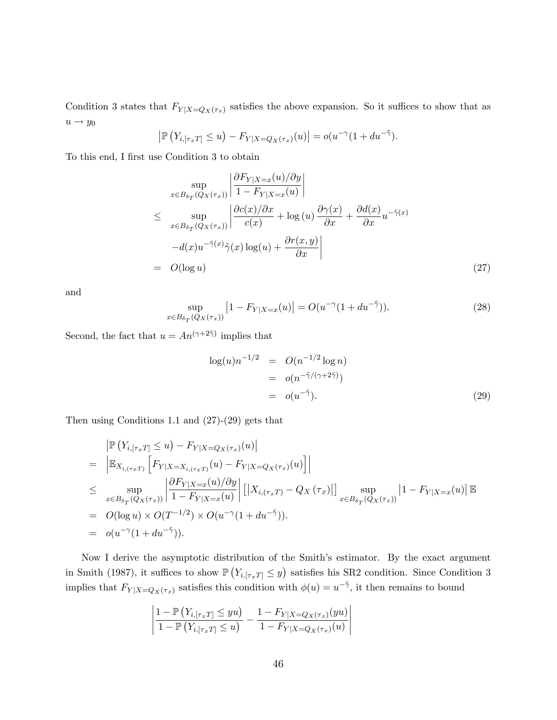Condition 3 states that  $F_{Y|X=Q_X(\tau_x)}$  satisfies the above expansion. So it suffices to show that as  $u \rightarrow y_0$ 

$$
\left| \mathbb{P}\left(Y_{i, [\tau_x T]} \le u\right) - F_{Y|X = Q_X(\tau_x)}(u) \right| = o(u^{-\gamma}(1 + du^{-\tilde{\gamma}})).
$$

To this end, I first use Condition 3 to obtain

$$
\sup_{x \in B_{\delta_T}(Q_X(\tau_x))} \left| \frac{\partial F_{Y|X=x}(u)/\partial y}{1 - F_{Y|X=x}(u)} \right|
$$
\n
$$
\leq \sup_{x \in B_{\delta_T}(Q_X(\tau_x))} \left| \frac{\partial c(x)/\partial x}{c(x)} + \log(u) \frac{\partial \gamma(x)}{\partial x} + \frac{\partial d(x)}{\partial x} u^{-\tilde{\gamma}(x)} \right|
$$
\n
$$
-d(x)u^{-\tilde{\gamma}(x)}\tilde{\gamma}(x)\log(u) + \frac{\partial r(x,y)}{\partial x} \right|
$$
\n
$$
= O(\log u) \tag{27}
$$

and

$$
\sup_{x \in B_{\delta_T}(Q_X(\tau_x))} |1 - F_{Y|X=x}(u)| = O(u^{-\gamma}(1 + du^{-\tilde{\gamma}})).
$$
\n(28)

Second, the fact that  $u = An^{(\gamma + 2\tilde{\gamma})}$  implies that

$$
\log(u)n^{-1/2} = O(n^{-1/2}\log n)
$$
  
= 
$$
o(n^{-\tilde{\gamma}/(\gamma+2\tilde{\gamma})})
$$
  
= 
$$
o(u^{-\tilde{\gamma}}).
$$
 (29)

Then using Conditions 1.1 and (27)-(29) gets that

$$
\begin{split}\n&= \left| \mathbb{P} \left( Y_{i, [\tau_x T]} \leq u \right) - F_{Y|X = Q_X(\tau_x)}(u) \right| \\
&= \left| \mathbb{E}_{X_{i, (\tau_x T)}} \left[ F_{Y|X = X_{i, (\tau_x T)}}(u) - F_{Y|X = Q_X(\tau_x)}(u) \right] \right| \\
&\leq \sup_{x \in B_{\delta_T}(Q_X(\tau_x))} \left| \frac{\partial F_{Y|X=x}(u)/\partial y}{1 - F_{Y|X=x}(u)} \right| \left[ \left| X_{i, (\tau_x T)} - Q_X(\tau_x) \right| \right] \sup_{x \in B_{\delta_T}(Q_X(\tau_x))} \left| 1 - F_{Y|X=x}(u) \right| \mathbb{E}_{Q_X(\delta_T)}(Q_X(\delta_T)) \\
&= O(\log u) \times O(T^{-1/2}) \times O(u^{-\gamma} (1 + du^{-\gamma})).\n\end{split}
$$

Now I derive the asymptotic distribution of the Smith's estimator. By the exact argument in Smith (1987), it suffices to show  $\mathbb{P}(Y_{i, [\tau_x]} \leq y)$  satisfies his SR2 condition. Since Condition 3 implies that  $F_{Y|X=Q_X(\tau_x)}$  satisfies this condition with  $\phi(u) = u^{-\tilde{\gamma}}$ , it then remains to bound

$$
\left| \frac{1 - \mathbb{P}\left(Y_{i, [\tau_x T]} \leq yu\right)}{1 - \mathbb{P}\left(Y_{i, [\tau_x T]} \leq u\right)} - \frac{1 - F_{Y|X = Q_X(\tau_x)}(yu)}{1 - F_{Y|X = Q_X(\tau_x)}(u)} \right|
$$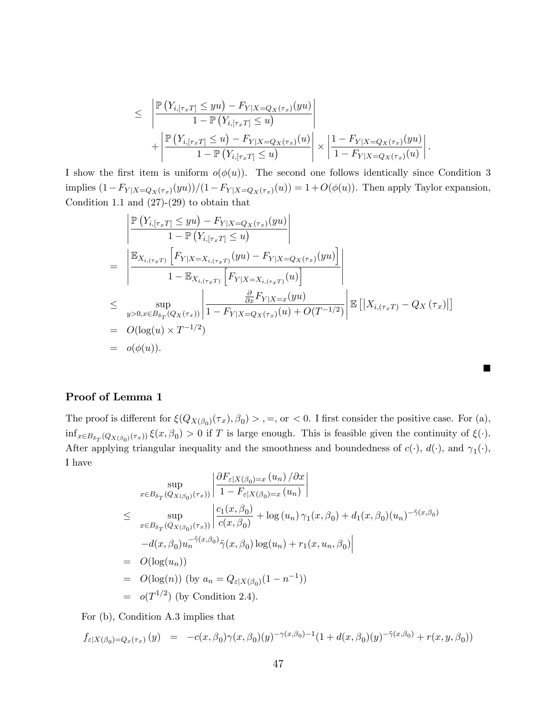$$
\leq \left| \frac{\mathbb{P}\left(Y_{i,[\tau_x T]} \leq y u\right) - F_{Y|X=Q_X(\tau_x)}(y u)}{1 - \mathbb{P}\left(Y_{i,[\tau_x T]} \leq u\right)} \right|
$$
  
+ 
$$
\left| \frac{\mathbb{P}\left(Y_{i,[\tau_x T]} \leq u\right) - F_{Y|X=Q_X(\tau_x)}(u)}{1 - \mathbb{P}\left(Y_{i,[\tau_x T]} \leq u\right)} \right| \times \left| \frac{1 - F_{Y|X=Q_X(\tau_x)}(y u)}{1 - F_{Y|X=Q_X(\tau_x)}(u)} \right|
$$

:

П

I show the first item is uniform  $o(\phi(u))$ . The second one follows identically since Condition 3 implies  $(1-F_{Y|X=Q_X(\tau_x)}(yu))/(1-F_{Y|X=Q_X(\tau_x)}(u)) = 1+O(\phi(u))$ . Then apply Taylor expansion, Condition 1.1 and  $(27)-(29)$  to obtain that

$$
\begin{aligned}\n&= \left| \frac{\mathbb{P}\left(Y_{i, [\tau_x T]} \leq yu\right) - F_{Y|X = Q_X(\tau_x)}(yu)}{1 - \mathbb{P}\left(Y_{i, [\tau_x T]} \leq u\right)} \right| \\
&= \left| \frac{\mathbb{E}_{X_{i, (\tau_x T)}}\left[F_{Y|X = X_{i, (\tau_x T)}}(yu) - F_{Y|X = Q_X(\tau_x)}(yu)\right]}{1 - \mathbb{E}_{X_{i, (\tau_x T)}}\left[F_{Y|X = X_{i, (\tau_x T)}}(u)\right]} \right| \\
&\leq \sup_{y > 0, x \in B_{\delta_T}(Q_X(\tau_x))} \left| \frac{\frac{\partial}{\partial x} F_{Y|X = x}(yu)}{1 - F_{Y|X = Q_X(\tau_x)}(u) + O(T^{-1/2})} \right| \mathbb{E}\left[\left|X_{i, (\tau_x T)} - Q_X(\tau_x)\right|\right] \\
&= O(\log(u) \times T^{-1/2}) \\
&= o(\phi(u)).\n\end{aligned}
$$

#### Proof of Lemma 1

The proof is different for  $\xi(Q_{X(\beta_0)}(\tau_x), \beta_0) >$ , =, or < 0. I first consider the positive case. For (a),  $\inf_{x \in B_{\delta_T}(Q_{X(\beta_0)}(\tau_x))} \xi(x,\beta_0) > 0$  if T is large enough. This is feasible given the continuity of  $\xi(\cdot)$ . After applying triangular inequality and the smoothness and boundedness of  $c(\cdot)$ ,  $d(\cdot)$ , and  $\gamma_1(\cdot)$ , I have

$$
\sup_{x \in B_{\delta_T}(Q_{X(\beta_0)}(\tau_x))} \left| \frac{\partial F_{\varepsilon|X(\beta_0)=x} (u_n) / \partial x}{1 - F_{\varepsilon|X(\beta_0)=x} (u_n)} \right|
$$
\n
$$
\leq \sup_{x \in B_{\delta_T}(Q_{X(\beta_0)}(\tau_x))} \left| \frac{c_1(x, \beta_0)}{c(x, \beta_0)} + \log(u_n) \gamma_1(x, \beta_0) + d_1(x, \beta_0)(u_n)^{-\tilde{\gamma}(x, \beta_0)} -d(x, \beta_0)u_n^{-\tilde{\gamma}(x, \beta_0)} \tilde{\gamma}(x, \beta_0) \log(u_n) + r_1(x, u_n, \beta_0) \right|
$$
\n
$$
= O(\log(u_n))
$$
\n
$$
= O(\log(n)) \text{ (by } a_n = Q_{\varepsilon|X(\beta_0)}(1 - n^{-1}))
$$
\n
$$
= o(T^{1/2}) \text{ (by Condition 2.4)}.
$$

For (b), Condition A.3 implies that

$$
f_{\varepsilon|X(\beta_0)=Q_x(\tau_x)}(y) = -c(x,\beta_0)\gamma(x,\beta_0)(y)^{-\gamma(x,\beta_0)-1}(1+d(x,\beta_0)(y)^{-\tilde{\gamma}(x,\beta_0)}+r(x,y,\beta_0))
$$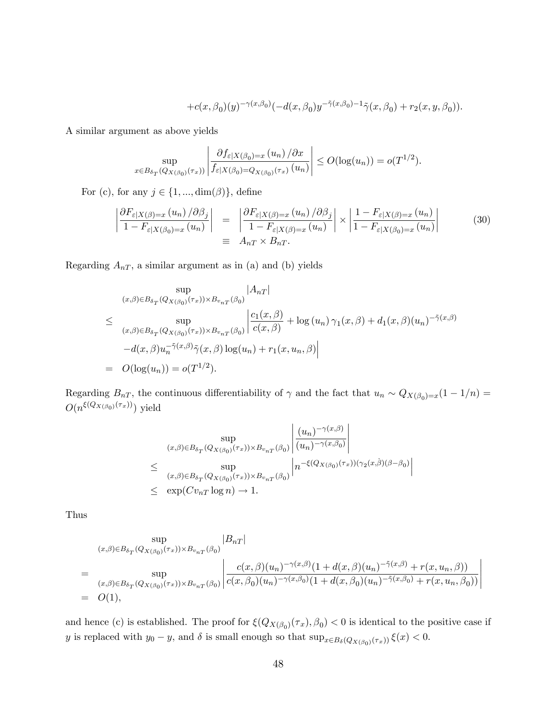$$
+c(x,\beta_0)(y)^{-\gamma(x,\beta_0)}(-d(x,\beta_0)y^{-\tilde{\gamma}(x,\beta_0)-1}\tilde{\gamma}(x,\beta_0)+r_2(x,y,\beta_0)).
$$

A similar argument as above yields

$$
\sup_{x \in B_{\delta_T}(Q_{X(\beta_0)}(\tau_x))} \left| \frac{\partial f_{\varepsilon|X(\beta_0)=x} \left(u_n\right)/\partial x}{f_{\varepsilon|X(\beta_0)=Q_{X(\beta_0)}(\tau_x)} \left(u_n\right)} \right| \leq O(\log(u_n)) = o(T^{1/2}).
$$

For (c), for any  $j\in\{1,...,\dim(\beta)\},$  define

$$
\left| \frac{\partial F_{\varepsilon|X(\beta)=x}(u_n)/\partial \beta_j}{1 - F_{\varepsilon|X(\beta_0)=x}(u_n)} \right| = \left| \frac{\partial F_{\varepsilon|X(\beta)=x}(u_n)/\partial \beta_j}{1 - F_{\varepsilon|X(\beta)=x}(u_n)} \right| \times \left| \frac{1 - F_{\varepsilon|X(\beta)=x}(u_n)}{1 - F_{\varepsilon|X(\beta_0)=x}(u_n)} \right|
$$
(30)  

$$
\equiv A_{nT} \times B_{nT}.
$$

Regarding  $A_{nT}$ , a similar argument as in (a) and (b) yields

$$
\sup_{(x,\beta)\in B_{\delta_T}(Q_{X(\beta_0)}(\tau_x))\times B_{v_{nT}}(\beta_0)} |A_{nT}|
$$
\n
$$
\leq \sup_{(x,\beta)\in B_{\delta_T}(Q_{X(\beta_0)}(\tau_x))\times B_{v_{nT}}(\beta_0)} \left|\frac{c_1(x,\beta)}{c(x,\beta)} + \log(u_n)\gamma_1(x,\beta) + d_1(x,\beta)(u_n)^{-\tilde{\gamma}(x,\beta)}\right|
$$
\n
$$
-d(x,\beta)u_n^{-\tilde{\gamma}(x,\beta)}\tilde{\gamma}(x,\beta)\log(u_n) + r_1(x,u_n,\beta)\right|
$$
\n
$$
= O(\log(u_n)) = o(T^{1/2}).
$$

Regarding  $B_{nT}$ , the continuous differentiability of  $\gamma$  and the fact that  $u_n \sim Q_{X(\beta_0)=x}(1-1/n)$  =  $O(n^{\xi(Q_{X(\beta_0)}(\tau_x))})$  yield

$$
\sup_{(x,\beta)\in B_{\delta_T}(Q_{X(\beta_0)}(\tau_x))\times B_{v_{nT}}(\beta_0)}\left|\frac{(u_n)^{-\gamma(x,\beta)}}{(u_n)^{-\gamma(x,\beta_0)}}\right|
$$
  

$$
\leq \sup_{(x,\beta)\in B_{\delta_T}(Q_{X(\beta_0)}(\tau_x))\times B_{v_{nT}}(\beta_0)}\left|n^{-\xi(Q_{X(\beta_0)}(\tau_x))(\gamma_2(x,\beta)(\beta-\beta_0)}\right|
$$
  

$$
\leq \exp(Cv_{nT}\log n) \to 1.
$$

Thus

$$
\sup_{(x,\beta)\in B_{\delta_T}(Q_{X(\beta_0)}(\tau_x))\times B_{v_{nT}}(\beta_0)} |B_{nT}|
$$
\n
$$
= \sup_{(x,\beta)\in B_{\delta_T}(Q_{X(\beta_0)}(\tau_x))\times B_{v_{nT}}(\beta_0)} \left| \frac{c(x,\beta)(u_n)^{-\gamma(x,\beta)}(1+d(x,\beta)(u_n)^{-\tilde{\gamma}(x,\beta)}+r(x,u_n,\beta))}{c(x,\beta_0)(u_n)^{-\gamma(x,\beta_0)}(1+d(x,\beta_0)(u_n)^{-\tilde{\gamma}(x,\beta_0)}+r(x,u_n,\beta_0))} \right|
$$
\n
$$
= O(1),
$$

and hence (c) is established. The proof for  $\xi(Q_{X(\beta_0)}(\tau_x), \beta_0) < 0$  is identical to the positive case if y is replaced with  $y_0 - y$ , and  $\delta$  is small enough so that  $\sup_{x \in B_\delta(Q_{X(\beta_0)}(\tau_x))} \xi(x) < 0$ .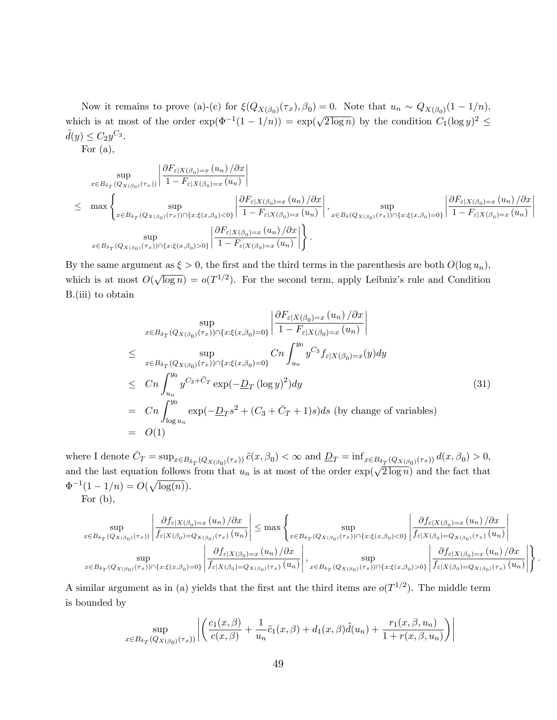Now it remains to prove (a)-(c) for  $\xi(Q_{X(\beta_0)}(\tau_x), \beta_0) = 0$ . Note that  $u_n \sim Q_{X(\beta_0)}(1 - 1/n)$ , which is at most of the order  $\exp(\Phi^{-1}(1-1/n)) = \exp(\sqrt{2 \log n})$  by the condition  $C_1(\log y)^2 \le$  $\tilde{d}(y) \leq C_2 y^{C_3}.$ 

For  $(a)$ ,

$$
\sup_{x \in B_{\delta_T}(Q_{X(\beta_0)}(\tau_x))} \left| \frac{\partial F_{\varepsilon|X(\beta_0)=x} \left(u_n\right)/\partial x}{1 - F_{\varepsilon|X(\beta_0)=x} \left(u_n\right)} \right|
$$
\n
$$
\leq \max \left\{ \sup_{x \in B_{\delta_T}(Q_{X(\beta_0)}(\tau_x)) \cap \{x: \xi(x,\beta_0) < 0\}} \left| \frac{\partial F_{\varepsilon|X(\beta_0)=x} \left(u_n\right)/\partial x}{1 - F_{\varepsilon|X(\beta_0)=x} \left(u_n\right)} \right|, \sup_{x \in B_{\delta}(Q_{X(\beta_0)}(\tau_x)) \cap \{x: \xi(x,\beta_0)=x} \left| \frac{\partial F_{\varepsilon|X(\beta_0)=x} \left(u_n\right)/\partial x}{1 - F_{\varepsilon|X(\beta_0)=x} \left(u_n\right)} \right| \right\}
$$
\n
$$
\sup_{x \in B_{\delta_T}(Q_{X(\beta_0)}(\tau_x)) \cap \{x: \xi(x,\beta_0) > 0\}} \left| \frac{\partial F_{\varepsilon|X(\beta_0)=x} \left(u_n\right)/\partial x}{1 - F_{\varepsilon|X(\beta_0)=x} \left(u_n\right)} \right| \right\}.
$$

By the same argument as  $\xi > 0$ , the first and the third terms in the parenthesis are both  $O(\log u_n)$ , which is at most  $O(\sqrt{\log n}) = o(T^{1/2})$ . For the second term, apply Leibniz's rule and Condition B.(iii) to obtain

$$
\sup_{x \in B_{\delta_T}(Q_{X(\beta_0)}(\tau_x)) \cap \{x: \xi(x,\beta_0)=0\}} \left| \frac{\partial F_{\varepsilon|X(\beta_0)=x} (u_n)/\partial x}{1 - F_{\varepsilon|X(\beta_0)=x} (u_n)} \right|
$$
\n
$$
\leq \sup_{x \in B_{\delta_T}(Q_{X(\beta_0)}(\tau_x)) \cap \{x: \xi(x,\beta_0)=0\}} C_n \int_{u_n}^{y_0} y^{C_3} f_{\varepsilon|X(\beta_0)=x}(y) dy
$$
\n
$$
\leq C_n \int_{u_n}^{y_0} y^{C_3 + \bar{C}_T} \exp(-\underline{D}_T (\log y)^2) dy
$$
\n
$$
= C_n \int_{\log u_n}^{y_0} \exp(-\underline{D}_T s^2 + (C_3 + \bar{C}_T + 1)s) ds \text{ (by change of variables)}
$$
\n
$$
= O(1)
$$
\n(1)

where I denote  $\bar{C}_T = \sup_{x \in B_{\delta_T}(Q_{X(\beta_0)}(\tau_x))} \tilde{c}(x,\beta_0) < \infty$  and  $\underline{D}_T = \inf_{x \in B_{\delta_T}(Q_{X(\beta_0)}(\tau_x))} d(x,\beta_0) > 0$ , and the last equation follows from that  $u_n$  is at most of the order  $\exp(\sqrt{2 \log n})$  and the fact that  $\Phi^{-1}(1 - 1/n) = O(\sqrt{\log(n)}).$ 

For  $(b)$ ,

$$
\sup_{x\in B_{\delta_T}(Q_{X(\beta_0)}(\tau_x))}\left|\frac{\partial f_{\varepsilon|X(\beta_0)=x}\left(u_n\right)/\partial x}{f_{\varepsilon|X(\beta_0)=Q_{X(\beta_0)}(\tau_x)}\left(u_n\right)}\right|\leq \max\left\{\sup_{x\in B_{\delta_T}(Q_{X(\beta_0)}(\tau_x))\cap\{x:\xi(x,\beta_0)<0\}}\left|\frac{\partial f_{\varepsilon|X(\beta_0)=x}\left(u_n\right)/\partial x}{f_{\varepsilon|X(\beta_0)=Q_{X(\beta_0)}(\tau_x)}\left(u_n\right)}\right|\right\}
$$

$$
\sup_{x\in B_{\delta_T}(Q_{X(\beta_0)}(\tau_x))\cap\{x:\xi(x,\beta_0)=0\}}\left|\frac{\partial f_{\varepsilon|X(\beta_0)=x}\left(u_n\right)/\partial x}{f_{\varepsilon|X(\beta_0)=Q_{X(\beta_0)}(\tau_x)}\left(u_n\right)}\right|+\sup_{x\in B_{\delta_T}(Q_{X(\beta_0)}(\tau_x))\cap\{x:\xi(x,\beta_0)>0\}}\left|\frac{\partial f_{\varepsilon|X(\beta_0)=x}\left(u_n\right)/\partial x}{f_{\varepsilon|X(\beta_0)=Q_{X(\beta_0)}(\tau_x)}\left(u_n\right)}\right|\right\}.
$$

A similar argument as in (a) yields that the first ant the third items are  $o(T^{1/2})$ . The middle term is bounded by

$$
\sup_{x \in B_{\delta_T}(Q_{X(\beta_0)}(\tau_x))} \left| \left( \frac{c_1(x,\beta)}{c(x,\beta)} + \frac{1}{u_n} \tilde{c}_1(x,\beta) + d_1(x,\beta) \tilde{d}(u_n) + \frac{r_1(x,\beta,u_n)}{1 + r(x,\beta,u_n)} \right) \right|
$$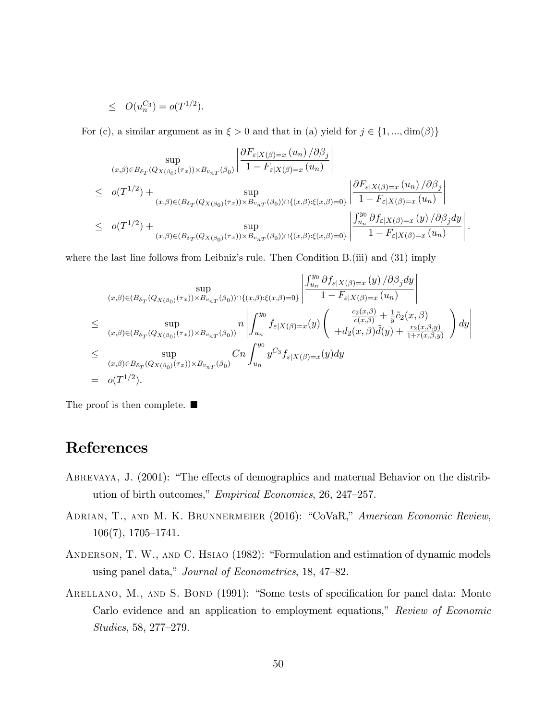$$
\le O(u_n^{C_3}) = o(T^{1/2}).
$$

For (c), a similar argument as in  $\xi > 0$  and that in (a) yield for  $j \in \{1, ..., dim(\beta)\}\$ 

$$
\sup_{(x,\beta)\in B_{\delta_T}(Q_{X(\beta_0)}(\tau_x))\times B_{v_{nT}}(\beta_0)} \left| \frac{\partial F_{\varepsilon|X(\beta)=x}(u_n)/\partial \beta_j}{1-F_{\varepsilon|X(\beta)=x}(u_n)} \right|
$$
  
\n
$$
\leq o(T^{1/2}) + \sup_{(x,\beta)\in (B_{\delta_T}(Q_{X(\beta_0)}(\tau_x))\times B_{v_{nT}}(\beta_0))\cap \{(x,\beta):\xi(x,\beta)=0\}} \left| \frac{\partial F_{\varepsilon|X(\beta)=x}(u_n)/\partial \beta_j}{1-F_{\varepsilon|X(\beta)=x}(u_n)} \right|
$$
  
\n
$$
\leq o(T^{1/2}) + \sup_{(x,\beta)\in (B_{\delta_T}(Q_{X(\beta_0)}(\tau_x))\times B_{v_{nT}}(\beta_0))\cap \{(x,\beta):\xi(x,\beta)=0\}} \left| \frac{\int_{u_n}^{y_0} \partial f_{\varepsilon|X(\beta)=x}(y)/\partial \beta_j dy}{1-F_{\varepsilon|X(\beta)=x}(u_n)} \right|
$$

:

where the last line follows from Leibniz's rule. Then Condition B.(iii) and  $(31)$  imply

$$
\sup_{(x,\beta)\in(B_{\delta_T}(Q_{X(\beta_0)}(\tau_x))\times B_{v_{nT}}(\beta_0))\cap\{(x,\beta):\xi(x,\beta)=0\}}\left|\frac{\int_{u_n}^{y_0}\partial f_{\varepsilon|X(\beta)=x}(y)/\partial\beta_jdy}{1-F_{\varepsilon|X(\beta)=x}(u_n)}\right|
$$
  
\n
$$
\leq \sup_{(x,\beta)\in(B_{\delta_T}(Q_{X(\beta_0)}(\tau_x))\times B_{v_{nT}}(\beta_0))}n\left|\int_{u_n}^{y_0}f_{\varepsilon|X(\beta)=x}(y)\left(\frac{\frac{c_2(x,\beta)}{c(x,\beta)}+\frac{1}{y}\tilde{c}_2(x,\beta)}{\frac{c_2(x,\beta)}{c(x,\beta)}+\frac{1}{y}\tilde{c}_2(x,\beta)}\right)dy\right|
$$
  
\n
$$
\leq \sup_{(x,\beta)\in B_{\delta_T}(Q_{X(\beta_0)}(\tau_x))\times B_{v_{nT}}(\beta_0)}Cn\int_{u_n}^{y_0}y^{C_3}f_{\varepsilon|X(\beta)=x}(y)dy
$$
  
\n
$$
= o(T^{1/2}).
$$

The proof is then complete.  $\blacksquare$ 

# References

- ABREVAYA, J.  $(2001)$ : "The effects of demographics and maternal Behavior on the distribution of birth outcomes," Empirical Economics, 26, 247–257.
- ADRIAN, T., AND M. K. BRUNNERMEIER (2016): "CoVaR," American Economic Review,  $106(7), 1705-1741.$
- ANDERSON, T. W., AND C. HSIAO (1982): "Formulation and estimation of dynamic models using panel data," Journal of Econometrics, 18, 47-82.
- ARELLANO, M., AND S. BOND (1991): "Some tests of specification for panel data: Monte Carlo evidence and an application to employment equations," Review of Economic  $Studies, 58, 277–279.$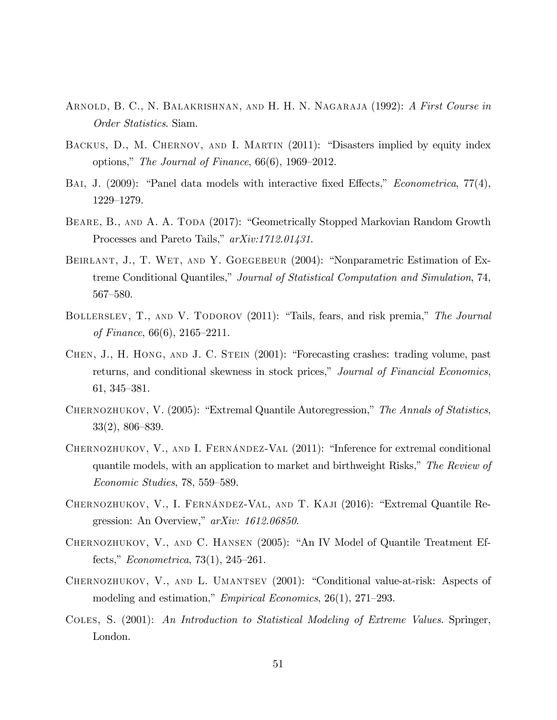- ARNOLD, B. C., N. BALAKRISHNAN, AND H. H. N. NAGARAJA (1992): A First Course in Order Statistics. Siam.
- BACKUS, D., M. CHERNOV, AND I. MARTIN (2011): "Disasters implied by equity index options," The Journal of Finance,  $66(6)$ , 1969–2012.
- BAI, J. (2009): "Panel data models with interactive fixed Effects," *Econometrica*,  $77(4)$ , 1229-1279.
- BEARE, B., AND A. A. TODA (2017): "Geometrically Stopped Markovian Random Growth Processes and Pareto Tails,"  $arXiv:1712.01431$ .
- BEIRLANT, J., T. WET, AND Y. GOEGEBEUR (2004): "Nonparametric Estimation of Extreme Conditional Quantiles," Journal of Statistical Computation and Simulation, 74,  $567 - 580.$
- BOLLERSLEV, T., AND V. TODOROV (2011): "Tails, fears, and risk premia," The Journal of Finance,  $66(6)$ ,  $2165-2211$ .
- CHEN, J., H. HONG, AND J. C. STEIN (2001): "Forecasting crashes: trading volume, past returns, and conditional skewness in stock prices," Journal of Financial Economics, 61, 345–381.
- CHERNOZHUKOV, V.  $(2005)$ : "Extremal Quantile Autoregression," The Annals of Statistics,  $33(2)$ ,  $806-839$ .
- CHERNOZHUKOV, V., AND I. FERNÁNDEZ-VAL (2011): "Inference for extremal conditional quantile models, with an application to market and birthweight Risks," The Review of  $Economic Studies, 78, 559-589.$
- CHERNOZHUKOV, V., I. FERNÁNDEZ-VAL, AND T. KAJI (2016): "Extremal Quantile Regression: An Overview,"  $arXiv: 1612.06850$ .
- CHERNOZHUKOV, V., AND C. HANSEN  $(2005)$ : "An IV Model of Quantile Treatment Effects,"  $Econometrica$ , 73(1), 245–261.
- CHERNOZHUKOV, V., AND L. UMANTSEV (2001): "Conditional value-at-risk: Aspects of modeling and estimation," *Empirical Economics*,  $26(1)$ ,  $271-293$ .
- COLES, S. (2001): An Introduction to Statistical Modeling of Extreme Values. Springer, London.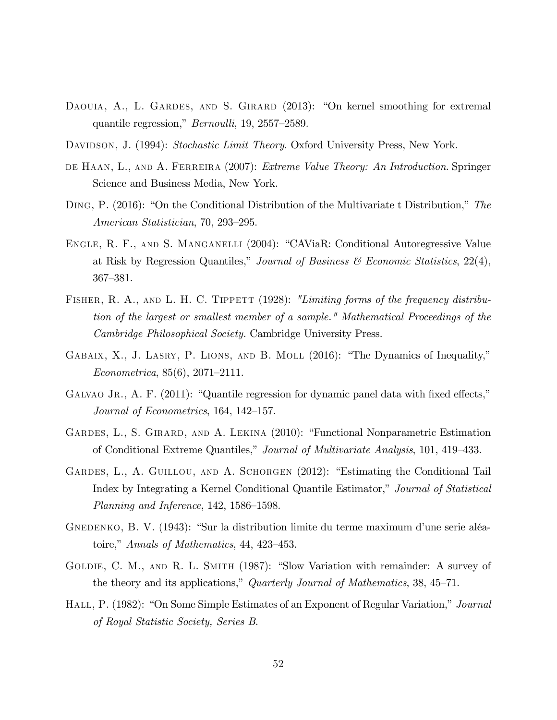- DAOUIA, A., L. GARDES, AND S. GIRARD (2013): "On kernel smoothing for extremal quantile regression,"  $Bernoulli$ , 19, 2557–2589.
- DAVIDSON, J. (1994): Stochastic Limit Theory. Oxford University Press, New York.
- de Haan, L., and A. Ferreira (2007): Extreme Value Theory: An Introduction. Springer Science and Business Media, New York.
- DING, P.  $(2016)$ : "On the Conditional Distribution of the Multivariate t Distribution," The American Statistician, 70, 293–295.
- ENGLE, R. F., AND S. MANGANELLI (2004): "CAViaR: Conditional Autoregressive Value at Risk by Regression Quantiles," Journal of Business  $\mathcal C$  Economic Statistics, 22(4), 367–381.
- FISHER, R. A., AND L. H. C. TIPPETT (1928): "Limiting forms of the frequency distribution of the largest or smallest member of a sample." Mathematical Proceedings of the Cambridge Philosophical Society. Cambridge University Press.
- GABAIX, X., J. LASRY, P. LIONS, AND B. MOLL  $(2016)$ : "The Dynamics of Inequality,"  $Econometrica, 85(6), 2071-2111.$
- GALVAO JR., A. F. (2011): "Quantile regression for dynamic panel data with fixed effects," Journal of Econometrics,  $164$ ,  $142-157$ .
- GARDES, L., S. GIRARD, AND A. LEKINA (2010): "Functional Nonparametric Estimation of Conditional Extreme Quantiles," Journal of Multivariate Analysis, 101, 419–433.
- GARDES, L., A. GUILLOU, AND A. SCHORGEN (2012): "Estimating the Conditional Tail Index by Integrating a Kernel Conditional Quantile Estimator," Journal of Statistical Planning and Inference,  $142, 1586-1598$ .
- GNEDENKO, B. V. (1943): "Sur la distribution limite du terme maximum d'une serie aléatoire," Annals of Mathematics, 44, 423–453.
- GOLDIE, C. M., AND R. L. SMITH (1987): "Slow Variation with remainder: A survey of the theory and its applications," Quarterly Journal of Mathematics, 38, 45–71.
- HALL, P. (1982): "On Some Simple Estimates of an Exponent of Regular Variation," Journal of Royal Statistic Society, Series B.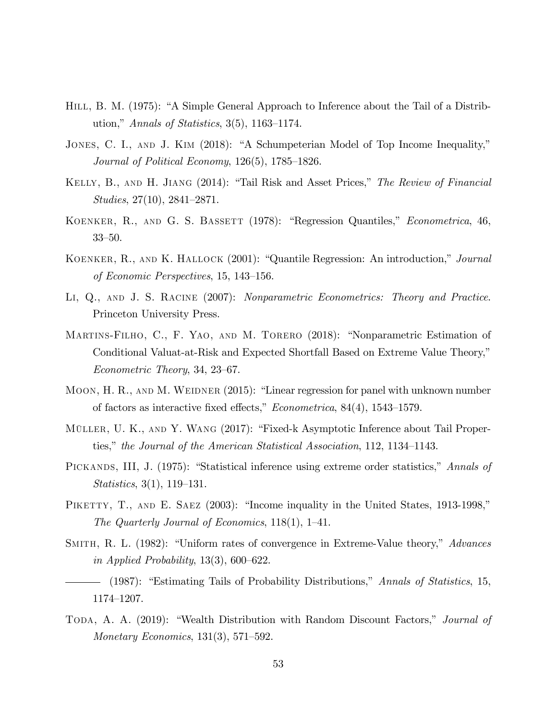- HILL, B. M. (1975): "A Simple General Approach to Inference about the Tail of a Distribution," Annals of Statistics, 3(5), 1163–1174.
- JONES, C. I., AND J. KIM (2018): "A Schumpeterian Model of Top Income Inequality," Journal of Political Economy,  $126(5)$ ,  $1785-1826$ .
- KELLY, B., AND H. JIANG (2014): "Tail Risk and Asset Prices," The Review of Financial Studies,  $27(10)$ ,  $2841-2871$ .
- KOENKER, R., AND G. S. BASSETT (1978): "Regression Quantiles," *Econometrica*, 46,  $33 - 50$ .
- KOENKER, R., AND K. HALLOCK (2001): "Quantile Regression: An introduction," Journal of Economic Perspectives,  $15, 143-156$ .
- LI, Q., AND J. S. RACINE (2007): Nonparametric Econometrics: Theory and Practice. Princeton University Press.
- MARTINS-FILHO, C., F. YAO, AND M. TORERO (2018): "Nonparametric Estimation of Conditional Valuat-at-Risk and Expected Shortfall Based on Extreme Value Theory,"  $Econometric Theory, 34, 23–67.$
- MOON, H. R., AND M. WEIDNER  $(2015)$ : "Linear regression for panel with unknown number of factors as interactive fixed effects,"  $Econometrica$ , 84(4), 1543–1579.
- MÜLLER, U. K., AND Y. WANG (2017): "Fixed-k Asymptotic Inference about Tail Properties," the Journal of the American Statistical Association, 112, 1134–1143.
- PICKANDS, III, J. (1975): "Statistical inference using extreme order statistics," Annals of  $Statistics, 3(1), 119–131.$
- PIKETTY, T., AND E. SAEZ (2003): "Income inquality in the United States, 1913-1998," The Quarterly Journal of Economics,  $118(1)$ ,  $1-41$ .
- SMITH, R. L. (1982): "Uniform rates of convergence in Extreme-Value theory," Advances in Applied Probability,  $13(3)$ , 600–622.
- (1987): "Estimating Tails of Probability Distributions," Annals of Statistics, 15, 1174-1207.
- TODA, A. A. (2019): "Wealth Distribution with Random Discount Factors," Journal of Monetary Economics,  $131(3)$ ,  $571-592$ .